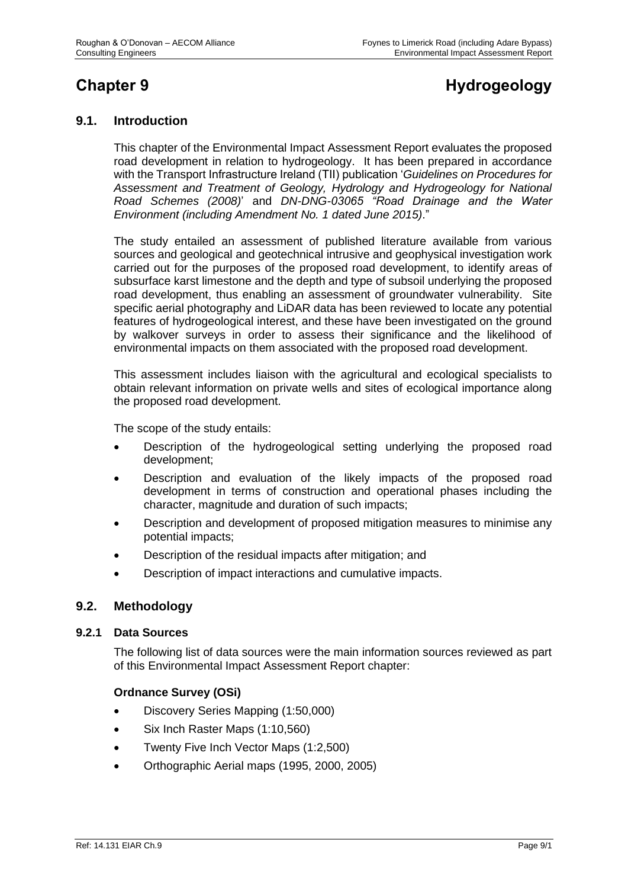# **Chapter 9 Hydrogeology**

# **9.1. Introduction**

This chapter of the Environmental Impact Assessment Report evaluates the proposed road development in relation to hydrogeology. It has been prepared in accordance with the Transport Infrastructure Ireland (TII) publication '*Guidelines on Procedures for Assessment and Treatment of Geology, Hydrology and Hydrogeology for National Road Schemes (2008)*' and *DN-DNG-03065 "Road Drainage and the Water Environment (including Amendment No. 1 dated June 2015)*."

The study entailed an assessment of published literature available from various sources and geological and geotechnical intrusive and geophysical investigation work carried out for the purposes of the proposed road development, to identify areas of subsurface karst limestone and the depth and type of subsoil underlying the proposed road development, thus enabling an assessment of groundwater vulnerability. Site specific aerial photography and LiDAR data has been reviewed to locate any potential features of hydrogeological interest, and these have been investigated on the ground by walkover surveys in order to assess their significance and the likelihood of environmental impacts on them associated with the proposed road development.

This assessment includes liaison with the agricultural and ecological specialists to obtain relevant information on private wells and sites of ecological importance along the proposed road development.

The scope of the study entails:

- Description of the hydrogeological setting underlying the proposed road development;
- Description and evaluation of the likely impacts of the proposed road development in terms of construction and operational phases including the character, magnitude and duration of such impacts;
- Description and development of proposed mitigation measures to minimise any potential impacts;
- Description of the residual impacts after mitigation; and
- Description of impact interactions and cumulative impacts.

#### **9.2. Methodology**

#### **9.2.1 Data Sources**

The following list of data sources were the main information sources reviewed as part of this Environmental Impact Assessment Report chapter:

#### **Ordnance Survey (OSi)**

- Discovery Series Mapping (1:50,000)
- Six Inch Raster Maps (1:10,560)
- Twenty Five Inch Vector Maps (1:2,500)
- Orthographic Aerial maps (1995, 2000, 2005)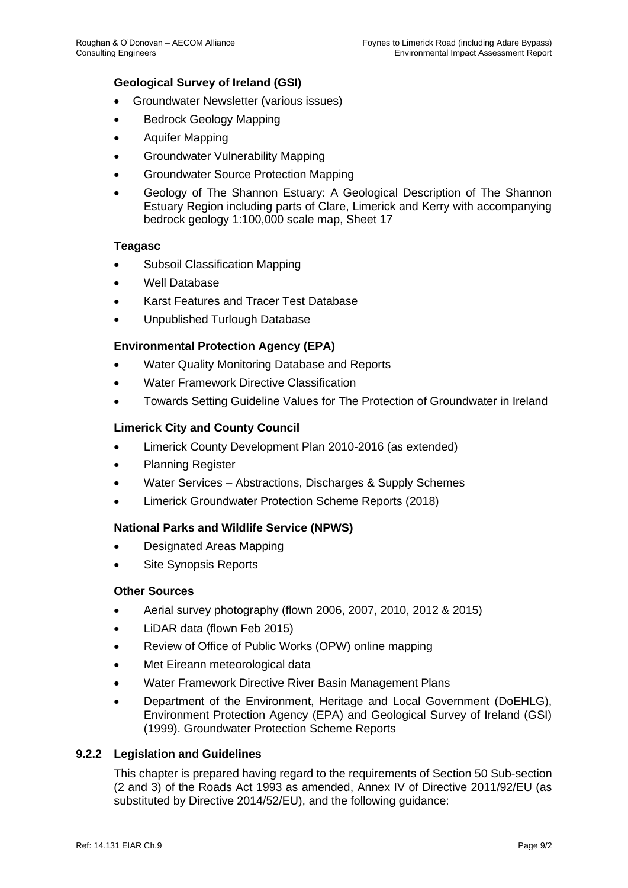#### **Geological Survey of Ireland (GSI)**

- Groundwater Newsletter (various issues)
- Bedrock Geology Mapping
- Aquifer Mapping
- Groundwater Vulnerability Mapping
- Groundwater Source Protection Mapping
- Geology of The Shannon Estuary: A Geological Description of The Shannon Estuary Region including parts of Clare, Limerick and Kerry with accompanying bedrock geology 1:100,000 scale map, Sheet 17

#### **Teagasc**

- Subsoil Classification Mapping
- Well Database
- Karst Features and Tracer Test Database
- Unpublished Turlough Database

# **Environmental Protection Agency (EPA)**

- Water Quality Monitoring Database and Reports
- Water Framework Directive Classification
- Towards Setting Guideline Values for The Protection of Groundwater in Ireland

#### **Limerick City and County Council**

- Limerick County Development Plan 2010-2016 (as extended)
- Planning Register
- Water Services Abstractions, Discharges & Supply Schemes
- Limerick Groundwater Protection Scheme Reports (2018)

#### **National Parks and Wildlife Service (NPWS)**

- Designated Areas Mapping
- Site Synopsis Reports

#### **Other Sources**

- Aerial survey photography (flown 2006, 2007, 2010, 2012 & 2015)
- LiDAR data (flown Feb 2015)
- Review of Office of Public Works (OPW) online mapping
- Met Eireann meteorological data
- Water Framework Directive River Basin Management Plans
- Department of the Environment, Heritage and Local Government (DoEHLG), Environment Protection Agency (EPA) and Geological Survey of Ireland (GSI) (1999). Groundwater Protection Scheme Reports

#### **9.2.2 Legislation and Guidelines**

This chapter is prepared having regard to the requirements of Section 50 Sub-section (2 and 3) of the Roads Act 1993 as amended, Annex IV of Directive 2011/92/EU (as substituted by Directive 2014/52/EU), and the following guidance: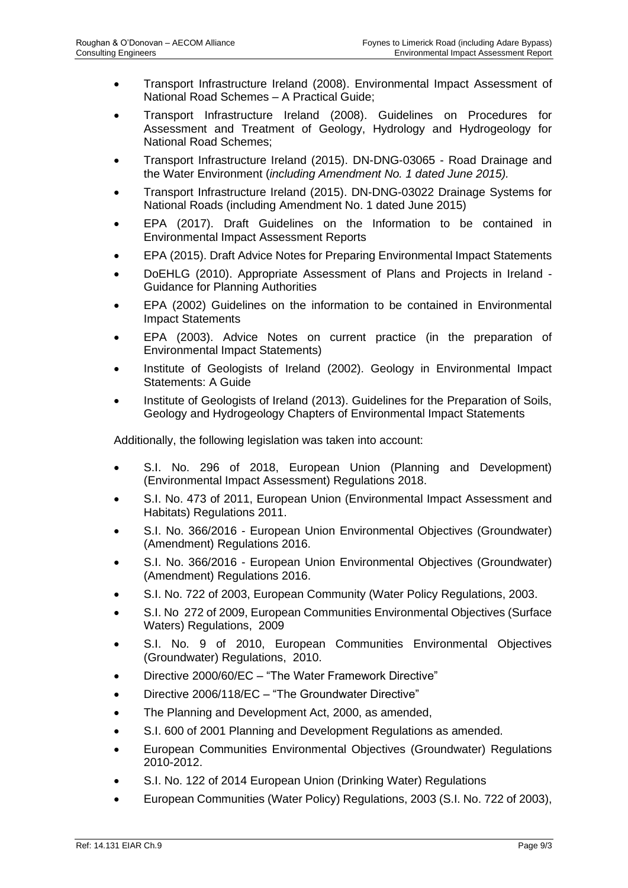- Transport Infrastructure Ireland (2008). Environmental Impact Assessment of National Road Schemes – A Practical Guide;
- Transport Infrastructure Ireland (2008). Guidelines on Procedures for Assessment and Treatment of Geology, Hydrology and Hydrogeology for National Road Schemes;
- Transport Infrastructure Ireland (2015). DN-DNG-03065 Road Drainage and the Water Environment (*including Amendment No. 1 dated June 2015).*
- Transport Infrastructure Ireland (2015). DN-DNG-03022 Drainage Systems for National Roads (including Amendment No. 1 dated June 2015)
- EPA (2017). Draft Guidelines on the Information to be contained in Environmental Impact Assessment Reports
- EPA (2015). Draft Advice Notes for Preparing Environmental Impact Statements
- DoEHLG (2010). Appropriate Assessment of Plans and Projects in Ireland Guidance for Planning Authorities
- EPA (2002) Guidelines on the information to be contained in Environmental Impact Statements
- EPA (2003). Advice Notes on current practice (in the preparation of Environmental Impact Statements)
- Institute of Geologists of Ireland (2002). Geology in Environmental Impact Statements: A Guide
- Institute of Geologists of Ireland (2013). Guidelines for the Preparation of Soils, Geology and Hydrogeology Chapters of Environmental Impact Statements

Additionally, the following legislation was taken into account:

- S.I. No. 296 of 2018, European Union (Planning and Development) (Environmental Impact Assessment) Regulations 2018.
- S.I. No. 473 of 2011, European Union (Environmental Impact Assessment and Habitats) Regulations 2011.
- S.I. No. 366/2016 European Union Environmental Objectives (Groundwater) (Amendment) Regulations 2016.
- S.I. No. 366/2016 European Union Environmental Objectives (Groundwater) (Amendment) Regulations 2016.
- S.I. No. 722 of 2003, European Community (Water Policy Regulations, 2003.
- S.I. No 272 of 2009, European Communities Environmental Objectives (Surface Waters) Regulations, 2009
- S.I. No. 9 of 2010, European Communities Environmental Objectives (Groundwater) Regulations, 2010.
- Directive 2000/60/EC "The Water Framework Directive"
- Directive 2006/118/EC "The Groundwater Directive"
- The Planning and Development Act, 2000, as amended,
- S.I. 600 of 2001 Planning and Development Regulations as amended.
- European Communities Environmental Objectives (Groundwater) Regulations 2010-2012.
- S.I. No. 122 of 2014 European Union (Drinking Water) Regulations
- European Communities (Water Policy) Regulations, 2003 (S.I. No. 722 of 2003),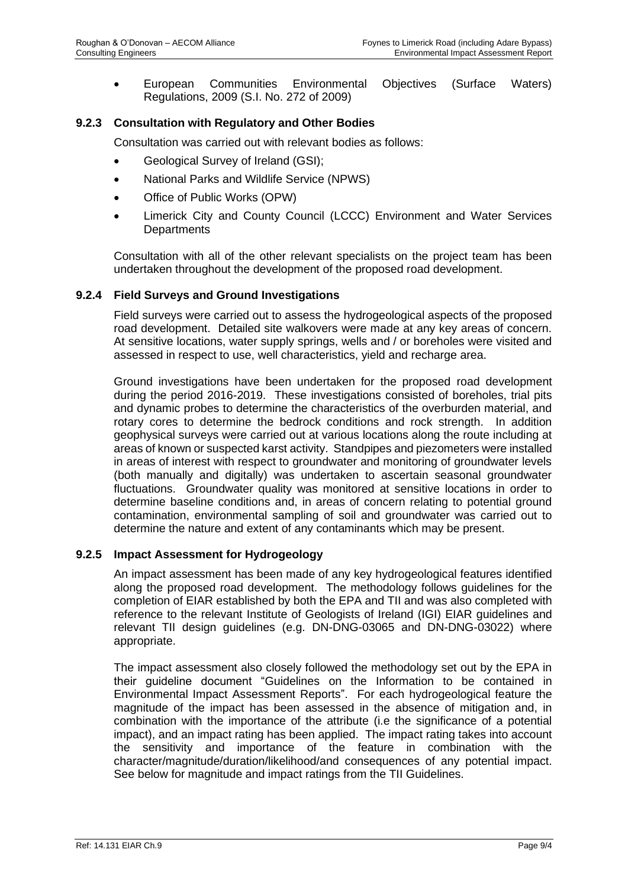• European Communities Environmental Objectives (Surface Waters) Regulations, 2009 (S.I. No. 272 of 2009)

# **9.2.3 Consultation with Regulatory and Other Bodies**

Consultation was carried out with relevant bodies as follows:

- Geological Survey of Ireland (GSI);
- National Parks and Wildlife Service (NPWS)
- Office of Public Works (OPW)
- Limerick City and County Council (LCCC) Environment and Water Services **Departments**

Consultation with all of the other relevant specialists on the project team has been undertaken throughout the development of the proposed road development.

#### **9.2.4 Field Surveys and Ground Investigations**

Field surveys were carried out to assess the hydrogeological aspects of the proposed road development. Detailed site walkovers were made at any key areas of concern. At sensitive locations, water supply springs, wells and / or boreholes were visited and assessed in respect to use, well characteristics, yield and recharge area.

Ground investigations have been undertaken for the proposed road development during the period 2016-2019. These investigations consisted of boreholes, trial pits and dynamic probes to determine the characteristics of the overburden material, and rotary cores to determine the bedrock conditions and rock strength. In addition geophysical surveys were carried out at various locations along the route including at areas of known or suspected karst activity. Standpipes and piezometers were installed in areas of interest with respect to groundwater and monitoring of groundwater levels (both manually and digitally) was undertaken to ascertain seasonal groundwater fluctuations. Groundwater quality was monitored at sensitive locations in order to determine baseline conditions and, in areas of concern relating to potential ground contamination, environmental sampling of soil and groundwater was carried out to determine the nature and extent of any contaminants which may be present.

#### **9.2.5 Impact Assessment for Hydrogeology**

An impact assessment has been made of any key hydrogeological features identified along the proposed road development. The methodology follows guidelines for the completion of EIAR established by both the EPA and TII and was also completed with reference to the relevant Institute of Geologists of Ireland (IGI) EIAR guidelines and relevant TII design guidelines (e.g. DN-DNG-03065 and DN-DNG-03022) where appropriate.

The impact assessment also closely followed the methodology set out by the EPA in their guideline document "Guidelines on the Information to be contained in Environmental Impact Assessment Reports". For each hydrogeological feature the magnitude of the impact has been assessed in the absence of mitigation and, in combination with the importance of the attribute (i.e the significance of a potential impact), and an impact rating has been applied. The impact rating takes into account the sensitivity and importance of the feature in combination with the character/magnitude/duration/likelihood/and consequences of any potential impact. See below for magnitude and impact ratings from the TII Guidelines.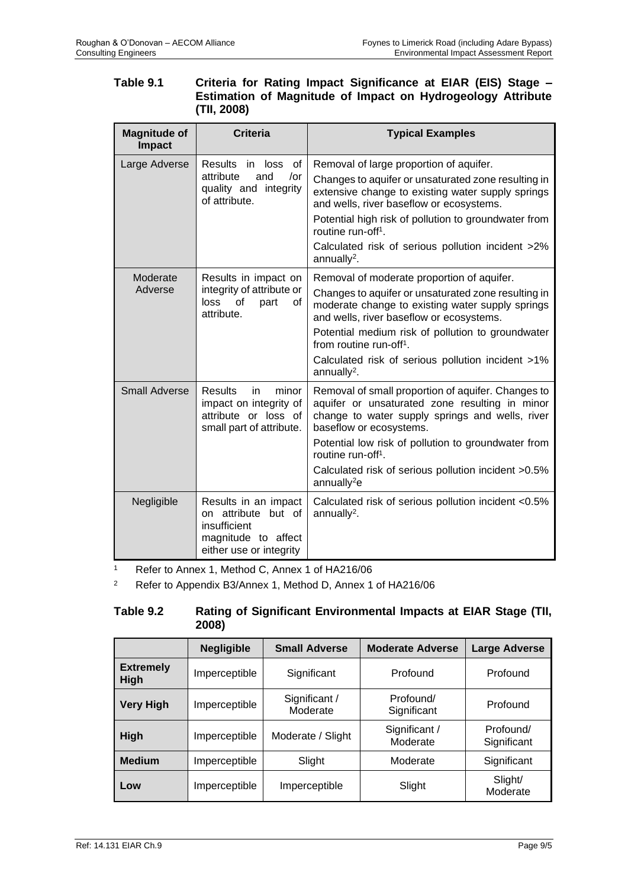| Table 9.1 | Criteria for Rating Impact Significance at EIAR (EIS) Stage - |
|-----------|---------------------------------------------------------------|
|           | Estimation of Magnitude of Impact on Hydrogeology Attribute   |
|           | (TII, 2008)                                                   |

| <b>Magnitude of</b><br>Impact | <b>Criteria</b>                                                                                               | <b>Typical Examples</b>                                                                                                                                                                                                                                                                       |
|-------------------------------|---------------------------------------------------------------------------------------------------------------|-----------------------------------------------------------------------------------------------------------------------------------------------------------------------------------------------------------------------------------------------------------------------------------------------|
| Large Adverse                 | Results in loss<br>of                                                                                         | Removal of large proportion of aquifer.                                                                                                                                                                                                                                                       |
|                               | attribute<br>and<br>/or<br>quality and integrity<br>of attribute.                                             | Changes to aquifer or unsaturated zone resulting in<br>extensive change to existing water supply springs<br>and wells, river baseflow or ecosystems.                                                                                                                                          |
|                               |                                                                                                               | Potential high risk of pollution to groundwater from<br>routine run-off <sup>1</sup> .                                                                                                                                                                                                        |
|                               |                                                                                                               | Calculated risk of serious pollution incident >2%<br>annually <sup>2</sup> .                                                                                                                                                                                                                  |
| Moderate<br>Adverse           | Results in impact on<br>integrity of attribute or<br>loss<br>οf<br>part<br>of<br>attribute.                   | Removal of moderate proportion of aquifer.<br>Changes to aquifer or unsaturated zone resulting in<br>moderate change to existing water supply springs<br>and wells, river baseflow or ecosystems.<br>Potential medium risk of pollution to groundwater<br>from routine run-off <sup>1</sup> . |
|                               |                                                                                                               | Calculated risk of serious pollution incident >1%<br>annually <sup>2</sup> .                                                                                                                                                                                                                  |
| <b>Small Adverse</b>          | minor<br><b>Results</b><br>in.<br>impact on integrity of<br>attribute or loss of<br>small part of attribute.  | Removal of small proportion of aquifer. Changes to<br>aquifer or unsaturated zone resulting in minor<br>change to water supply springs and wells, river<br>baseflow or ecosystems.                                                                                                            |
|                               |                                                                                                               | Potential low risk of pollution to groundwater from<br>routine run-off <sup>1</sup> .                                                                                                                                                                                                         |
|                               |                                                                                                               | Calculated risk of serious pollution incident > 0.5%<br>annually <sup>2</sup> e                                                                                                                                                                                                               |
| Negligible                    | Results in an impact<br>on attribute but of<br>insufficient<br>magnitude to affect<br>either use or integrity | Calculated risk of serious pollution incident <0.5%<br>annually <sup>2</sup> .                                                                                                                                                                                                                |

<sup>1</sup> Refer to Annex 1, Method C, Annex 1 of HA216/06

<sup>2</sup> Refer to Appendix B3/Annex 1, Method D, Annex 1 of HA216/06

# **Table 9.2 Rating of Significant Environmental Impacts at EIAR Stage (TII, 2008)**

|                                 | <b>Negligible</b> | <b>Small Adverse</b>      | <b>Moderate Adverse</b>   | <b>Large Adverse</b>     |
|---------------------------------|-------------------|---------------------------|---------------------------|--------------------------|
| <b>Extremely</b><br><b>High</b> | Imperceptible     | Significant               | Profound                  | Profound                 |
| <b>Very High</b>                | Imperceptible     | Significant /<br>Moderate | Profound/<br>Significant  | Profound                 |
| <b>High</b>                     | Imperceptible     | Moderate / Slight         | Significant /<br>Moderate | Profound/<br>Significant |
| <b>Medium</b>                   | Imperceptible     | Slight                    | Moderate                  | Significant              |
| Low                             | Imperceptible     | Imperceptible             | Slight                    | Slight/<br>Moderate      |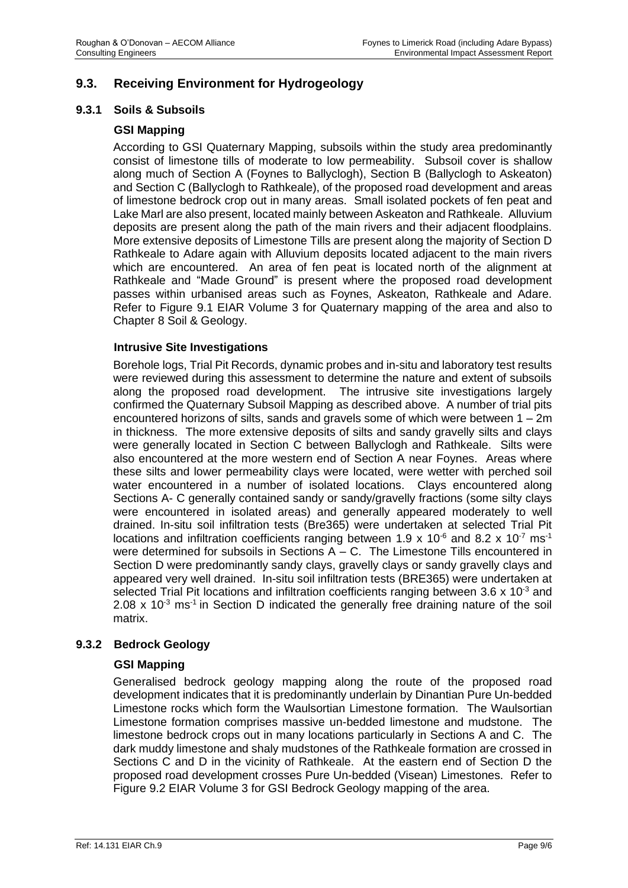# **9.3. Receiving Environment for Hydrogeology**

#### **9.3.1 Soils & Subsoils**

#### **GSI Mapping**

According to GSI Quaternary Mapping, subsoils within the study area predominantly consist of limestone tills of moderate to low permeability. Subsoil cover is shallow along much of Section A (Foynes to Ballyclogh), Section B (Ballyclogh to Askeaton) and Section C (Ballyclogh to Rathkeale), of the proposed road development and areas of limestone bedrock crop out in many areas. Small isolated pockets of fen peat and Lake Marl are also present, located mainly between Askeaton and Rathkeale. Alluvium deposits are present along the path of the main rivers and their adjacent floodplains. More extensive deposits of Limestone Tills are present along the majority of Section D Rathkeale to Adare again with Alluvium deposits located adjacent to the main rivers which are encountered. An area of fen peat is located north of the alignment at Rathkeale and "Made Ground" is present where the proposed road development passes within urbanised areas such as Foynes, Askeaton, Rathkeale and Adare. Refer to Figure 9.1 EIAR Volume 3 for Quaternary mapping of the area and also to Chapter 8 Soil & Geology.

#### **Intrusive Site Investigations**

Borehole logs, Trial Pit Records, dynamic probes and in-situ and laboratory test results were reviewed during this assessment to determine the nature and extent of subsoils along the proposed road development. The intrusive site investigations largely confirmed the Quaternary Subsoil Mapping as described above. A number of trial pits encountered horizons of silts, sands and gravels some of which were between  $1 - 2m$ in thickness. The more extensive deposits of silts and sandy gravelly silts and clays were generally located in Section C between Ballyclogh and Rathkeale. Silts were also encountered at the more western end of Section A near Foynes. Areas where these silts and lower permeability clays were located, were wetter with perched soil water encountered in a number of isolated locations. Clays encountered along Sections A- C generally contained sandy or sandy/gravelly fractions (some silty clays were encountered in isolated areas) and generally appeared moderately to well drained. In-situ soil infiltration tests (Bre365) were undertaken at selected Trial Pit locations and infiltration coefficients ranging between 1.9 x 10<sup>-6</sup> and 8.2 x 10<sup>-7</sup> ms<sup>-1</sup> were determined for subsoils in Sections  $A - C$ . The Limestone Tills encountered in Section D were predominantly sandy clays, gravelly clays or sandy gravelly clays and appeared very well drained. In-situ soil infiltration tests (BRE365) were undertaken at selected Trial Pit locations and infiltration coefficients ranging between 3.6  $\times$  10<sup>-3</sup> and 2.08 x 10 $3$  ms<sup>-1</sup> in Section D indicated the generally free draining nature of the soil matrix.

#### **9.3.2 Bedrock Geology**

#### **GSI Mapping**

Generalised bedrock geology mapping along the route of the proposed road development indicates that it is predominantly underlain by Dinantian Pure Un-bedded Limestone rocks which form the Waulsortian Limestone formation. The Waulsortian Limestone formation comprises massive un-bedded limestone and mudstone. The limestone bedrock crops out in many locations particularly in Sections A and C. The dark muddy limestone and shaly mudstones of the Rathkeale formation are crossed in Sections C and D in the vicinity of Rathkeale. At the eastern end of Section D the proposed road development crosses Pure Un-bedded (Visean) Limestones. Refer to Figure 9.2 EIAR Volume 3 for GSI Bedrock Geology mapping of the area.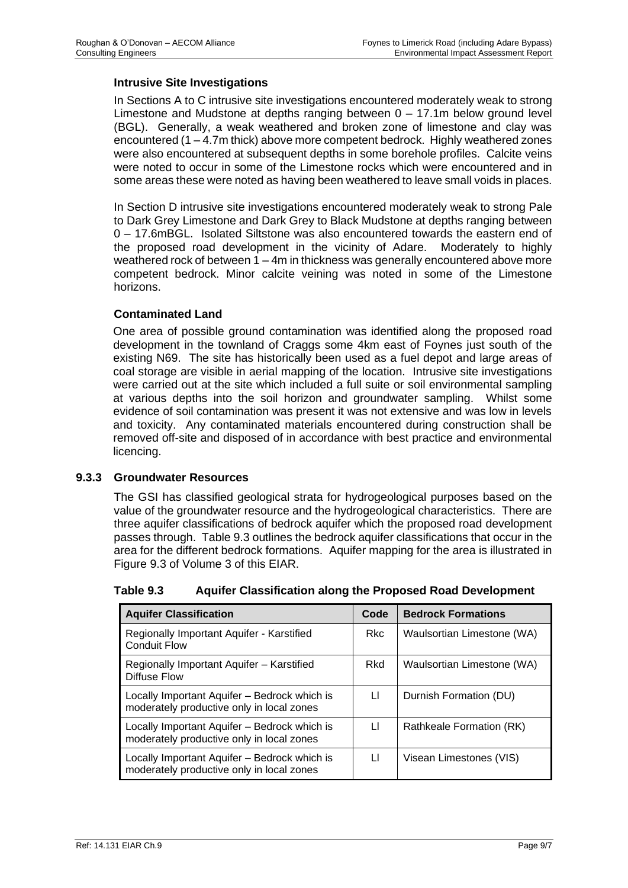#### **Intrusive Site Investigations**

In Sections A to C intrusive site investigations encountered moderately weak to strong Limestone and Mudstone at depths ranging between 0 – 17.1m below ground level (BGL). Generally, a weak weathered and broken zone of limestone and clay was encountered (1 – 4.7m thick) above more competent bedrock. Highly weathered zones were also encountered at subsequent depths in some borehole profiles. Calcite veins were noted to occur in some of the Limestone rocks which were encountered and in some areas these were noted as having been weathered to leave small voids in places.

In Section D intrusive site investigations encountered moderately weak to strong Pale to Dark Grey Limestone and Dark Grey to Black Mudstone at depths ranging between 0 – 17.6mBGL. Isolated Siltstone was also encountered towards the eastern end of the proposed road development in the vicinity of Adare. Moderately to highly weathered rock of between 1 – 4m in thickness was generally encountered above more competent bedrock. Minor calcite veining was noted in some of the Limestone horizons.

# **Contaminated Land**

One area of possible ground contamination was identified along the proposed road development in the townland of Craggs some 4km east of Foynes just south of the existing N69. The site has historically been used as a fuel depot and large areas of coal storage are visible in aerial mapping of the location. Intrusive site investigations were carried out at the site which included a full suite or soil environmental sampling at various depths into the soil horizon and groundwater sampling. Whilst some evidence of soil contamination was present it was not extensive and was low in levels and toxicity. Any contaminated materials encountered during construction shall be removed off-site and disposed of in accordance with best practice and environmental licencing.

#### **9.3.3 Groundwater Resources**

The GSI has classified geological strata for hydrogeological purposes based on the value of the groundwater resource and the hydrogeological characteristics. There are three aquifer classifications of bedrock aquifer which the proposed road development passes through. Table 9.3 outlines the bedrock aquifer classifications that occur in the area for the different bedrock formations. Aquifer mapping for the area is illustrated in Figure 9.3 of Volume 3 of this EIAR.

| <b>Aquifer Classification</b>                                    | <b>Code</b> | <b>Bedrock Formations</b>  |
|------------------------------------------------------------------|-------------|----------------------------|
| Regionally Important Aquifer - Karstified<br><b>Conduit Flow</b> | Rkc.        | Waulsortian Limestone (WA) |

#### **Table 9.3 Aquifer Classification along the Proposed Road Development**

| <b>CONQUIL FIOW</b>                                                                       |     |                            |
|-------------------------------------------------------------------------------------------|-----|----------------------------|
| Regionally Important Aquifer - Karstified<br><b>Diffuse Flow</b>                          | Rkd | Waulsortian Limestone (WA) |
| Locally Important Aquifer - Bedrock which is<br>moderately productive only in local zones | LI. | Durnish Formation (DU)     |
| Locally Important Aquifer - Bedrock which is<br>moderately productive only in local zones | LI. | Rathkeale Formation (RK)   |
| Locally Important Aquifer - Bedrock which is<br>moderately productive only in local zones | П   | Visean Limestones (VIS)    |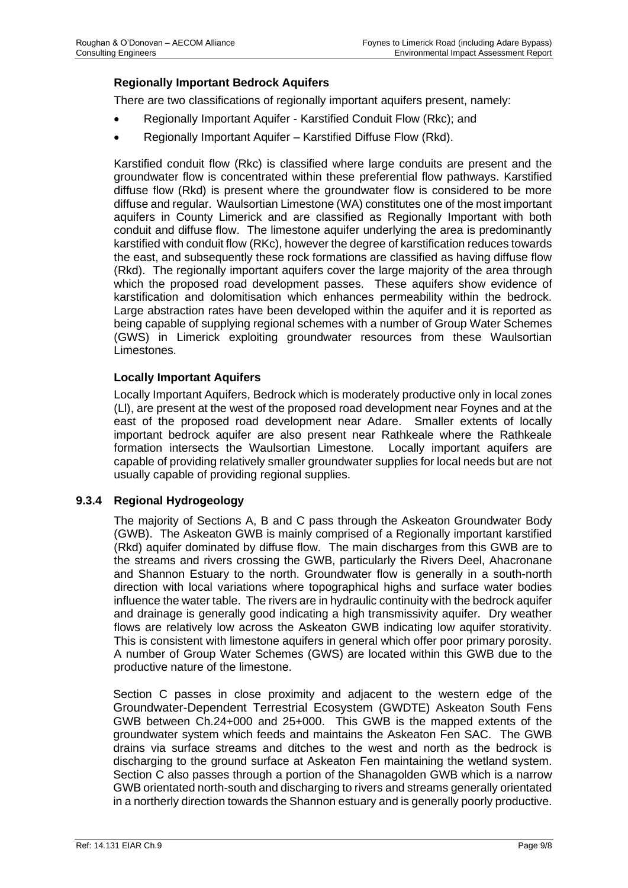# **Regionally Important Bedrock Aquifers**

There are two classifications of regionally important aquifers present, namely:

- Regionally Important Aquifer Karstified Conduit Flow (Rkc); and
- Regionally Important Aquifer Karstified Diffuse Flow (Rkd).

Karstified conduit flow (Rkc) is classified where large conduits are present and the groundwater flow is concentrated within these preferential flow pathways. Karstified diffuse flow (Rkd) is present where the groundwater flow is considered to be more diffuse and regular. Waulsortian Limestone (WA) constitutes one of the most important aquifers in County Limerick and are classified as Regionally Important with both conduit and diffuse flow. The limestone aquifer underlying the area is predominantly karstified with conduit flow (RKc), however the degree of karstification reduces towards the east, and subsequently these rock formations are classified as having diffuse flow (Rkd). The regionally important aquifers cover the large majority of the area through which the proposed road development passes. These aquifers show evidence of karstification and dolomitisation which enhances permeability within the bedrock. Large abstraction rates have been developed within the aquifer and it is reported as being capable of supplying regional schemes with a number of Group Water Schemes (GWS) in Limerick exploiting groundwater resources from these Waulsortian Limestones.

#### **Locally Important Aquifers**

Locally Important Aquifers, Bedrock which is moderately productive only in local zones (Ll), are present at the west of the proposed road development near Foynes and at the east of the proposed road development near Adare. Smaller extents of locally important bedrock aquifer are also present near Rathkeale where the Rathkeale formation intersects the Waulsortian Limestone. Locally important aquifers are capable of providing relatively smaller groundwater supplies for local needs but are not usually capable of providing regional supplies.

#### **9.3.4 Regional Hydrogeology**

The majority of Sections A, B and C pass through the Askeaton Groundwater Body (GWB). The Askeaton GWB is mainly comprised of a Regionally important karstified (Rkd) aquifer dominated by diffuse flow. The main discharges from this GWB are to the streams and rivers crossing the GWB, particularly the Rivers Deel, Ahacronane and Shannon Estuary to the north. Groundwater flow is generally in a south-north direction with local variations where topographical highs and surface water bodies influence the water table. The rivers are in hydraulic continuity with the bedrock aquifer and drainage is generally good indicating a high transmissivity aquifer. Dry weather flows are relatively low across the Askeaton GWB indicating low aquifer storativity. This is consistent with limestone aquifers in general which offer poor primary porosity. A number of Group Water Schemes (GWS) are located within this GWB due to the productive nature of the limestone.

Section C passes in close proximity and adjacent to the western edge of the Groundwater-Dependent Terrestrial Ecosystem (GWDTE) Askeaton South Fens GWB between Ch.24+000 and 25+000. This GWB is the mapped extents of the groundwater system which feeds and maintains the Askeaton Fen SAC. The GWB drains via surface streams and ditches to the west and north as the bedrock is discharging to the ground surface at Askeaton Fen maintaining the wetland system. Section C also passes through a portion of the Shanagolden GWB which is a narrow GWB orientated north-south and discharging to rivers and streams generally orientated in a northerly direction towards the Shannon estuary and is generally poorly productive.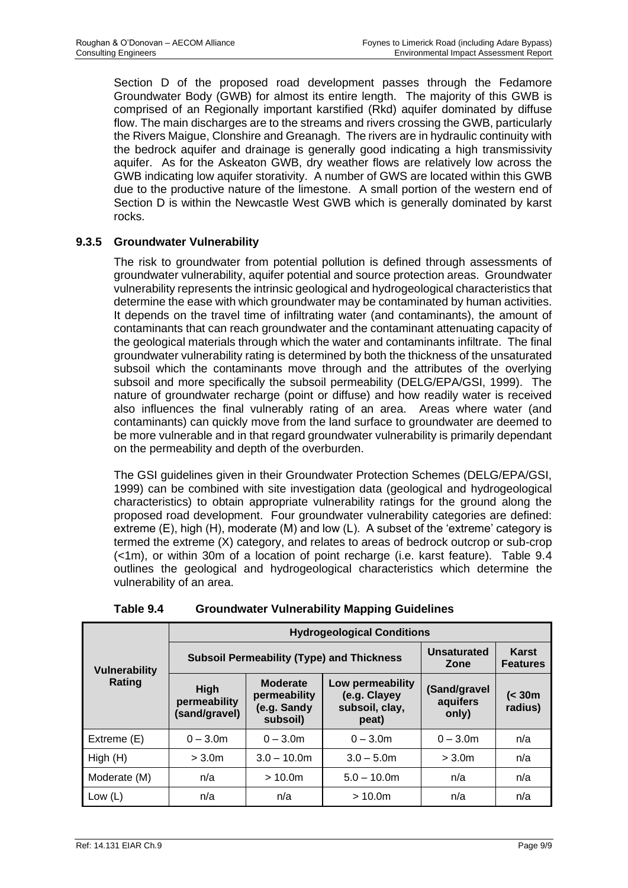Section D of the proposed road development passes through the Fedamore Groundwater Body (GWB) for almost its entire length. The majority of this GWB is comprised of an Regionally important karstified (Rkd) aquifer dominated by diffuse flow. The main discharges are to the streams and rivers crossing the GWB, particularly the Rivers Maigue, Clonshire and Greanagh. The rivers are in hydraulic continuity with the bedrock aquifer and drainage is generally good indicating a high transmissivity aquifer. As for the Askeaton GWB, dry weather flows are relatively low across the GWB indicating low aquifer storativity. A number of GWS are located within this GWB due to the productive nature of the limestone. A small portion of the western end of Section D is within the Newcastle West GWB which is generally dominated by karst rocks.

# **9.3.5 Groundwater Vulnerability**

The risk to groundwater from potential pollution is defined through assessments of groundwater vulnerability, aquifer potential and source protection areas. Groundwater vulnerability represents the intrinsic geological and hydrogeological characteristics that determine the ease with which groundwater may be contaminated by human activities. It depends on the travel time of infiltrating water (and contaminants), the amount of contaminants that can reach groundwater and the contaminant attenuating capacity of the geological materials through which the water and contaminants infiltrate. The final groundwater vulnerability rating is determined by both the thickness of the unsaturated subsoil which the contaminants move through and the attributes of the overlying subsoil and more specifically the subsoil permeability (DELG/EPA/GSI, 1999). The nature of groundwater recharge (point or diffuse) and how readily water is received also influences the final vulnerably rating of an area. Areas where water (and contaminants) can quickly move from the land surface to groundwater are deemed to be more vulnerable and in that regard groundwater vulnerability is primarily dependant on the permeability and depth of the overburden.

The GSI guidelines given in their Groundwater Protection Schemes (DELG/EPA/GSI, 1999) can be combined with site investigation data (geological and hydrogeological characteristics) to obtain appropriate vulnerability ratings for the ground along the proposed road development. Four groundwater vulnerability categories are defined: extreme (E), high (H), moderate (M) and low (L). A subset of the 'extreme' category is termed the extreme (X) category, and relates to areas of bedrock outcrop or sub-crop (<1m), or within 30m of a location of point recharge (i.e. karst feature). Table 9.4 outlines the geological and hydrogeological characteristics which determine the vulnerability of an area.

|                      | <b>Hydrogeological Conditions</b>            |                                                            |                                                             |                                   |                          |  |  |  |
|----------------------|----------------------------------------------|------------------------------------------------------------|-------------------------------------------------------------|-----------------------------------|--------------------------|--|--|--|
| <b>Vulnerability</b> |                                              | <b>Subsoil Permeability (Type) and Thickness</b>           |                                                             | Unsaturated<br>Zone               | Karst<br><b>Features</b> |  |  |  |
| Rating               | <b>High</b><br>permeability<br>(sand/gravel) | <b>Moderate</b><br>permeability<br>(e.g. Sandy<br>subsoil) | Low permeability<br>(e.g. Clayey<br>subsoil, clay,<br>peat) | (Sand/gravel<br>aquifers<br>only) | $\leq 30m$<br>radius)    |  |  |  |
| Extreme (E)          | $0 - 3.0m$                                   | $0 - 3.0m$                                                 | $0 - 3.0m$                                                  | $0 - 3.0m$                        | n/a                      |  |  |  |
| High(H)              | $>$ 3.0 $m$                                  | $3.0 - 10.0$ m                                             | $3.0 - 5.0$ m                                               | > 3.0 <sub>m</sub>                | n/a                      |  |  |  |
| Moderate (M)         | n/a                                          | > 10.0m                                                    | $5.0 - 10.0m$                                               | n/a                               | n/a                      |  |  |  |
| Low $(L)$            | n/a                                          | n/a                                                        | > 10.0m                                                     | n/a                               | n/a                      |  |  |  |

**Table 9.4 Groundwater Vulnerability Mapping Guidelines**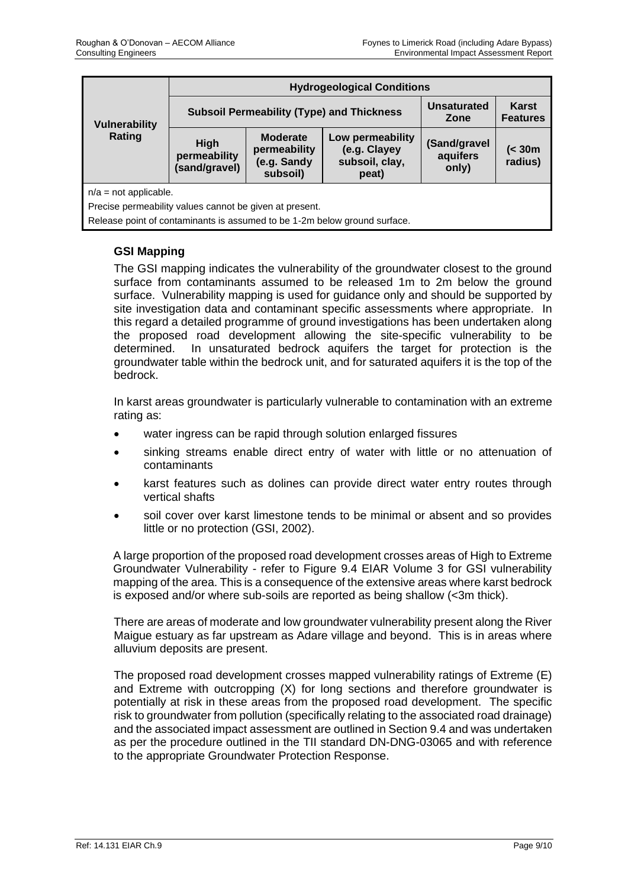| <b>Vulnerability</b>                                    | <b>Hydrogeological Conditions</b>                |                                                            |                                                                           |                                   |                   |  |  |
|---------------------------------------------------------|--------------------------------------------------|------------------------------------------------------------|---------------------------------------------------------------------------|-----------------------------------|-------------------|--|--|
|                                                         | <b>Subsoil Permeability (Type) and Thickness</b> |                                                            | <b>Unsaturated</b><br>Zone                                                | Karst<br><b>Features</b>          |                   |  |  |
| Rating                                                  | High<br>permeability<br>(sand/gravel)            | <b>Moderate</b><br>permeability<br>(e.g. Sandy<br>subsoil) | Low permeability<br>(e.g. Clayey<br>subsoil, clay,<br>peat)               | (Sand/gravel<br>aquifers<br>only) | (< 30m<br>radius) |  |  |
| $n/a = not applicable.$                                 |                                                  |                                                            |                                                                           |                                   |                   |  |  |
| Precise permeability values cannot be given at present. |                                                  |                                                            |                                                                           |                                   |                   |  |  |
|                                                         |                                                  |                                                            | Release point of contaminants is assumed to be 1-2m below ground surface. |                                   |                   |  |  |

# **GSI Mapping**

The GSI mapping indicates the vulnerability of the groundwater closest to the ground surface from contaminants assumed to be released 1m to 2m below the ground surface. Vulnerability mapping is used for guidance only and should be supported by site investigation data and contaminant specific assessments where appropriate. In this regard a detailed programme of ground investigations has been undertaken along the proposed road development allowing the site-specific vulnerability to be determined. In unsaturated bedrock aquifers the target for protection is the groundwater table within the bedrock unit, and for saturated aquifers it is the top of the bedrock.

In karst areas groundwater is particularly vulnerable to contamination with an extreme rating as:

- water ingress can be rapid through solution enlarged fissures
- sinking streams enable direct entry of water with little or no attenuation of contaminants
- karst features such as dolines can provide direct water entry routes through vertical shafts
- soil cover over karst limestone tends to be minimal or absent and so provides little or no protection (GSI, 2002).

A large proportion of the proposed road development crosses areas of High to Extreme Groundwater Vulnerability - refer to Figure 9.4 EIAR Volume 3 for GSI vulnerability mapping of the area. This is a consequence of the extensive areas where karst bedrock is exposed and/or where sub-soils are reported as being shallow (<3m thick).

There are areas of moderate and low groundwater vulnerability present along the River Maigue estuary as far upstream as Adare village and beyond. This is in areas where alluvium deposits are present.

The proposed road development crosses mapped vulnerability ratings of Extreme (E) and Extreme with outcropping (X) for long sections and therefore groundwater is potentially at risk in these areas from the proposed road development. The specific risk to groundwater from pollution (specifically relating to the associated road drainage) and the associated impact assessment are outlined in Section 9.4 and was undertaken as per the procedure outlined in the TII standard DN-DNG-03065 and with reference to the appropriate Groundwater Protection Response.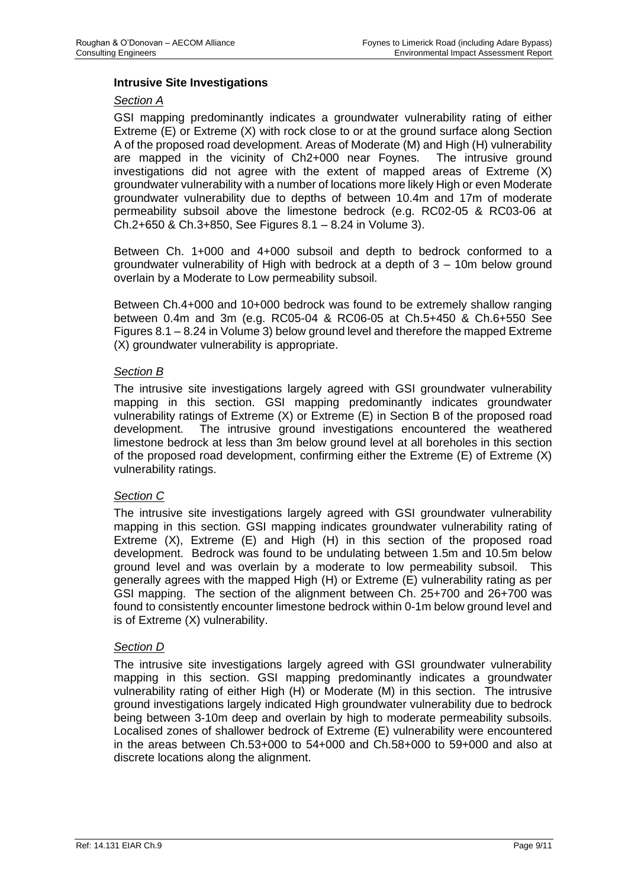#### **Intrusive Site Investigations**

#### *Section A*

GSI mapping predominantly indicates a groundwater vulnerability rating of either Extreme (E) or Extreme (X) with rock close to or at the ground surface along Section A of the proposed road development. Areas of Moderate (M) and High (H) vulnerability are mapped in the vicinity of Ch2+000 near Foynes. The intrusive ground investigations did not agree with the extent of mapped areas of Extreme (X) groundwater vulnerability with a number of locations more likely High or even Moderate groundwater vulnerability due to depths of between 10.4m and 17m of moderate permeability subsoil above the limestone bedrock (e.g. RC02-05 & RC03-06 at Ch.2+650 & Ch.3+850, See Figures 8.1 – 8.24 in Volume 3).

Between Ch. 1+000 and 4+000 subsoil and depth to bedrock conformed to a groundwater vulnerability of High with bedrock at a depth of 3 – 10m below ground overlain by a Moderate to Low permeability subsoil.

Between Ch.4+000 and 10+000 bedrock was found to be extremely shallow ranging between 0.4m and 3m (e.g. RC05-04 & RC06-05 at Ch.5+450 & Ch.6+550 See Figures 8.1 – 8.24 in Volume 3) below ground level and therefore the mapped Extreme (X) groundwater vulnerability is appropriate.

#### *Section B*

The intrusive site investigations largely agreed with GSI groundwater vulnerability mapping in this section. GSI mapping predominantly indicates groundwater vulnerability ratings of Extreme (X) or Extreme (E) in Section B of the proposed road development. The intrusive ground investigations encountered the weathered limestone bedrock at less than 3m below ground level at all boreholes in this section of the proposed road development, confirming either the Extreme (E) of Extreme (X) vulnerability ratings.

#### *Section C*

The intrusive site investigations largely agreed with GSI groundwater vulnerability mapping in this section. GSI mapping indicates groundwater vulnerability rating of Extreme (X), Extreme (E) and High (H) in this section of the proposed road development. Bedrock was found to be undulating between 1.5m and 10.5m below ground level and was overlain by a moderate to low permeability subsoil. This generally agrees with the mapped High (H) or Extreme (E) vulnerability rating as per GSI mapping. The section of the alignment between Ch. 25+700 and 26+700 was found to consistently encounter limestone bedrock within 0-1m below ground level and is of Extreme (X) vulnerability.

#### *Section D*

The intrusive site investigations largely agreed with GSI groundwater vulnerability mapping in this section. GSI mapping predominantly indicates a groundwater vulnerability rating of either High (H) or Moderate (M) in this section. The intrusive ground investigations largely indicated High groundwater vulnerability due to bedrock being between 3-10m deep and overlain by high to moderate permeability subsoils. Localised zones of shallower bedrock of Extreme (E) vulnerability were encountered in the areas between Ch.53+000 to 54+000 and Ch.58+000 to 59+000 and also at discrete locations along the alignment.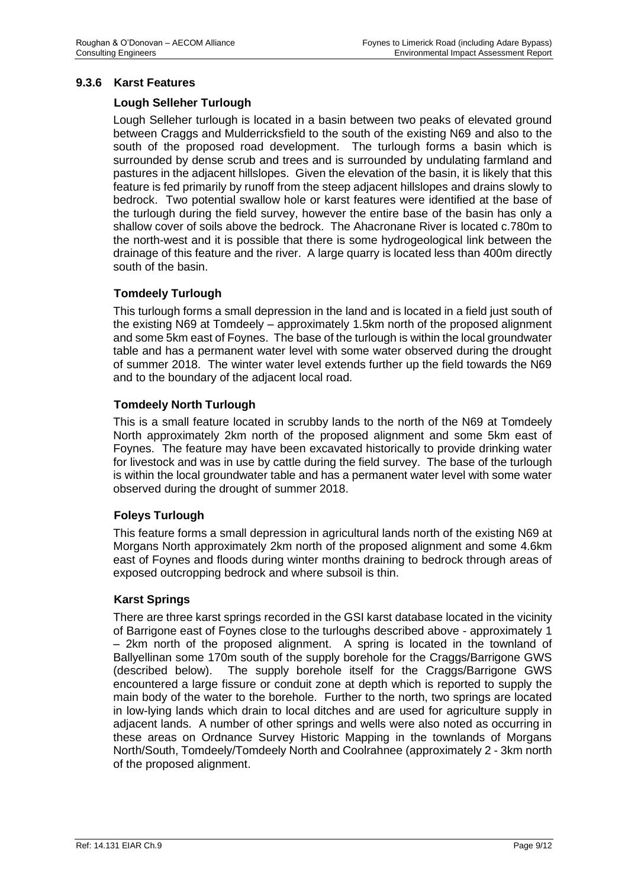#### **9.3.6 Karst Features**

#### **Lough Selleher Turlough**

Lough Selleher turlough is located in a basin between two peaks of elevated ground between Craggs and Mulderricksfield to the south of the existing N69 and also to the south of the proposed road development. The turlough forms a basin which is surrounded by dense scrub and trees and is surrounded by undulating farmland and pastures in the adjacent hillslopes. Given the elevation of the basin, it is likely that this feature is fed primarily by runoff from the steep adjacent hillslopes and drains slowly to bedrock. Two potential swallow hole or karst features were identified at the base of the turlough during the field survey, however the entire base of the basin has only a shallow cover of soils above the bedrock. The Ahacronane River is located c.780m to the north-west and it is possible that there is some hydrogeological link between the drainage of this feature and the river. A large quarry is located less than 400m directly south of the basin.

# **Tomdeely Turlough**

This turlough forms a small depression in the land and is located in a field just south of the existing N69 at Tomdeely – approximately 1.5km north of the proposed alignment and some 5km east of Foynes. The base of the turlough is within the local groundwater table and has a permanent water level with some water observed during the drought of summer 2018. The winter water level extends further up the field towards the N69 and to the boundary of the adjacent local road.

#### **Tomdeely North Turlough**

This is a small feature located in scrubby lands to the north of the N69 at Tomdeely North approximately 2km north of the proposed alignment and some 5km east of Foynes. The feature may have been excavated historically to provide drinking water for livestock and was in use by cattle during the field survey. The base of the turlough is within the local groundwater table and has a permanent water level with some water observed during the drought of summer 2018.

#### **Foleys Turlough**

This feature forms a small depression in agricultural lands north of the existing N69 at Morgans North approximately 2km north of the proposed alignment and some 4.6km east of Foynes and floods during winter months draining to bedrock through areas of exposed outcropping bedrock and where subsoil is thin.

#### **Karst Springs**

There are three karst springs recorded in the GSI karst database located in the vicinity of Barrigone east of Foynes close to the turloughs described above - approximately 1 – 2km north of the proposed alignment. A spring is located in the townland of Ballyellinan some 170m south of the supply borehole for the Craggs/Barrigone GWS (described below). The supply borehole itself for the Craggs/Barrigone GWS encountered a large fissure or conduit zone at depth which is reported to supply the main body of the water to the borehole. Further to the north, two springs are located in low-lying lands which drain to local ditches and are used for agriculture supply in adjacent lands. A number of other springs and wells were also noted as occurring in these areas on Ordnance Survey Historic Mapping in the townlands of Morgans North/South, Tomdeely/Tomdeely North and Coolrahnee (approximately 2 - 3km north of the proposed alignment.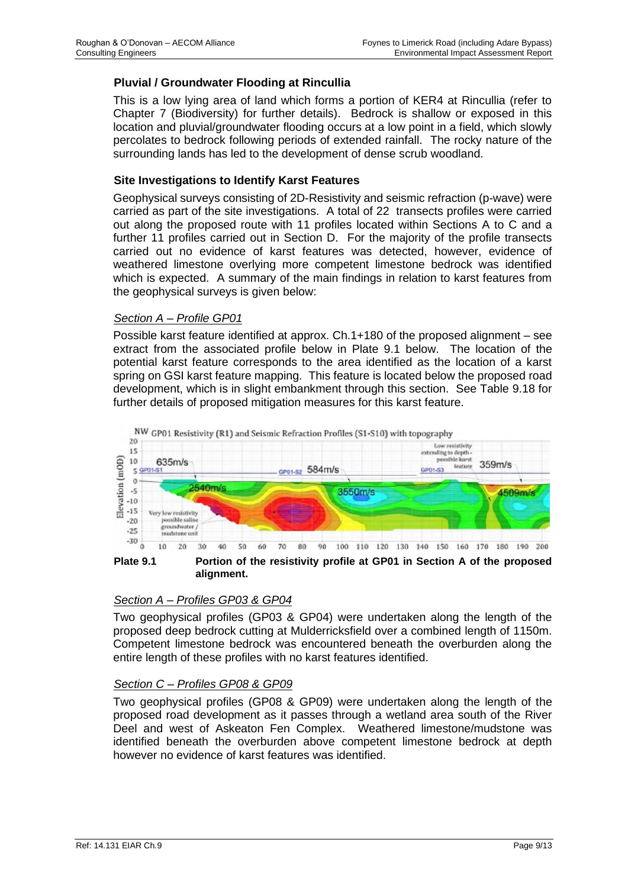# **Pluvial / Groundwater Flooding at Rincullia**

This is a low lying area of land which forms a portion of KER4 at Rincullia (refer to Chapter 7 (Biodiversity) for further details). Bedrock is shallow or exposed in this location and pluvial/groundwater flooding occurs at a low point in a field, which slowly percolates to bedrock following periods of extended rainfall. The rocky nature of the surrounding lands has led to the development of dense scrub woodland.

#### **Site Investigations to Identify Karst Features**

Geophysical surveys consisting of 2D-Resistivity and seismic refraction (p-wave) were carried as part of the site investigations. A total of 22 transects profiles were carried out along the proposed route with 11 profiles located within Sections A to C and a further 11 profiles carried out in Section D. For the majority of the profile transects carried out no evidence of karst features was detected, however, evidence of weathered limestone overlying more competent limestone bedrock was identified which is expected. A summary of the main findings in relation to karst features from the geophysical surveys is given below:

#### *Section A – Profile GP01*

Possible karst feature identified at approx. Ch.1+180 of the proposed alignment – see extract from the associated profile below in Plate 9.1 below. The location of the potential karst feature corresponds to the area identified as the location of a karst spring on GSI karst feature mapping. This feature is located below the proposed road development, which is in slight embankment through this section. See Table 9.18 for further details of proposed mitigation measures for this karst feature.



**Plate 9.1 Portion of the resistivity profile at GP01 in Section A of the proposed alignment.** 

#### *Section A – Profiles GP03 & GP04*

Two geophysical profiles (GP03 & GP04) were undertaken along the length of the proposed deep bedrock cutting at Mulderricksfield over a combined length of 1150m. Competent limestone bedrock was encountered beneath the overburden along the entire length of these profiles with no karst features identified.

#### *Section C – Profiles GP08 & GP09*

Two geophysical profiles (GP08 & GP09) were undertaken along the length of the proposed road development as it passes through a wetland area south of the River Deel and west of Askeaton Fen Complex. Weathered limestone/mudstone was identified beneath the overburden above competent limestone bedrock at depth however no evidence of karst features was identified.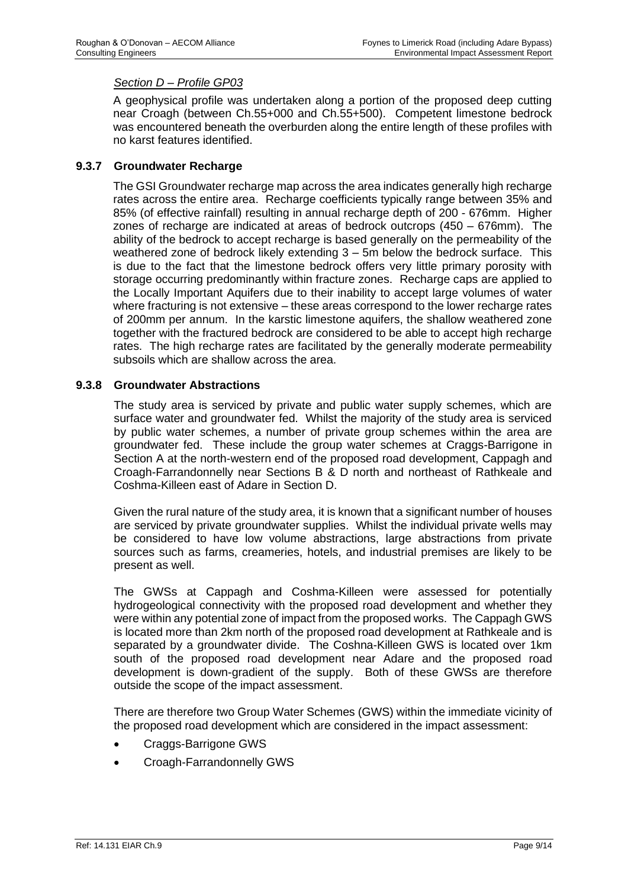# *Section D – Profile GP03*

A geophysical profile was undertaken along a portion of the proposed deep cutting near Croagh (between Ch.55+000 and Ch.55+500). Competent limestone bedrock was encountered beneath the overburden along the entire length of these profiles with no karst features identified.

#### **9.3.7 Groundwater Recharge**

The GSI Groundwater recharge map across the area indicates generally high recharge rates across the entire area. Recharge coefficients typically range between 35% and 85% (of effective rainfall) resulting in annual recharge depth of 200 - 676mm. Higher zones of recharge are indicated at areas of bedrock outcrops (450 – 676mm). The ability of the bedrock to accept recharge is based generally on the permeability of the weathered zone of bedrock likely extending 3 – 5m below the bedrock surface. This is due to the fact that the limestone bedrock offers very little primary porosity with storage occurring predominantly within fracture zones. Recharge caps are applied to the Locally Important Aquifers due to their inability to accept large volumes of water where fracturing is not extensive – these areas correspond to the lower recharge rates of 200mm per annum. In the karstic limestone aquifers, the shallow weathered zone together with the fractured bedrock are considered to be able to accept high recharge rates. The high recharge rates are facilitated by the generally moderate permeability subsoils which are shallow across the area.

#### **9.3.8 Groundwater Abstractions**

The study area is serviced by private and public water supply schemes, which are surface water and groundwater fed. Whilst the majority of the study area is serviced by public water schemes, a number of private group schemes within the area are groundwater fed. These include the group water schemes at Craggs-Barrigone in Section A at the north-western end of the proposed road development, Cappagh and Croagh-Farrandonnelly near Sections B & D north and northeast of Rathkeale and Coshma-Killeen east of Adare in Section D.

Given the rural nature of the study area, it is known that a significant number of houses are serviced by private groundwater supplies. Whilst the individual private wells may be considered to have low volume abstractions, large abstractions from private sources such as farms, creameries, hotels, and industrial premises are likely to be present as well.

The GWSs at Cappagh and Coshma-Killeen were assessed for potentially hydrogeological connectivity with the proposed road development and whether they were within any potential zone of impact from the proposed works. The Cappagh GWS is located more than 2km north of the proposed road development at Rathkeale and is separated by a groundwater divide. The Coshna-Killeen GWS is located over 1km south of the proposed road development near Adare and the proposed road development is down-gradient of the supply. Both of these GWSs are therefore outside the scope of the impact assessment.

There are therefore two Group Water Schemes (GWS) within the immediate vicinity of the proposed road development which are considered in the impact assessment:

- Craggs-Barrigone GWS
- Croagh-Farrandonnelly GWS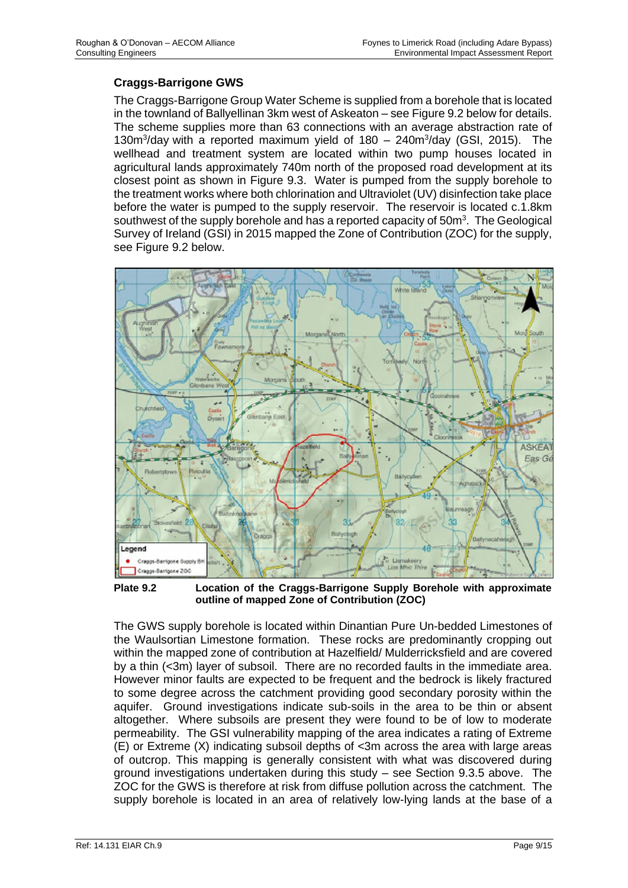# **Craggs-Barrigone GWS**

The Craggs-Barrigone Group Water Scheme is supplied from a borehole that is located in the townland of Ballyellinan 3km west of Askeaton – see Figure 9.2 below for details. The scheme supplies more than 63 connections with an average abstraction rate of 130m<sup>3</sup>/day with a reported maximum yield of 180 - 240m<sup>3</sup>/day (GSI, 2015). The wellhead and treatment system are located within two pump houses located in agricultural lands approximately 740m north of the proposed road development at its closest point as shown in Figure 9.3. Water is pumped from the supply borehole to the treatment works where both chlorination and Ultraviolet (UV) disinfection take place before the water is pumped to the supply reservoir. The reservoir is located c.1.8km southwest of the supply borehole and has a reported capacity of  $50m<sup>3</sup>$ . The Geological Survey of Ireland (GSI) in 2015 mapped the Zone of Contribution (ZOC) for the supply, see Figure 9.2 below.



**Plate 9.2 Location of the Craggs-Barrigone Supply Borehole with approximate outline of mapped Zone of Contribution (ZOC)** 

The GWS supply borehole is located within Dinantian Pure Un-bedded Limestones of the Waulsortian Limestone formation. These rocks are predominantly cropping out within the mapped zone of contribution at Hazelfield/ Mulderricksfield and are covered by a thin (<3m) layer of subsoil. There are no recorded faults in the immediate area. However minor faults are expected to be frequent and the bedrock is likely fractured to some degree across the catchment providing good secondary porosity within the aquifer. Ground investigations indicate sub-soils in the area to be thin or absent altogether. Where subsoils are present they were found to be of low to moderate permeability. The GSI vulnerability mapping of the area indicates a rating of Extreme (E) or Extreme (X) indicating subsoil depths of <3m across the area with large areas of outcrop. This mapping is generally consistent with what was discovered during ground investigations undertaken during this study – see Section 9.3.5 above. The ZOC for the GWS is therefore at risk from diffuse pollution across the catchment. The supply borehole is located in an area of relatively low-lying lands at the base of a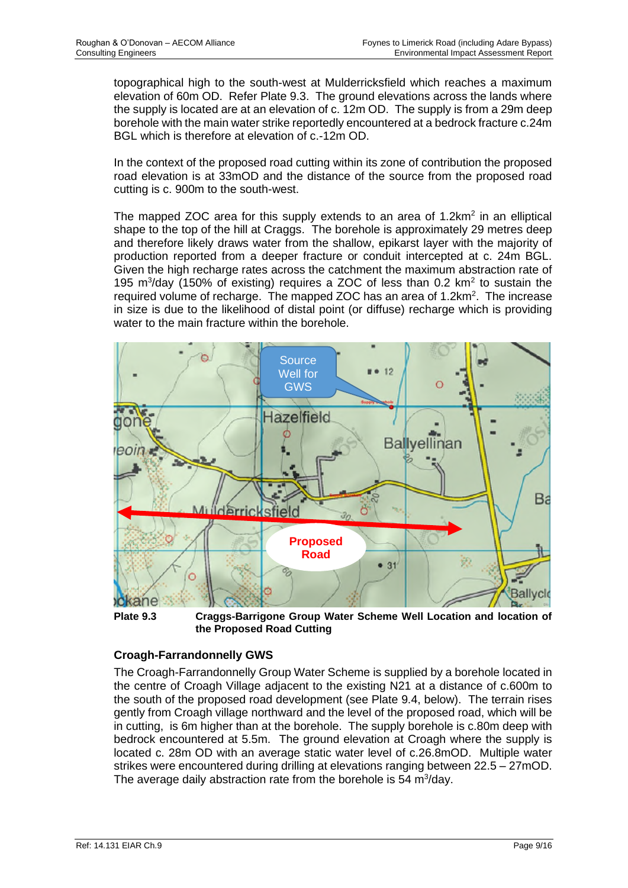topographical high to the south-west at Mulderricksfield which reaches a maximum elevation of 60m OD. Refer Plate 9.3. The ground elevations across the lands where the supply is located are at an elevation of c. 12m OD. The supply is from a 29m deep borehole with the main water strike reportedly encountered at a bedrock fracture c.24m BGL which is therefore at elevation of c.-12m OD.

In the context of the proposed road cutting within its zone of contribution the proposed road elevation is at 33mOD and the distance of the source from the proposed road cutting is c. 900m to the south-west.

The mapped ZOC area for this supply extends to an area of  $1.2 \text{km}^2$  in an elliptical shape to the top of the hill at Craggs. The borehole is approximately 29 metres deep and therefore likely draws water from the shallow, epikarst layer with the majority of production reported from a deeper fracture or conduit intercepted at c. 24m BGL. Given the high recharge rates across the catchment the maximum abstraction rate of 195 m<sup>3</sup>/day (150% of existing) requires a ZOC of less than 0.2 km<sup>2</sup> to sustain the required volume of recharge. The mapped ZOC has an area of 1.2km<sup>2</sup>. The increase in size is due to the likelihood of distal point (or diffuse) recharge which is providing water to the main fracture within the borehole.



**Plate 9.3 Craggs-Barrigone Group Water Scheme Well Location and location of the Proposed Road Cutting**

# **Croagh-Farrandonnelly GWS**

The Croagh-Farrandonnelly Group Water Scheme is supplied by a borehole located in the centre of Croagh Village adjacent to the existing N21 at a distance of c.600m to the south of the proposed road development (see Plate 9.4, below). The terrain rises gently from Croagh village northward and the level of the proposed road, which will be in cutting, is 6m higher than at the borehole. The supply borehole is c.80m deep with bedrock encountered at 5.5m. The ground elevation at Croagh where the supply is located c. 28m OD with an average static water level of c.26.8mOD. Multiple water strikes were encountered during drilling at elevations ranging between 22.5 – 27mOD. The average daily abstraction rate from the borehole is 54  $m^3$ /day.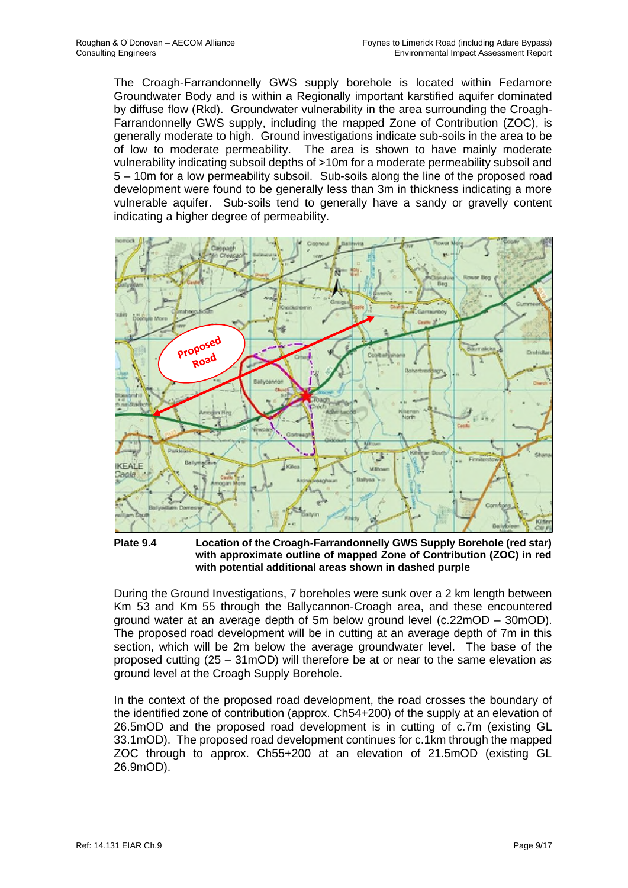The Croagh-Farrandonnelly GWS supply borehole is located within Fedamore Groundwater Body and is within a Regionally important karstified aquifer dominated by diffuse flow (Rkd). Groundwater vulnerability in the area surrounding the Croagh-Farrandonnelly GWS supply, including the mapped Zone of Contribution (ZOC), is generally moderate to high. Ground investigations indicate sub-soils in the area to be of low to moderate permeability. The area is shown to have mainly moderate vulnerability indicating subsoil depths of >10m for a moderate permeability subsoil and 5 – 10m for a low permeability subsoil. Sub-soils along the line of the proposed road development were found to be generally less than 3m in thickness indicating a more vulnerable aquifer. Sub-soils tend to generally have a sandy or gravelly content indicating a higher degree of permeability.



**Plate 9.4 Location of the Croagh-Farrandonnelly GWS Supply Borehole (red star) with approximate outline of mapped Zone of Contribution (ZOC) in red with potential additional areas shown in dashed purple**

During the Ground Investigations, 7 boreholes were sunk over a 2 km length between Km 53 and Km 55 through the Ballycannon-Croagh area, and these encountered ground water at an average depth of 5m below ground level (c.22mOD – 30mOD). The proposed road development will be in cutting at an average depth of 7m in this section, which will be 2m below the average groundwater level. The base of the proposed cutting (25 – 31mOD) will therefore be at or near to the same elevation as ground level at the Croagh Supply Borehole.

In the context of the proposed road development, the road crosses the boundary of the identified zone of contribution (approx. Ch54+200) of the supply at an elevation of 26.5mOD and the proposed road development is in cutting of c.7m (existing GL 33.1mOD). The proposed road development continues for c.1km through the mapped ZOC through to approx. Ch55+200 at an elevation of 21.5mOD (existing GL 26.9mOD).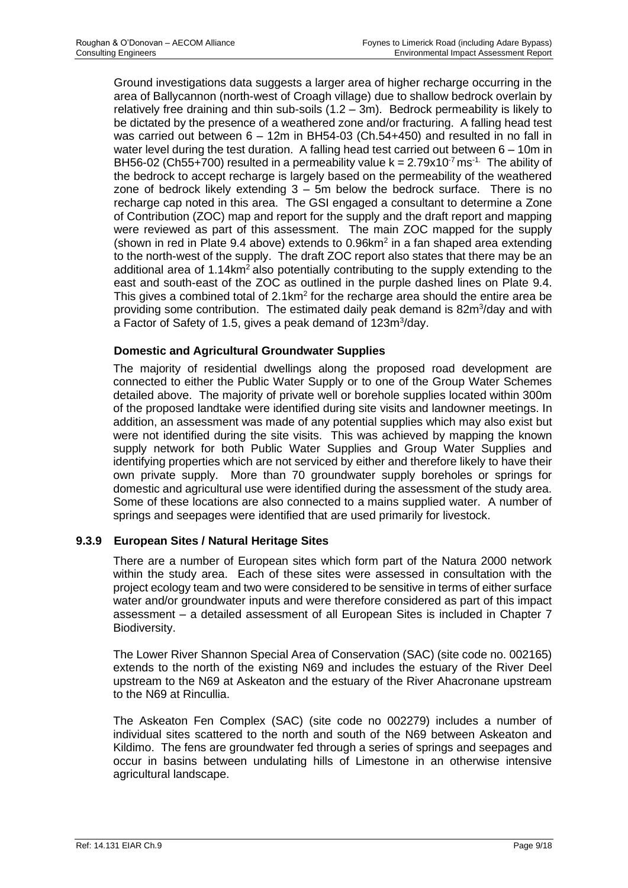Ground investigations data suggests a larger area of higher recharge occurring in the area of Ballycannon (north-west of Croagh village) due to shallow bedrock overlain by relatively free draining and thin sub-soils  $(1.2 - 3m)$ . Bedrock permeability is likely to be dictated by the presence of a weathered zone and/or fracturing. A falling head test was carried out between 6 – 12m in BH54-03 (Ch.54+450) and resulted in no fall in water level during the test duration. A falling head test carried out between 6 – 10m in BH56-02 (Ch55+700) resulted in a permeability value  $k = 2.79x10^{-7}$  ms<sup>-1.</sup> The ability of the bedrock to accept recharge is largely based on the permeability of the weathered zone of bedrock likely extending  $3 - 5m$  below the bedrock surface. There is no recharge cap noted in this area. The GSI engaged a consultant to determine a Zone of Contribution (ZOC) map and report for the supply and the draft report and mapping were reviewed as part of this assessment. The main ZOC mapped for the supply (shown in red in Plate 9.4 above) extends to  $0.96$ km<sup>2</sup> in a fan shaped area extending to the north-west of the supply. The draft ZOC report also states that there may be an additional area of 1.14km<sup>2</sup> also potentially contributing to the supply extending to the east and south-east of the ZOC as outlined in the purple dashed lines on Plate 9.4. This gives a combined total of  $2.1 \text{km}^2$  for the recharge area should the entire area be providing some contribution. The estimated daily peak demand is 82m<sup>3</sup>/day and with a Factor of Safety of 1.5, gives a peak demand of 123m<sup>3</sup>/day.

# **Domestic and Agricultural Groundwater Supplies**

The majority of residential dwellings along the proposed road development are connected to either the Public Water Supply or to one of the Group Water Schemes detailed above. The majority of private well or borehole supplies located within 300m of the proposed landtake were identified during site visits and landowner meetings. In addition, an assessment was made of any potential supplies which may also exist but were not identified during the site visits. This was achieved by mapping the known supply network for both Public Water Supplies and Group Water Supplies and identifying properties which are not serviced by either and therefore likely to have their own private supply. More than 70 groundwater supply boreholes or springs for domestic and agricultural use were identified during the assessment of the study area. Some of these locations are also connected to a mains supplied water. A number of springs and seepages were identified that are used primarily for livestock.

# **9.3.9 European Sites / Natural Heritage Sites**

There are a number of European sites which form part of the Natura 2000 network within the study area. Each of these sites were assessed in consultation with the project ecology team and two were considered to be sensitive in terms of either surface water and/or groundwater inputs and were therefore considered as part of this impact assessment – a detailed assessment of all European Sites is included in Chapter 7 Biodiversity.

The Lower River Shannon Special Area of Conservation (SAC) (site code no. 002165) extends to the north of the existing N69 and includes the estuary of the River Deel upstream to the N69 at Askeaton and the estuary of the River Ahacronane upstream to the N69 at Rincullia.

The Askeaton Fen Complex (SAC) (site code no 002279) includes a number of individual sites scattered to the north and south of the N69 between Askeaton and Kildimo. The fens are groundwater fed through a series of springs and seepages and occur in basins between undulating hills of Limestone in an otherwise intensive agricultural landscape.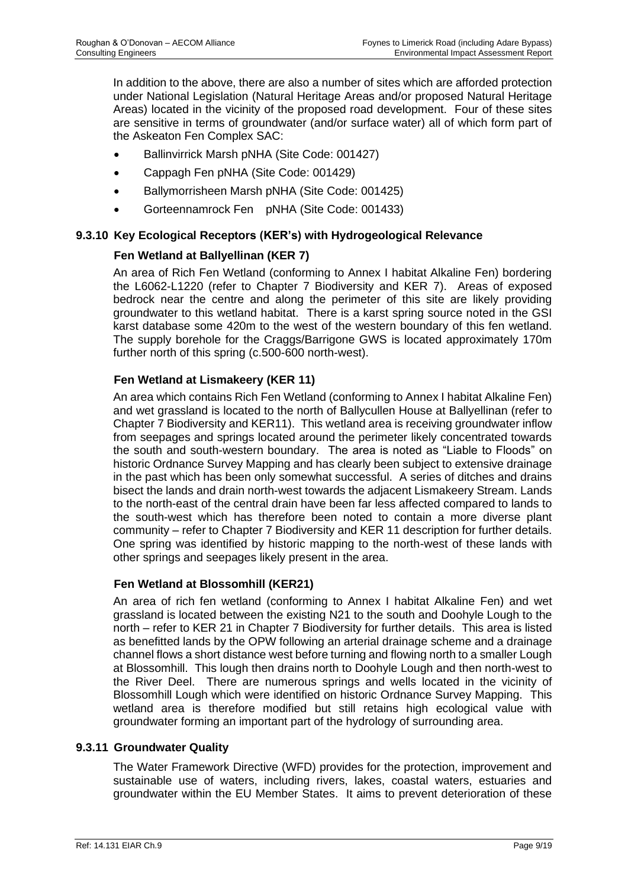In addition to the above, there are also a number of sites which are afforded protection under National Legislation (Natural Heritage Areas and/or proposed Natural Heritage Areas) located in the vicinity of the proposed road development. Four of these sites are sensitive in terms of groundwater (and/or surface water) all of which form part of the Askeaton Fen Complex SAC:

- Ballinvirrick Marsh pNHA (Site Code: 001427)
- Cappagh Fen pNHA (Site Code: 001429)
- Ballymorrisheen Marsh pNHA (Site Code: 001425)
- Gorteennamrock Fen pNHA (Site Code: 001433)

#### **9.3.10 Key Ecological Receptors (KER's) with Hydrogeological Relevance**

# **Fen Wetland at Ballyellinan (KER 7)**

An area of Rich Fen Wetland (conforming to Annex I habitat Alkaline Fen) bordering the L6062-L1220 (refer to Chapter 7 Biodiversity and KER 7). Areas of exposed bedrock near the centre and along the perimeter of this site are likely providing groundwater to this wetland habitat. There is a karst spring source noted in the GSI karst database some 420m to the west of the western boundary of this fen wetland. The supply borehole for the Craggs/Barrigone GWS is located approximately 170m further north of this spring (c.500-600 north-west).

# **Fen Wetland at Lismakeery (KER 11)**

An area which contains Rich Fen Wetland (conforming to Annex I habitat Alkaline Fen) and wet grassland is located to the north of Ballycullen House at Ballyellinan (refer to Chapter 7 Biodiversity and KER11). This wetland area is receiving groundwater inflow from seepages and springs located around the perimeter likely concentrated towards the south and south-western boundary. The area is noted as "Liable to Floods" on historic Ordnance Survey Mapping and has clearly been subject to extensive drainage in the past which has been only somewhat successful. A series of ditches and drains bisect the lands and drain north-west towards the adjacent Lismakeery Stream. Lands to the north-east of the central drain have been far less affected compared to lands to the south-west which has therefore been noted to contain a more diverse plant community – refer to Chapter 7 Biodiversity and KER 11 description for further details. One spring was identified by historic mapping to the north-west of these lands with other springs and seepages likely present in the area.

#### **Fen Wetland at Blossomhill (KER21)**

An area of rich fen wetland (conforming to Annex I habitat Alkaline Fen) and wet grassland is located between the existing N21 to the south and Doohyle Lough to the north – refer to KER 21 in Chapter 7 Biodiversity for further details. This area is listed as benefitted lands by the OPW following an arterial drainage scheme and a drainage channel flows a short distance west before turning and flowing north to a smaller Lough at Blossomhill. This lough then drains north to Doohyle Lough and then north-west to the River Deel. There are numerous springs and wells located in the vicinity of Blossomhill Lough which were identified on historic Ordnance Survey Mapping. This wetland area is therefore modified but still retains high ecological value with groundwater forming an important part of the hydrology of surrounding area.

#### **9.3.11 Groundwater Quality**

The Water Framework Directive (WFD) provides for the protection, improvement and sustainable use of waters, including rivers, lakes, coastal waters, estuaries and groundwater within the EU Member States. It aims to prevent deterioration of these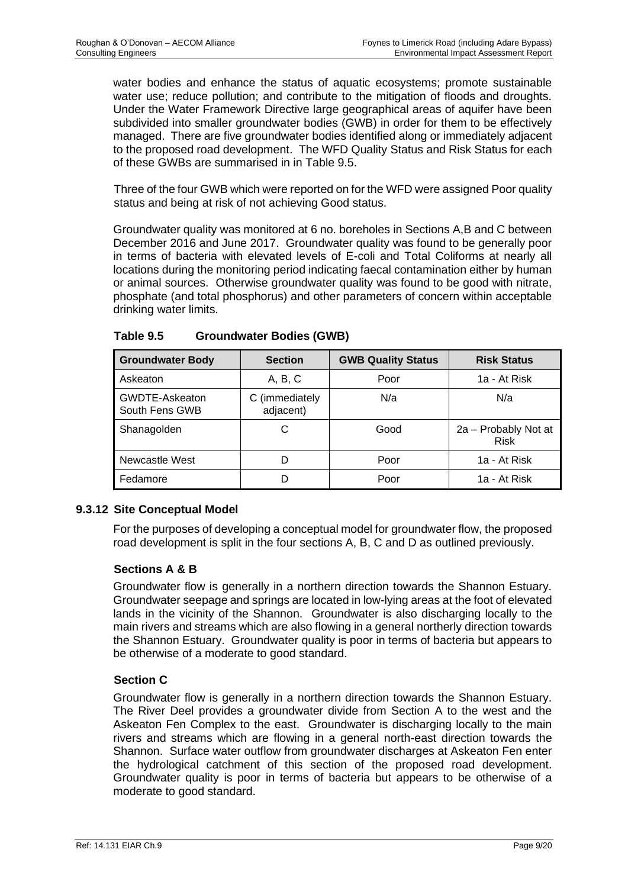water bodies and enhance the status of aquatic ecosystems; promote sustainable water use; reduce pollution; and contribute to the mitigation of floods and droughts. Under the Water Framework Directive large geographical areas of aquifer have been subdivided into smaller groundwater bodies (GWB) in order for them to be effectively managed. There are five groundwater bodies identified along or immediately adjacent to the proposed road development. The WFD Quality Status and Risk Status for each of these GWBs are summarised in in Table 9.5.

Three of the four GWB which were reported on for the WFD were assigned Poor quality status and being at risk of not achieving Good status.

Groundwater quality was monitored at 6 no. boreholes in Sections A,B and C between December 2016 and June 2017. Groundwater quality was found to be generally poor in terms of bacteria with elevated levels of E-coli and Total Coliforms at nearly all locations during the monitoring period indicating faecal contamination either by human or animal sources. Otherwise groundwater quality was found to be good with nitrate, phosphate (and total phosphorus) and other parameters of concern within acceptable drinking water limits.

| <b>Groundwater Body</b>          | <b>Section</b>              | <b>GWB Quality Status</b> | <b>Risk Status</b>                  |
|----------------------------------|-----------------------------|---------------------------|-------------------------------------|
| Askeaton                         | A, B, C                     | Poor                      | 1a - At Risk                        |
| GWDTE-Askeaton<br>South Fens GWB | C (immediately<br>adjacent) | N/a                       | N/a                                 |
| Shanagolden                      | С                           | Good                      | 2a - Probably Not at<br><b>Risk</b> |
| Newcastle West                   | D                           | Poor                      | 1a - At Risk                        |
| Fedamore                         | D                           | Poor                      | 1a - At Risk                        |

**Table 9.5 Groundwater Bodies (GWB)** 

# **9.3.12 Site Conceptual Model**

For the purposes of developing a conceptual model for groundwater flow, the proposed road development is split in the four sections A, B, C and D as outlined previously.

# **Sections A & B**

Groundwater flow is generally in a northern direction towards the Shannon Estuary. Groundwater seepage and springs are located in low-lying areas at the foot of elevated lands in the vicinity of the Shannon. Groundwater is also discharging locally to the main rivers and streams which are also flowing in a general northerly direction towards the Shannon Estuary. Groundwater quality is poor in terms of bacteria but appears to be otherwise of a moderate to good standard.

# **Section C**

Groundwater flow is generally in a northern direction towards the Shannon Estuary. The River Deel provides a groundwater divide from Section A to the west and the Askeaton Fen Complex to the east. Groundwater is discharging locally to the main rivers and streams which are flowing in a general north-east direction towards the Shannon. Surface water outflow from groundwater discharges at Askeaton Fen enter the hydrological catchment of this section of the proposed road development. Groundwater quality is poor in terms of bacteria but appears to be otherwise of a moderate to good standard.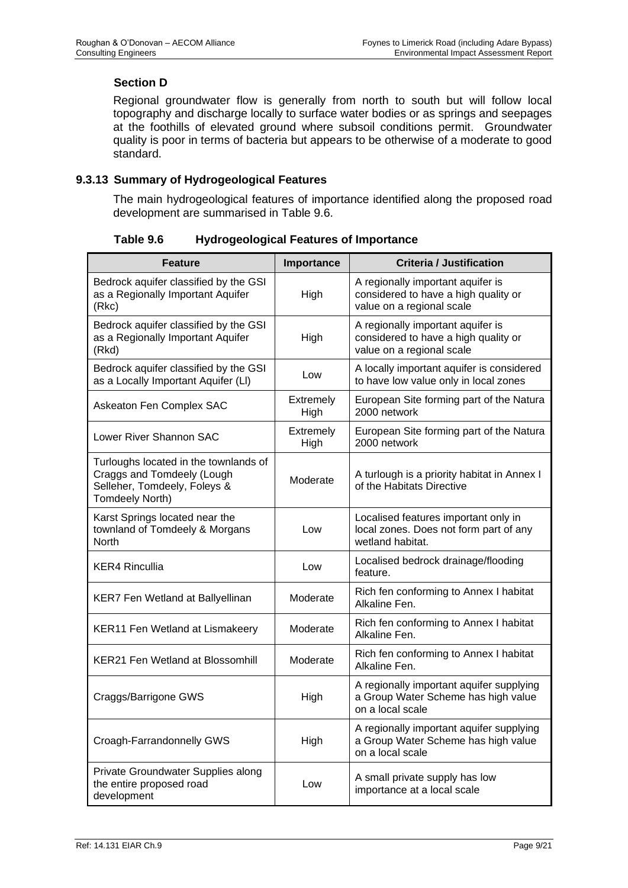# **Section D**

Regional groundwater flow is generally from north to south but will follow local topography and discharge locally to surface water bodies or as springs and seepages at the foothills of elevated ground where subsoil conditions permit. Groundwater quality is poor in terms of bacteria but appears to be otherwise of a moderate to good standard.

# **9.3.13 Summary of Hydrogeological Features**

The main hydrogeological features of importance identified along the proposed road development are summarised in Table 9.6.

| <b>Feature</b>                                                                                                         | Importance               | <b>Criteria / Justification</b>                                                                        |
|------------------------------------------------------------------------------------------------------------------------|--------------------------|--------------------------------------------------------------------------------------------------------|
| Bedrock aquifer classified by the GSI<br>as a Regionally Important Aquifer<br>(Rkc)                                    | High                     | A regionally important aquifer is<br>considered to have a high quality or<br>value on a regional scale |
| Bedrock aquifer classified by the GSI<br>as a Regionally Important Aquifer<br>(Rkd)                                    | High                     | A regionally important aquifer is<br>considered to have a high quality or<br>value on a regional scale |
| Bedrock aquifer classified by the GSI<br>as a Locally Important Aquifer (LI)                                           | Low                      | A locally important aquifer is considered<br>to have low value only in local zones                     |
| Askeaton Fen Complex SAC                                                                                               | Extremely<br>High        | European Site forming part of the Natura<br>2000 network                                               |
| Lower River Shannon SAC                                                                                                | <b>Extremely</b><br>High | European Site forming part of the Natura<br>2000 network                                               |
| Turloughs located in the townlands of<br>Craggs and Tomdeely (Lough<br>Selleher, Tomdeely, Foleys &<br>Tomdeely North) | Moderate                 | A turlough is a priority habitat in Annex I<br>of the Habitats Directive                               |
| Karst Springs located near the<br>townland of Tomdeely & Morgans<br><b>North</b>                                       | Low                      | Localised features important only in<br>local zones. Does not form part of any<br>wetland habitat.     |
| <b>KER4 Rincullia</b>                                                                                                  | Low                      | Localised bedrock drainage/flooding<br>feature.                                                        |
| <b>KER7 Fen Wetland at Ballyellinan</b>                                                                                | Moderate                 | Rich fen conforming to Annex I habitat<br>Alkaline Fen.                                                |
| <b>KER11 Fen Wetland at Lismakeery</b>                                                                                 | Moderate                 | Rich fen conforming to Annex I habitat<br>Alkaline Fen.                                                |
| KER21 Fen Wetland at Blossomhill                                                                                       | Moderate                 | Rich fen conforming to Annex I habitat<br>Alkaline Fen.                                                |
| Craggs/Barrigone GWS                                                                                                   | High                     | A regionally important aquifer supplying<br>a Group Water Scheme has high value<br>on a local scale    |
| Croagh-Farrandonnelly GWS                                                                                              | High                     | A regionally important aquifer supplying<br>a Group Water Scheme has high value<br>on a local scale    |
| Private Groundwater Supplies along<br>the entire proposed road<br>development                                          | Low                      | A small private supply has low<br>importance at a local scale                                          |

**Table 9.6 Hydrogeological Features of Importance**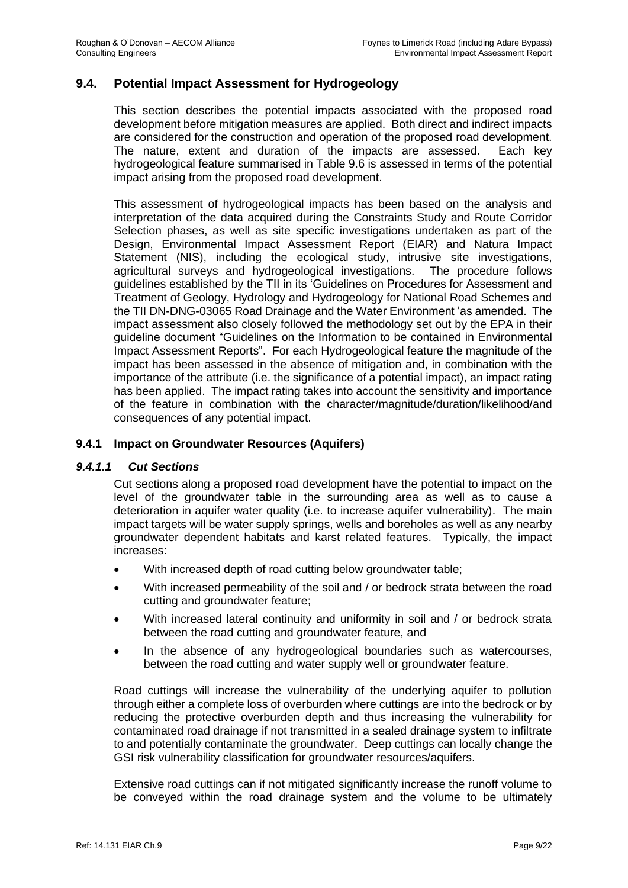# **9.4. Potential Impact Assessment for Hydrogeology**

This section describes the potential impacts associated with the proposed road development before mitigation measures are applied. Both direct and indirect impacts are considered for the construction and operation of the proposed road development. The nature, extent and duration of the impacts are assessed. Each key hydrogeological feature summarised in Table 9.6 is assessed in terms of the potential impact arising from the proposed road development.

This assessment of hydrogeological impacts has been based on the analysis and interpretation of the data acquired during the Constraints Study and Route Corridor Selection phases, as well as site specific investigations undertaken as part of the Design, Environmental Impact Assessment Report (EIAR) and Natura Impact Statement (NIS), including the ecological study, intrusive site investigations, agricultural surveys and hydrogeological investigations. The procedure follows guidelines established by the TII in its 'Guidelines on Procedures for Assessment and Treatment of Geology, Hydrology and Hydrogeology for National Road Schemes and the TII DN-DNG-03065 Road Drainage and the Water Environment 'as amended. The impact assessment also closely followed the methodology set out by the EPA in their guideline document "Guidelines on the Information to be contained in Environmental Impact Assessment Reports". For each Hydrogeological feature the magnitude of the impact has been assessed in the absence of mitigation and, in combination with the importance of the attribute (i.e. the significance of a potential impact), an impact rating has been applied. The impact rating takes into account the sensitivity and importance of the feature in combination with the character/magnitude/duration/likelihood/and consequences of any potential impact.

#### **9.4.1 Impact on Groundwater Resources (Aquifers)**

#### *9.4.1.1 Cut Sections*

Cut sections along a proposed road development have the potential to impact on the level of the groundwater table in the surrounding area as well as to cause a deterioration in aquifer water quality (i.e. to increase aquifer vulnerability). The main impact targets will be water supply springs, wells and boreholes as well as any nearby groundwater dependent habitats and karst related features. Typically, the impact increases:

- With increased depth of road cutting below groundwater table;
- With increased permeability of the soil and / or bedrock strata between the road cutting and groundwater feature;
- With increased lateral continuity and uniformity in soil and / or bedrock strata between the road cutting and groundwater feature, and
- In the absence of any hydrogeological boundaries such as watercourses, between the road cutting and water supply well or groundwater feature.

Road cuttings will increase the vulnerability of the underlying aquifer to pollution through either a complete loss of overburden where cuttings are into the bedrock or by reducing the protective overburden depth and thus increasing the vulnerability for contaminated road drainage if not transmitted in a sealed drainage system to infiltrate to and potentially contaminate the groundwater. Deep cuttings can locally change the GSI risk vulnerability classification for groundwater resources/aquifers.

Extensive road cuttings can if not mitigated significantly increase the runoff volume to be conveyed within the road drainage system and the volume to be ultimately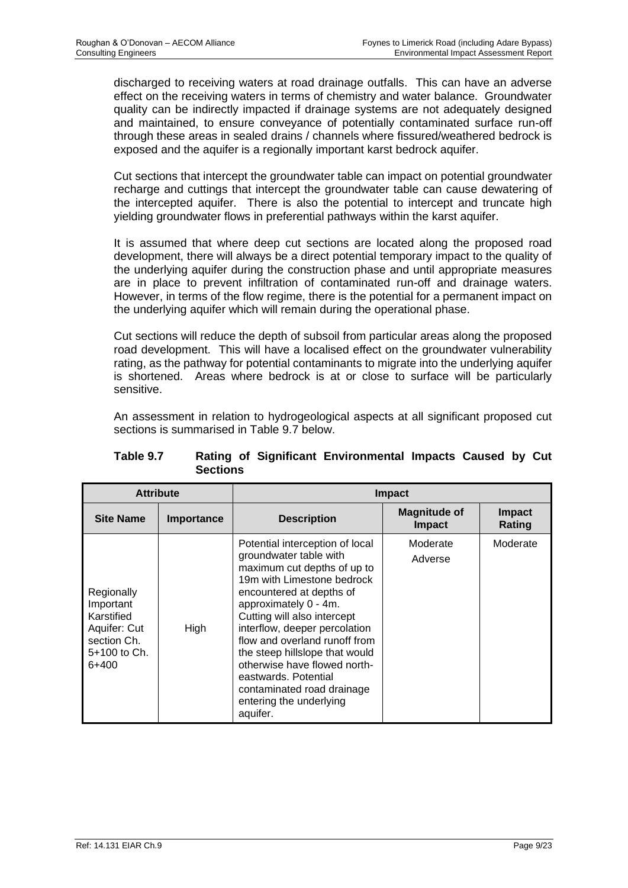discharged to receiving waters at road drainage outfalls. This can have an adverse effect on the receiving waters in terms of chemistry and water balance. Groundwater quality can be indirectly impacted if drainage systems are not adequately designed and maintained, to ensure conveyance of potentially contaminated surface run-off through these areas in sealed drains / channels where fissured/weathered bedrock is exposed and the aquifer is a regionally important karst bedrock aquifer.

Cut sections that intercept the groundwater table can impact on potential groundwater recharge and cuttings that intercept the groundwater table can cause dewatering of the intercepted aquifer. There is also the potential to intercept and truncate high yielding groundwater flows in preferential pathways within the karst aquifer.

It is assumed that where deep cut sections are located along the proposed road development, there will always be a direct potential temporary impact to the quality of the underlying aquifer during the construction phase and until appropriate measures are in place to prevent infiltration of contaminated run-off and drainage waters. However, in terms of the flow regime, there is the potential for a permanent impact on the underlying aquifer which will remain during the operational phase.

Cut sections will reduce the depth of subsoil from particular areas along the proposed road development. This will have a localised effect on the groundwater vulnerability rating, as the pathway for potential contaminants to migrate into the underlying aquifer is shortened. Areas where bedrock is at or close to surface will be particularly sensitive.

An assessment in relation to hydrogeological aspects at all significant proposed cut sections is summarised in Table 9.7 below.

| <b>Attribute</b>                                                                              |            | <b>Impact</b>                                                                                                                                                                                                                                                                                                                                                                                                                               |                                      |                         |  |  |
|-----------------------------------------------------------------------------------------------|------------|---------------------------------------------------------------------------------------------------------------------------------------------------------------------------------------------------------------------------------------------------------------------------------------------------------------------------------------------------------------------------------------------------------------------------------------------|--------------------------------------|-------------------------|--|--|
| <b>Site Name</b>                                                                              | Importance | <b>Description</b>                                                                                                                                                                                                                                                                                                                                                                                                                          | <b>Magnitude of</b><br><b>Impact</b> | <b>Impact</b><br>Rating |  |  |
| Regionally<br>Important<br>Karstified<br>Aquifer: Cut<br>section Ch.<br>5+100 to Ch.<br>6+400 | High       | Potential interception of local<br>groundwater table with<br>maximum cut depths of up to<br>19m with Limestone bedrock<br>encountered at depths of<br>approximately 0 - 4m.<br>Cutting will also intercept<br>interflow, deeper percolation<br>flow and overland runoff from<br>the steep hillslope that would<br>otherwise have flowed north-<br>eastwards. Potential<br>contaminated road drainage<br>entering the underlying<br>aquifer. | Moderate<br>Adverse                  | Moderate                |  |  |

#### **Table 9.7 Rating of Significant Environmental Impacts Caused by Cut Sections**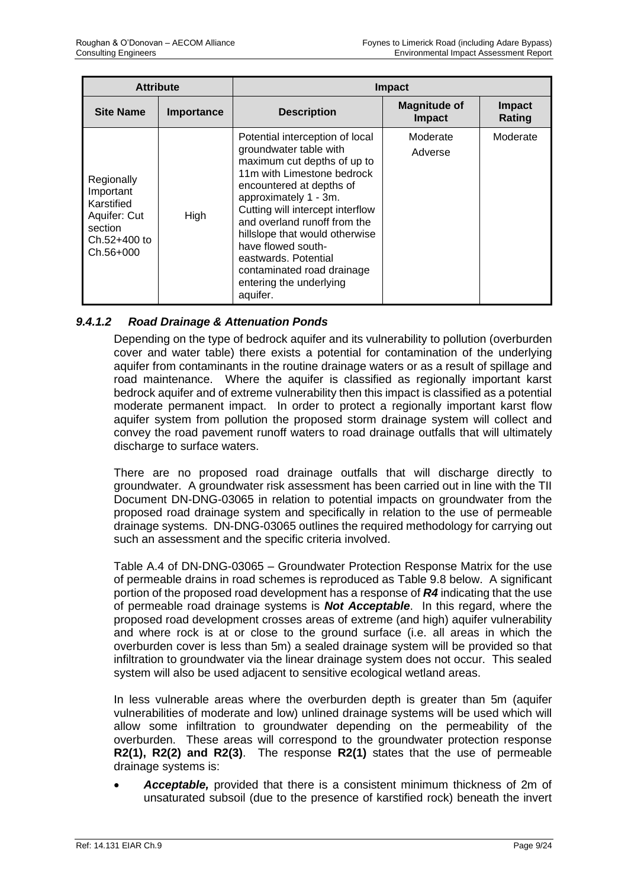| <b>Attribute</b>                                                                              |            | <b>Impact</b>                                                                                                                                                                                                                                                                                                                                                                                        |                                      |                         |  |  |
|-----------------------------------------------------------------------------------------------|------------|------------------------------------------------------------------------------------------------------------------------------------------------------------------------------------------------------------------------------------------------------------------------------------------------------------------------------------------------------------------------------------------------------|--------------------------------------|-------------------------|--|--|
| <b>Site Name</b>                                                                              | Importance | <b>Description</b>                                                                                                                                                                                                                                                                                                                                                                                   | <b>Magnitude of</b><br><b>Impact</b> | <b>Impact</b><br>Rating |  |  |
| Regionally<br>Important<br>Karstified<br>Aquifer: Cut<br>section<br>Ch.52+400 to<br>Ch.56+000 | High       | Potential interception of local<br>groundwater table with<br>maximum cut depths of up to<br>11m with Limestone bedrock<br>encountered at depths of<br>approximately 1 - 3m.<br>Cutting will intercept interflow<br>and overland runoff from the<br>hillslope that would otherwise<br>have flowed south-<br>eastwards. Potential<br>contaminated road drainage<br>entering the underlying<br>aquifer. | Moderate<br>Adverse                  | Moderate                |  |  |

# *9.4.1.2 Road Drainage & Attenuation Ponds*

Depending on the type of bedrock aquifer and its vulnerability to pollution (overburden cover and water table) there exists a potential for contamination of the underlying aquifer from contaminants in the routine drainage waters or as a result of spillage and road maintenance. Where the aquifer is classified as regionally important karst bedrock aquifer and of extreme vulnerability then this impact is classified as a potential moderate permanent impact. In order to protect a regionally important karst flow aquifer system from pollution the proposed storm drainage system will collect and convey the road pavement runoff waters to road drainage outfalls that will ultimately discharge to surface waters.

There are no proposed road drainage outfalls that will discharge directly to groundwater. A groundwater risk assessment has been carried out in line with the TII Document DN-DNG-03065 in relation to potential impacts on groundwater from the proposed road drainage system and specifically in relation to the use of permeable drainage systems. DN-DNG-03065 outlines the required methodology for carrying out such an assessment and the specific criteria involved.

Table A.4 of DN-DNG-03065 – Groundwater Protection Response Matrix for the use of permeable drains in road schemes is reproduced as Table 9.8 below. A significant portion of the proposed road development has a response of *R4* indicating that the use of permeable road drainage systems is *Not Acceptable*. In this regard, where the proposed road development crosses areas of extreme (and high) aquifer vulnerability and where rock is at or close to the ground surface (i.e. all areas in which the overburden cover is less than 5m) a sealed drainage system will be provided so that infiltration to groundwater via the linear drainage system does not occur. This sealed system will also be used adjacent to sensitive ecological wetland areas.

In less vulnerable areas where the overburden depth is greater than 5m (aquifer vulnerabilities of moderate and low) unlined drainage systems will be used which will allow some infiltration to groundwater depending on the permeability of the overburden. These areas will correspond to the groundwater protection response **R2(1), R2(2) and R2(3)**. The response **R2(1)** states that the use of permeable drainage systems is:

• *Acceptable,* provided that there is a consistent minimum thickness of 2m of unsaturated subsoil (due to the presence of karstified rock) beneath the invert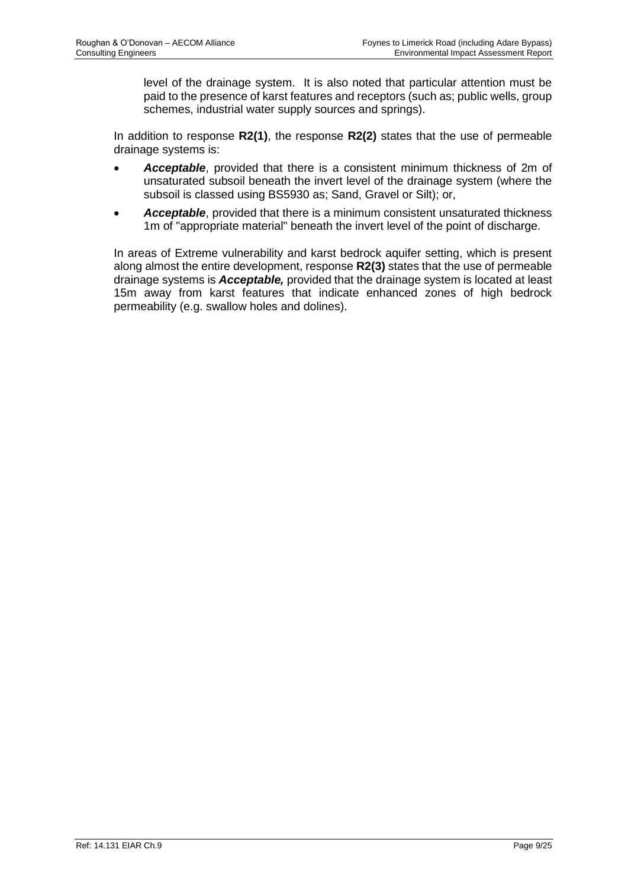level of the drainage system. It is also noted that particular attention must be paid to the presence of karst features and receptors (such as; public wells, group schemes, industrial water supply sources and springs).

In addition to response **R2(1)**, the response **R2(2)** states that the use of permeable drainage systems is:

- *Acceptable*, provided that there is a consistent minimum thickness of 2m of unsaturated subsoil beneath the invert level of the drainage system (where the subsoil is classed using BS5930 as; Sand, Gravel or Silt); or,
- *Acceptable*, provided that there is a minimum consistent unsaturated thickness 1m of "appropriate material" beneath the invert level of the point of discharge.

In areas of Extreme vulnerability and karst bedrock aquifer setting, which is present along almost the entire development, response **R2(3)** states that the use of permeable drainage systems is *Acceptable,* provided that the drainage system is located at least 15m away from karst features that indicate enhanced zones of high bedrock permeability (e.g. swallow holes and dolines).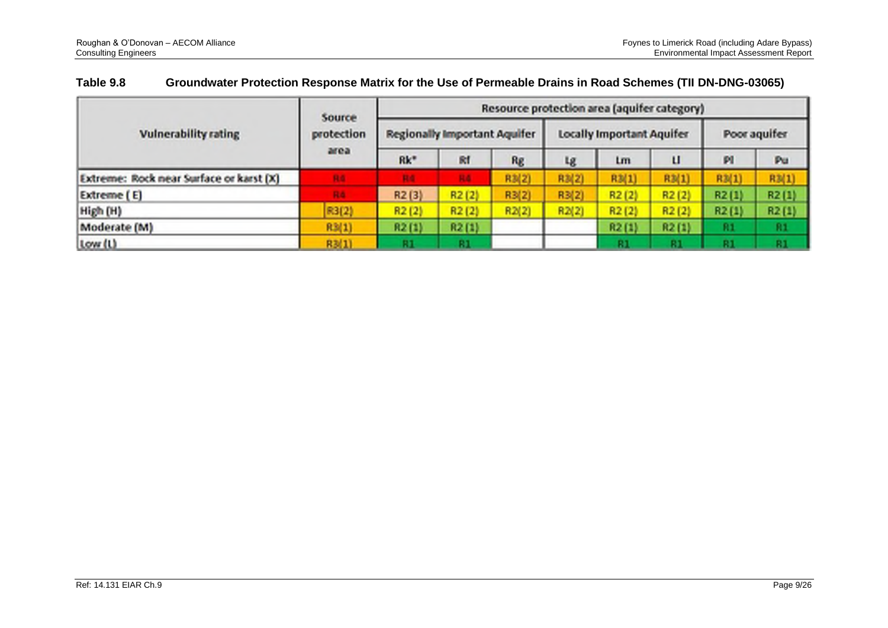| <b>Vulnerability rating</b>             | Source             | Resource protection area (aquifer category) |       |       |                                  |       |       |              |       |  |
|-----------------------------------------|--------------------|---------------------------------------------|-------|-------|----------------------------------|-------|-------|--------------|-------|--|
|                                         | protection<br>area | Regionally Important Aquifer                |       |       | <b>Locally Important Aquifer</b> |       |       | Poor aguifer |       |  |
|                                         |                    | $Rk^*$                                      | R1    | Rg    | Lg                               | Lm    | п     | M            | Pu    |  |
| Extreme: Rock near Surface or karst (X) | RG                 | R4                                          | R4    | R3(2) | R3(2)                            | R3(1) | R3(1) | R3(1)        | R3(1) |  |
| Extreme (E)                             | RA                 | R2(3)                                       | R2(2) | R3(2) | R3(2)                            | R2(2) | R2(2) | R2(1)        | R2(1) |  |
| High (H)                                | R3(2)              | R2(2)                                       | R2(2) | R2(2) | R2(2)                            | R2(2) | R2(2) | R2(1)        | R2(1) |  |
| Moderate (M)                            | R3(1)              | R2(1)                                       | R2(1) |       |                                  | R2(1) | R2(1) | R1           | R1    |  |
| Low (L)                                 | R3(1)              | R1                                          | 81    |       |                                  | 81    | 81    |              | R1    |  |

# **Table 9.8 Groundwater Protection Response Matrix for the Use of Permeable Drains in Road Schemes (TII DN-DNG-03065)**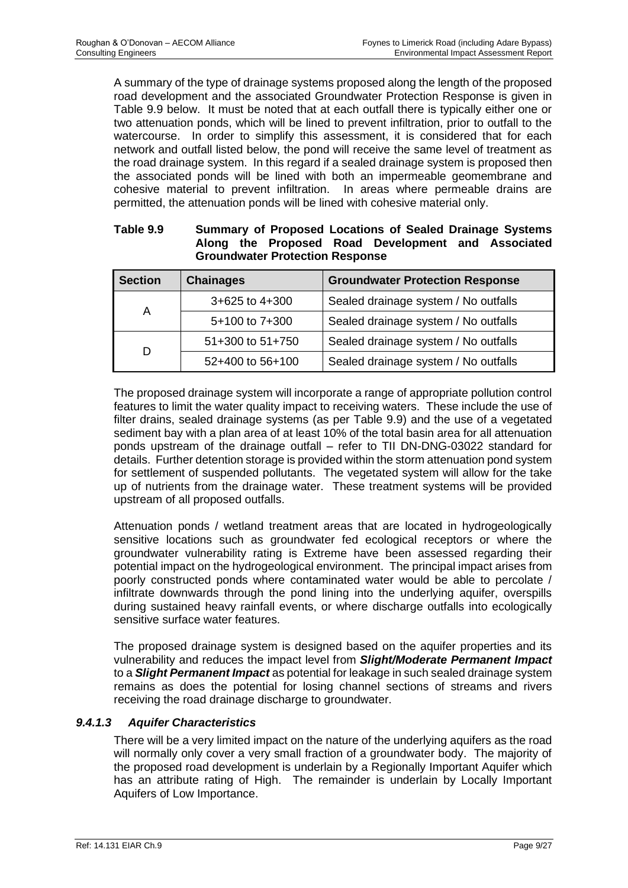A summary of the type of drainage systems proposed along the length of the proposed road development and the associated Groundwater Protection Response is given in Table 9.9 below. It must be noted that at each outfall there is typically either one or two attenuation ponds, which will be lined to prevent infiltration, prior to outfall to the watercourse. In order to simplify this assessment, it is considered that for each network and outfall listed below, the pond will receive the same level of treatment as the road drainage system. In this regard if a sealed drainage system is proposed then the associated ponds will be lined with both an impermeable geomembrane and cohesive material to prevent infiltration. In areas where permeable drains are permitted, the attenuation ponds will be lined with cohesive material only.

| Table 9.9 | Summary of Proposed Locations of Sealed Drainage Systems |
|-----------|----------------------------------------------------------|
|           | Along the Proposed Road Development and Associated       |
|           | <b>Groundwater Protection Response</b>                   |

| <b>Section</b> | <b>Chainages</b>   | <b>Groundwater Protection Response</b> |
|----------------|--------------------|----------------------------------------|
|                | $3+625$ to $4+300$ | Sealed drainage system / No outfalls   |
| A              | 5+100 to 7+300     | Sealed drainage system / No outfalls   |
|                | 51+300 to 51+750   | Sealed drainage system / No outfalls   |
| D              | 52+400 to 56+100   | Sealed drainage system / No outfalls   |

The proposed drainage system will incorporate a range of appropriate pollution control features to limit the water quality impact to receiving waters. These include the use of filter drains, sealed drainage systems (as per Table 9.9) and the use of a vegetated sediment bay with a plan area of at least 10% of the total basin area for all attenuation ponds upstream of the drainage outfall – refer to TII DN-DNG-03022 standard for details. Further detention storage is provided within the storm attenuation pond system for settlement of suspended pollutants. The vegetated system will allow for the take up of nutrients from the drainage water. These treatment systems will be provided upstream of all proposed outfalls.

Attenuation ponds / wetland treatment areas that are located in hydrogeologically sensitive locations such as groundwater fed ecological receptors or where the groundwater vulnerability rating is Extreme have been assessed regarding their potential impact on the hydrogeological environment. The principal impact arises from poorly constructed ponds where contaminated water would be able to percolate / infiltrate downwards through the pond lining into the underlying aquifer, overspills during sustained heavy rainfall events, or where discharge outfalls into ecologically sensitive surface water features.

The proposed drainage system is designed based on the aquifer properties and its vulnerability and reduces the impact level from *Slight/Moderate Permanent Impact* to a *Slight Permanent Impact* as potential for leakage in such sealed drainage system remains as does the potential for losing channel sections of streams and rivers receiving the road drainage discharge to groundwater.

# *9.4.1.3 Aquifer Characteristics*

There will be a very limited impact on the nature of the underlying aquifers as the road will normally only cover a very small fraction of a groundwater body. The majority of the proposed road development is underlain by a Regionally Important Aquifer which has an attribute rating of High. The remainder is underlain by Locally Important Aquifers of Low Importance.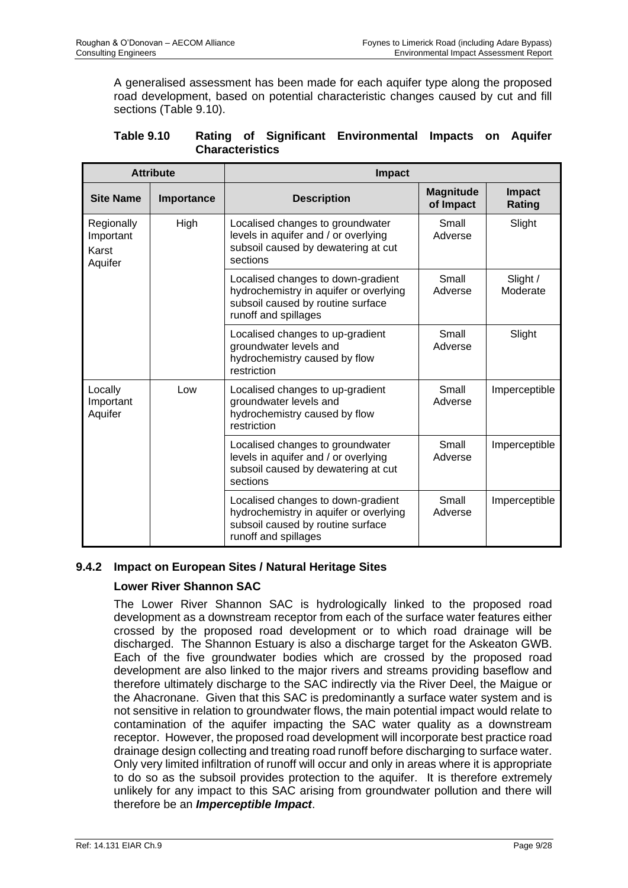A generalised assessment has been made for each aquifer type along the proposed road development, based on potential characteristic changes caused by cut and fill sections (Table 9.10).

| <b>Table 9.10</b> |                        |  | Rating of Significant Environmental Impacts on Aquifer |  |  |
|-------------------|------------------------|--|--------------------------------------------------------|--|--|
|                   | <b>Characteristics</b> |  |                                                        |  |  |

| <b>Attribute</b>                            |            | <b>Impact</b>                                                                                                                             |                               |                         |  |
|---------------------------------------------|------------|-------------------------------------------------------------------------------------------------------------------------------------------|-------------------------------|-------------------------|--|
| <b>Site Name</b>                            | Importance | <b>Description</b>                                                                                                                        | <b>Magnitude</b><br>of Impact | <b>Impact</b><br>Rating |  |
| Regionally<br>Important<br>Karst<br>Aquifer | High       | Localised changes to groundwater<br>levels in aquifer and / or overlying<br>subsoil caused by dewatering at cut<br>sections               | Small<br>Adverse              | Slight                  |  |
|                                             |            | Localised changes to down-gradient<br>hydrochemistry in aquifer or overlying<br>subsoil caused by routine surface<br>runoff and spillages | Small<br>Adverse              | Slight /<br>Moderate    |  |
|                                             |            | Localised changes to up-gradient<br>groundwater levels and<br>hydrochemistry caused by flow<br>restriction                                | Small<br>Adverse              | Slight                  |  |
| Locally<br>Important<br>Aquifer             | Low        | Localised changes to up-gradient<br>groundwater levels and<br>hydrochemistry caused by flow<br>restriction                                | Small<br>Adverse              | Imperceptible           |  |
|                                             |            | Localised changes to groundwater<br>levels in aquifer and / or overlying<br>subsoil caused by dewatering at cut<br>sections               | Small<br>Adverse              | Imperceptible           |  |
|                                             |            | Localised changes to down-gradient<br>hydrochemistry in aquifer or overlying<br>subsoil caused by routine surface<br>runoff and spillages | Small<br>Adverse              | Imperceptible           |  |

# **9.4.2 Impact on European Sites / Natural Heritage Sites**

# **Lower River Shannon SAC**

The Lower River Shannon SAC is hydrologically linked to the proposed road development as a downstream receptor from each of the surface water features either crossed by the proposed road development or to which road drainage will be discharged. The Shannon Estuary is also a discharge target for the Askeaton GWB. Each of the five groundwater bodies which are crossed by the proposed road development are also linked to the major rivers and streams providing baseflow and therefore ultimately discharge to the SAC indirectly via the River Deel, the Maigue or the Ahacronane. Given that this SAC is predominantly a surface water system and is not sensitive in relation to groundwater flows, the main potential impact would relate to contamination of the aquifer impacting the SAC water quality as a downstream receptor. However, the proposed road development will incorporate best practice road drainage design collecting and treating road runoff before discharging to surface water. Only very limited infiltration of runoff will occur and only in areas where it is appropriate to do so as the subsoil provides protection to the aquifer. It is therefore extremely unlikely for any impact to this SAC arising from groundwater pollution and there will therefore be an *Imperceptible Impact*.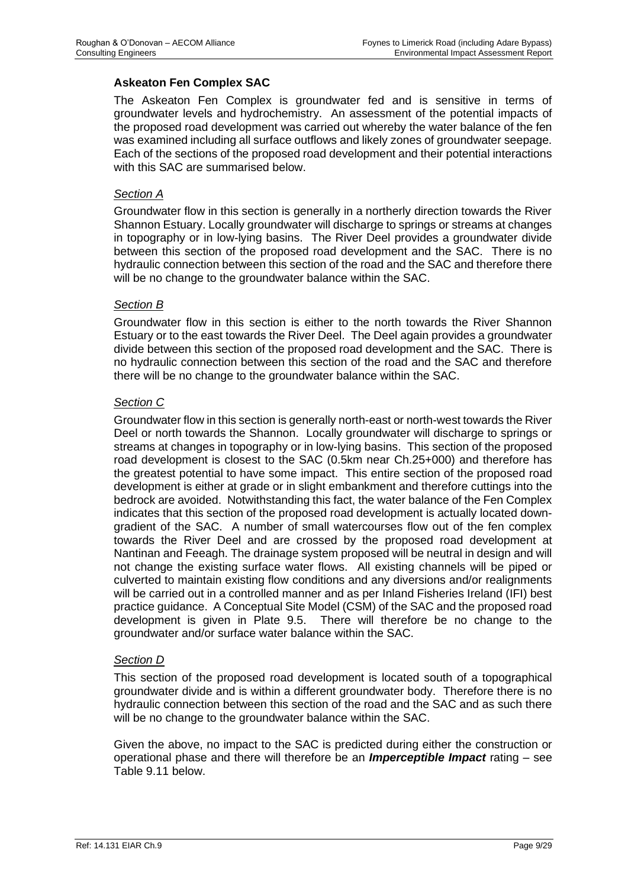# **Askeaton Fen Complex SAC**

The Askeaton Fen Complex is groundwater fed and is sensitive in terms of groundwater levels and hydrochemistry. An assessment of the potential impacts of the proposed road development was carried out whereby the water balance of the fen was examined including all surface outflows and likely zones of groundwater seepage. Each of the sections of the proposed road development and their potential interactions with this SAC are summarised below.

#### *Section A*

Groundwater flow in this section is generally in a northerly direction towards the River Shannon Estuary. Locally groundwater will discharge to springs or streams at changes in topography or in low-lying basins. The River Deel provides a groundwater divide between this section of the proposed road development and the SAC. There is no hydraulic connection between this section of the road and the SAC and therefore there will be no change to the groundwater balance within the SAC.

#### *Section B*

Groundwater flow in this section is either to the north towards the River Shannon Estuary or to the east towards the River Deel. The Deel again provides a groundwater divide between this section of the proposed road development and the SAC. There is no hydraulic connection between this section of the road and the SAC and therefore there will be no change to the groundwater balance within the SAC.

#### *Section C*

Groundwater flow in this section is generally north-east or north-west towards the River Deel or north towards the Shannon. Locally groundwater will discharge to springs or streams at changes in topography or in low-lying basins. This section of the proposed road development is closest to the SAC (0.5km near Ch.25+000) and therefore has the greatest potential to have some impact. This entire section of the proposed road development is either at grade or in slight embankment and therefore cuttings into the bedrock are avoided. Notwithstanding this fact, the water balance of the Fen Complex indicates that this section of the proposed road development is actually located downgradient of the SAC. A number of small watercourses flow out of the fen complex towards the River Deel and are crossed by the proposed road development at Nantinan and Feeagh. The drainage system proposed will be neutral in design and will not change the existing surface water flows. All existing channels will be piped or culverted to maintain existing flow conditions and any diversions and/or realignments will be carried out in a controlled manner and as per Inland Fisheries Ireland (IFI) best practice guidance. A Conceptual Site Model (CSM) of the SAC and the proposed road development is given in Plate 9.5. There will therefore be no change to the groundwater and/or surface water balance within the SAC.

#### *Section D*

This section of the proposed road development is located south of a topographical groundwater divide and is within a different groundwater body. Therefore there is no hydraulic connection between this section of the road and the SAC and as such there will be no change to the groundwater balance within the SAC.

Given the above, no impact to the SAC is predicted during either the construction or operational phase and there will therefore be an *Imperceptible Impact* rating – see Table 9.11 below.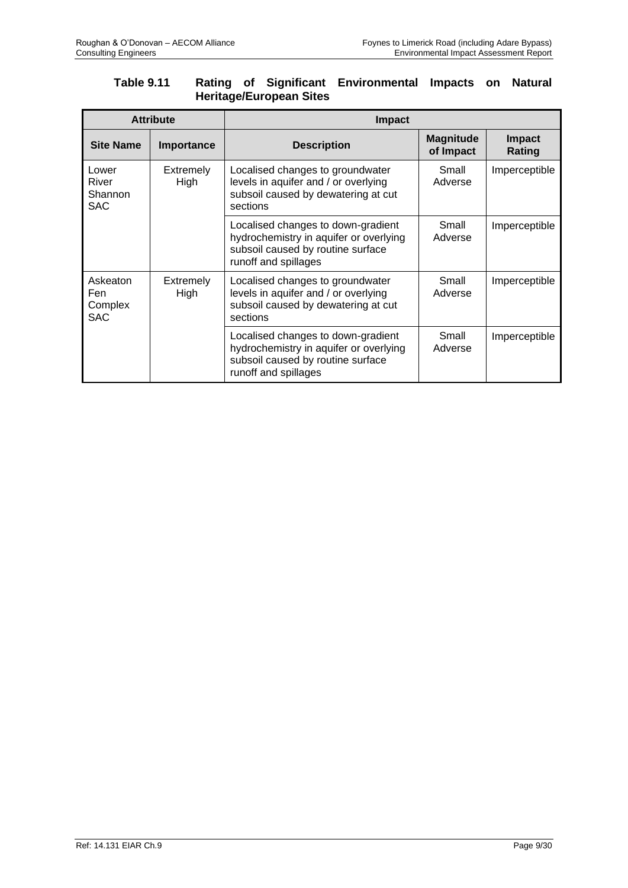# **Table 9.11 Rating of Significant Environmental Impacts on Natural Heritage/European Sites**

| <b>Attribute</b>                         |                          | <b>Impact</b>                                                                                                                             |                               |                         |  |
|------------------------------------------|--------------------------|-------------------------------------------------------------------------------------------------------------------------------------------|-------------------------------|-------------------------|--|
| <b>Site Name</b>                         | Importance               | <b>Description</b>                                                                                                                        | <b>Magnitude</b><br>of Impact | <b>Impact</b><br>Rating |  |
| Lower<br>River<br>Shannon<br><b>SAC</b>  | <b>Extremely</b><br>High | Localised changes to groundwater<br>levels in aquifer and / or overlying<br>subsoil caused by dewatering at cut<br>sections               | Small<br>Adverse              | Imperceptible           |  |
|                                          |                          | Localised changes to down-gradient<br>hydrochemistry in aquifer or overlying<br>subsoil caused by routine surface<br>runoff and spillages | Small<br>Adverse              | Imperceptible           |  |
| Askeaton<br>Fen<br>Complex<br><b>SAC</b> | Extremely<br>High        | Localised changes to groundwater<br>levels in aquifer and / or overlying<br>subsoil caused by dewatering at cut<br>sections               | Small<br>Adverse              | Imperceptible           |  |
|                                          |                          | Localised changes to down-gradient<br>hydrochemistry in aquifer or overlying<br>subsoil caused by routine surface<br>runoff and spillages | Small<br>Adverse              | Imperceptible           |  |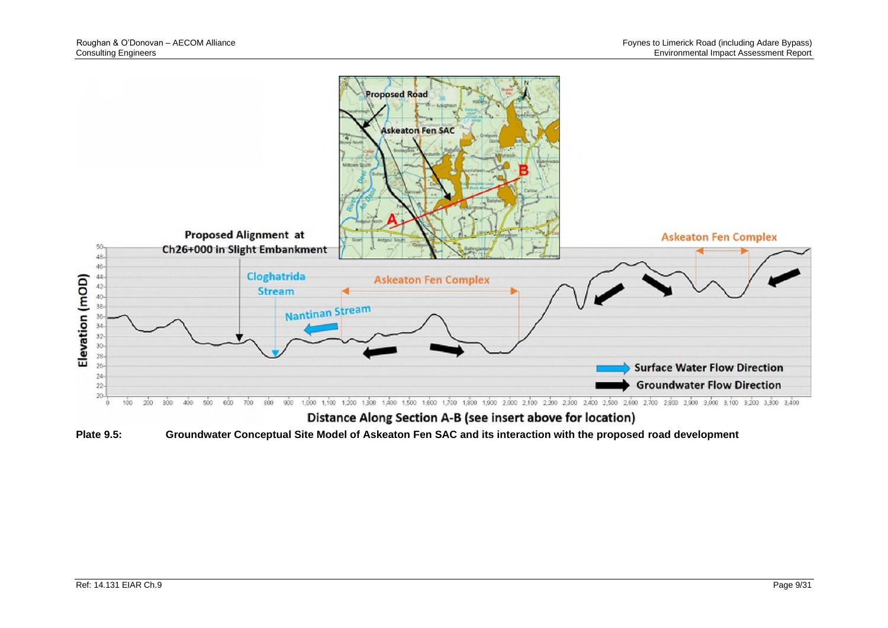

Distance Along Section A-B (see insert above for location)

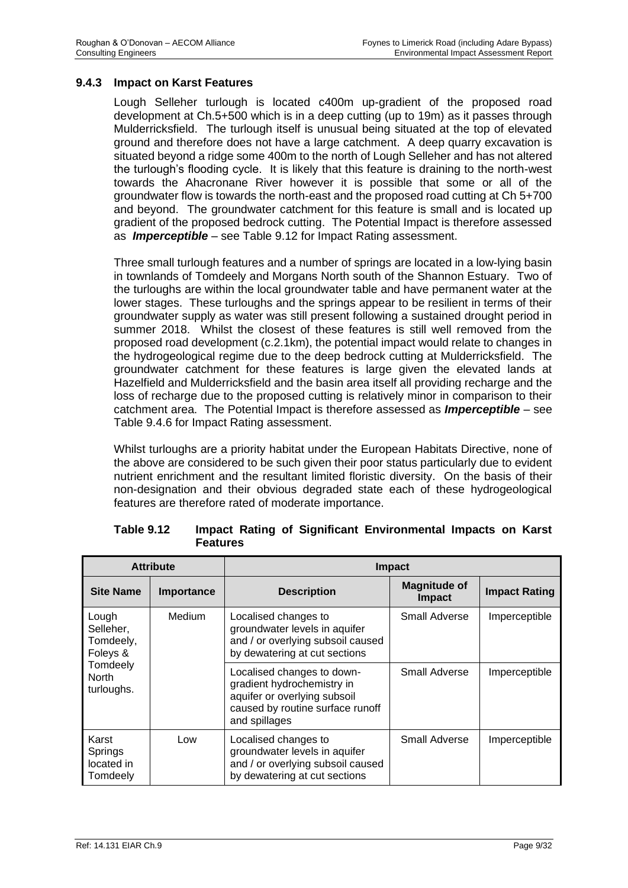#### **9.4.3 Impact on Karst Features**

Lough Selleher turlough is located c400m up-gradient of the proposed road development at Ch.5+500 which is in a deep cutting (up to 19m) as it passes through Mulderricksfield. The turlough itself is unusual being situated at the top of elevated ground and therefore does not have a large catchment. A deep quarry excavation is situated beyond a ridge some 400m to the north of Lough Selleher and has not altered the turlough's flooding cycle. It is likely that this feature is draining to the north-west towards the Ahacronane River however it is possible that some or all of the groundwater flow is towards the north-east and the proposed road cutting at Ch 5+700 and beyond. The groundwater catchment for this feature is small and is located up gradient of the proposed bedrock cutting. The Potential Impact is therefore assessed as *Imperceptible* – see Table 9.12 for Impact Rating assessment.

Three small turlough features and a number of springs are located in a low-lying basin in townlands of Tomdeely and Morgans North south of the Shannon Estuary. Two of the turloughs are within the local groundwater table and have permanent water at the lower stages. These turloughs and the springs appear to be resilient in terms of their groundwater supply as water was still present following a sustained drought period in summer 2018. Whilst the closest of these features is still well removed from the proposed road development (c.2.1km), the potential impact would relate to changes in the hydrogeological regime due to the deep bedrock cutting at Mulderricksfield. The groundwater catchment for these features is large given the elevated lands at Hazelfield and Mulderricksfield and the basin area itself all providing recharge and the loss of recharge due to the proposed cutting is relatively minor in comparison to their catchment area. The Potential Impact is therefore assessed as *Imperceptible* – see Table 9.4.6 for Impact Rating assessment.

Whilst turloughs are a priority habitat under the European Habitats Directive, none of the above are considered to be such given their poor status particularly due to evident nutrient enrichment and the resultant limited floristic diversity. On the basis of their non-designation and their obvious degraded state each of these hydrogeological features are therefore rated of moderate importance.

| <b>Attribute</b>                            |            | <b>Impact</b>                                                                                                                                 |                                      |                      |  |
|---------------------------------------------|------------|-----------------------------------------------------------------------------------------------------------------------------------------------|--------------------------------------|----------------------|--|
| <b>Site Name</b>                            | Importance | <b>Description</b>                                                                                                                            | <b>Magnitude of</b><br><b>Impact</b> | <b>Impact Rating</b> |  |
| Lough<br>Selleher,<br>Tomdeely,<br>Foleys & | Medium     | Localised changes to<br>groundwater levels in aquifer<br>and / or overlying subsoil caused<br>by dewatering at cut sections                   | Small Adverse                        | Imperceptible        |  |
| Tomdeely<br><b>North</b><br>turloughs.      |            | Localised changes to down-<br>gradient hydrochemistry in<br>aquifer or overlying subsoil<br>caused by routine surface runoff<br>and spillages | Small Adverse                        | Imperceptible        |  |
| Karst<br>Springs<br>located in<br>Tomdeely  | Low        | Localised changes to<br>groundwater levels in aquifer<br>and / or overlying subsoil caused<br>by dewatering at cut sections                   | Small Adverse                        | Imperceptible        |  |

**Table 9.12 Impact Rating of Significant Environmental Impacts on Karst Features**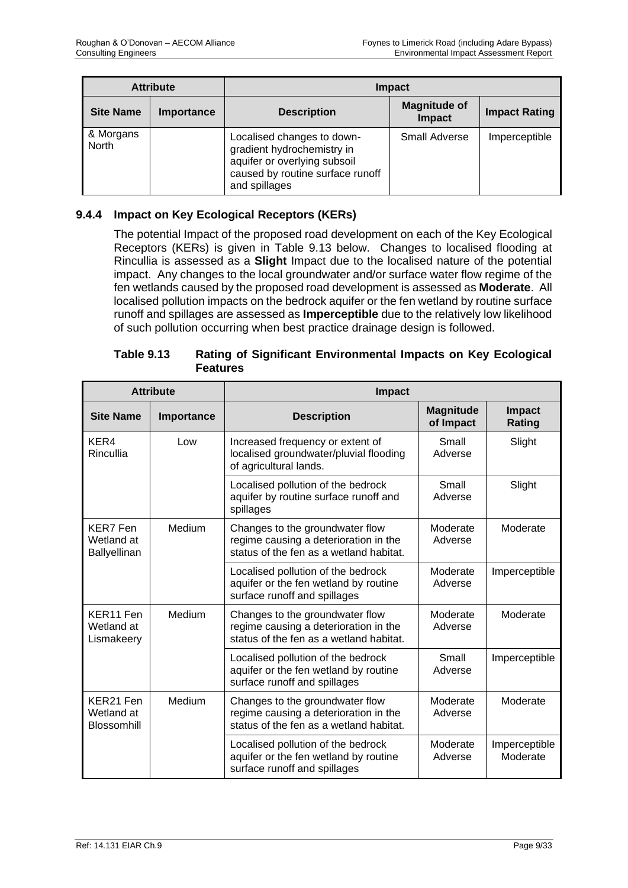| <b>Attribute</b>   |            | <b>Impact</b>                                                                                                                                 |                                      |                      |
|--------------------|------------|-----------------------------------------------------------------------------------------------------------------------------------------------|--------------------------------------|----------------------|
| <b>Site Name</b>   | Importance | <b>Description</b>                                                                                                                            | <b>Magnitude of</b><br><b>Impact</b> | <b>Impact Rating</b> |
| & Morgans<br>North |            | Localised changes to down-<br>gradient hydrochemistry in<br>aquifer or overlying subsoil<br>caused by routine surface runoff<br>and spillages | <b>Small Adverse</b>                 | Imperceptible        |

# **9.4.4 Impact on Key Ecological Receptors (KERs)**

The potential Impact of the proposed road development on each of the Key Ecological Receptors (KERs) is given in Table 9.13 below. Changes to localised flooding at Rincullia is assessed as a **Slight** Impact due to the localised nature of the potential impact. Any changes to the local groundwater and/or surface water flow regime of the fen wetlands caused by the proposed road development is assessed as **Moderate**. All localised pollution impacts on the bedrock aquifer or the fen wetland by routine surface runoff and spillages are assessed as **Imperceptible** due to the relatively low likelihood of such pollution occurring when best practice drainage design is followed.

| <b>Attribute</b>                              |            | <b>Impact</b>                                                                                                       |                               |                           |
|-----------------------------------------------|------------|---------------------------------------------------------------------------------------------------------------------|-------------------------------|---------------------------|
| <b>Site Name</b>                              | Importance | <b>Description</b>                                                                                                  | <b>Magnitude</b><br>of Impact | <b>Impact</b><br>Rating   |
| KER4<br>Rincullia                             | Low        | Increased frequency or extent of<br>localised groundwater/pluvial flooding<br>of agricultural lands.                | Small<br>Adverse              | Slight                    |
|                                               |            | Localised pollution of the bedrock<br>aquifer by routine surface runoff and<br>spillages                            | Small<br>Adverse              | Slight                    |
| <b>KER7 Fen</b><br>Wetland at<br>Ballyellinan | Medium     | Changes to the groundwater flow<br>regime causing a deterioration in the<br>status of the fen as a wetland habitat. | Moderate<br>Adverse           | Moderate                  |
|                                               |            | Localised pollution of the bedrock<br>aquifer or the fen wetland by routine<br>surface runoff and spillages         | Moderate<br>Adverse           | Imperceptible             |
| KER11 Fen<br>Wetland at<br>Lismakeery         | Medium     | Changes to the groundwater flow<br>regime causing a deterioration in the<br>status of the fen as a wetland habitat. | Moderate<br>Adverse           | Moderate                  |
|                                               |            | Localised pollution of the bedrock<br>aquifer or the fen wetland by routine<br>surface runoff and spillages         | Small<br>Adverse              | Imperceptible             |
| KER21 Fen<br>Wetland at<br><b>Blossomhill</b> | Medium     | Changes to the groundwater flow<br>regime causing a deterioration in the<br>status of the fen as a wetland habitat. | Moderate<br>Adverse           | Moderate                  |
|                                               |            | Localised pollution of the bedrock<br>aquifer or the fen wetland by routine<br>surface runoff and spillages         | Moderate<br>Adverse           | Imperceptible<br>Moderate |

| <b>Table 9.13</b> | Rating of Significant Environmental Impacts on Key Ecological |
|-------------------|---------------------------------------------------------------|
|                   | <b>Features</b>                                               |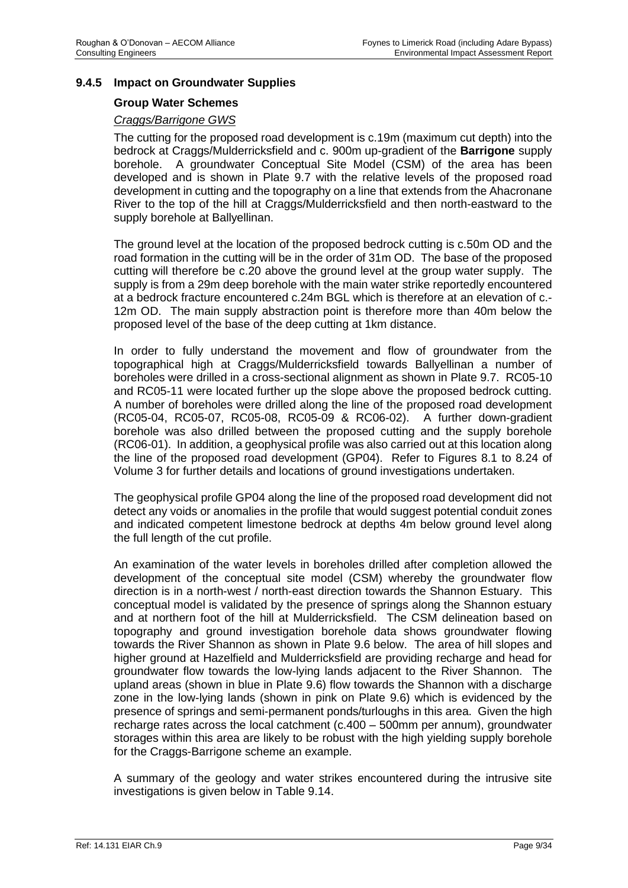### **9.4.5 Impact on Groundwater Supplies**

#### **Group Water Schemes**

#### *Craggs/Barrigone GWS*

The cutting for the proposed road development is c.19m (maximum cut depth) into the bedrock at Craggs/Mulderricksfield and c. 900m up-gradient of the **Barrigone** supply borehole. A groundwater Conceptual Site Model (CSM) of the area has been developed and is shown in Plate 9.7 with the relative levels of the proposed road development in cutting and the topography on a line that extends from the Ahacronane River to the top of the hill at Craggs/Mulderricksfield and then north-eastward to the supply borehole at Ballyellinan.

The ground level at the location of the proposed bedrock cutting is c.50m OD and the road formation in the cutting will be in the order of 31m OD. The base of the proposed cutting will therefore be c.20 above the ground level at the group water supply. The supply is from a 29m deep borehole with the main water strike reportedly encountered at a bedrock fracture encountered c.24m BGL which is therefore at an elevation of c.- 12m OD. The main supply abstraction point is therefore more than 40m below the proposed level of the base of the deep cutting at 1km distance.

In order to fully understand the movement and flow of groundwater from the topographical high at Craggs/Mulderricksfield towards Ballyellinan a number of boreholes were drilled in a cross-sectional alignment as shown in Plate 9.7. RC05-10 and RC05-11 were located further up the slope above the proposed bedrock cutting. A number of boreholes were drilled along the line of the proposed road development (RC05-04, RC05-07, RC05-08, RC05-09 & RC06-02). A further down-gradient borehole was also drilled between the proposed cutting and the supply borehole (RC06-01). In addition, a geophysical profile was also carried out at this location along the line of the proposed road development (GP04). Refer to Figures 8.1 to 8.24 of Volume 3 for further details and locations of ground investigations undertaken.

The geophysical profile GP04 along the line of the proposed road development did not detect any voids or anomalies in the profile that would suggest potential conduit zones and indicated competent limestone bedrock at depths 4m below ground level along the full length of the cut profile.

An examination of the water levels in boreholes drilled after completion allowed the development of the conceptual site model (CSM) whereby the groundwater flow direction is in a north-west / north-east direction towards the Shannon Estuary. This conceptual model is validated by the presence of springs along the Shannon estuary and at northern foot of the hill at Mulderricksfield. The CSM delineation based on topography and ground investigation borehole data shows groundwater flowing towards the River Shannon as shown in Plate 9.6 below. The area of hill slopes and higher ground at Hazelfield and Mulderricksfield are providing recharge and head for groundwater flow towards the low-lying lands adjacent to the River Shannon. The upland areas (shown in blue in Plate 9.6) flow towards the Shannon with a discharge zone in the low-lying lands (shown in pink on Plate 9.6) which is evidenced by the presence of springs and semi-permanent ponds/turloughs in this area. Given the high recharge rates across the local catchment (c.400 – 500mm per annum), groundwater storages within this area are likely to be robust with the high yielding supply borehole for the Craggs-Barrigone scheme an example.

A summary of the geology and water strikes encountered during the intrusive site investigations is given below in Table 9.14.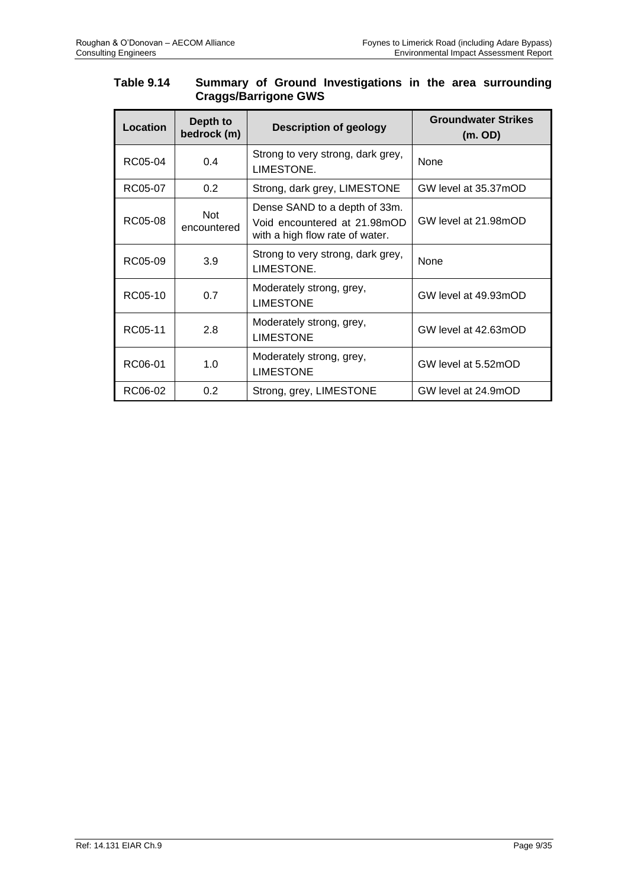# **Table 9.14 Summary of Ground Investigations in the area surrounding Craggs/Barrigone GWS**

| <b>Location</b> | Depth to<br>bedrock (m)   | <b>Description of geology</b>                                                                    | <b>Groundwater Strikes</b><br>(m. OD) |
|-----------------|---------------------------|--------------------------------------------------------------------------------------------------|---------------------------------------|
| RC05-04         | 0.4                       | Strong to very strong, dark grey,<br>LIMESTONE.                                                  | None                                  |
| RC05-07         | 0.2                       | Strong, dark grey, LIMESTONE                                                                     | GW level at 35.37mOD                  |
| RC05-08         | <b>Not</b><br>encountered | Dense SAND to a depth of 33m.<br>Void encountered at 21.98mOD<br>with a high flow rate of water. | GW level at 21.98mOD                  |
| RC05-09         | 3.9                       | Strong to very strong, dark grey,<br>LIMESTONE.                                                  | None                                  |
| RC05-10         | 0.7                       | Moderately strong, grey,<br><b>LIMESTONE</b>                                                     | GW level at 49.93mOD                  |
| RC05-11         | 2.8                       | Moderately strong, grey,<br><b>LIMESTONE</b>                                                     | GW level at 42.63mOD                  |
| RC06-01         | 1.0                       | Moderately strong, grey,<br><b>LIMESTONE</b>                                                     | GW level at 5.52mOD                   |
| RC06-02         | 0.2                       | Strong, grey, LIMESTONE                                                                          | GW level at 24.9mOD                   |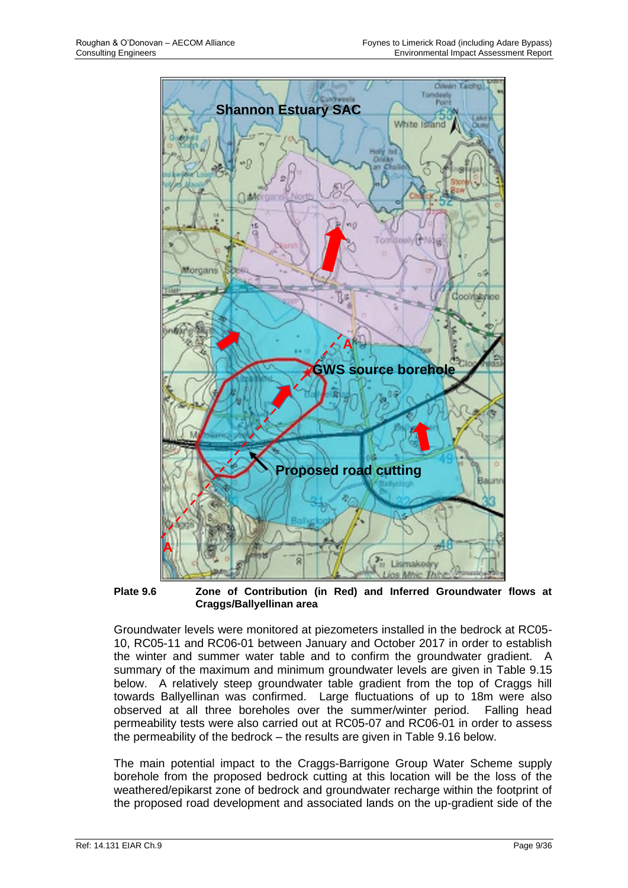

**Plate 9.6 Zone of Contribution (in Red) and Inferred Groundwater flows at Craggs/Ballyellinan area** 

Groundwater levels were monitored at piezometers installed in the bedrock at RC05- 10, RC05-11 and RC06-01 between January and October 2017 in order to establish the winter and summer water table and to confirm the groundwater gradient. A summary of the maximum and minimum groundwater levels are given in Table 9.15 below. A relatively steep groundwater table gradient from the top of Craggs hill towards Ballyellinan was confirmed. Large fluctuations of up to 18m were also observed at all three boreholes over the summer/winter period. Falling head permeability tests were also carried out at RC05-07 and RC06-01 in order to assess the permeability of the bedrock – the results are given in Table 9.16 below.

The main potential impact to the Craggs-Barrigone Group Water Scheme supply borehole from the proposed bedrock cutting at this location will be the loss of the weathered/epikarst zone of bedrock and groundwater recharge within the footprint of the proposed road development and associated lands on the up-gradient side of the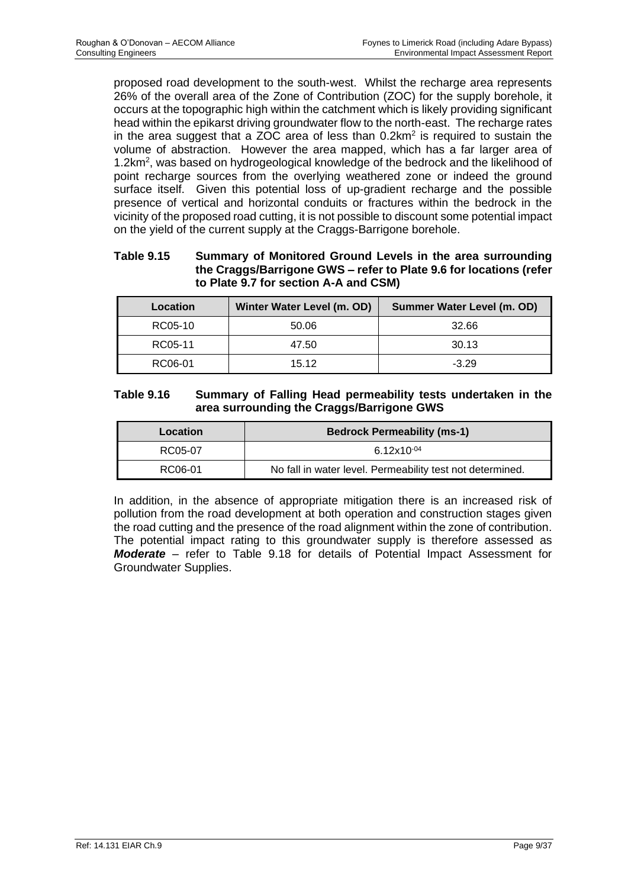proposed road development to the south-west. Whilst the recharge area represents 26% of the overall area of the Zone of Contribution (ZOC) for the supply borehole, it occurs at the topographic high within the catchment which is likely providing significant head within the epikarst driving groundwater flow to the north-east. The recharge rates in the area suggest that a ZOC area of less than  $0.2$ km<sup>2</sup> is required to sustain the volume of abstraction. However the area mapped, which has a far larger area of 1.2km<sup>2</sup>, was based on hydrogeological knowledge of the bedrock and the likelihood of point recharge sources from the overlying weathered zone or indeed the ground surface itself. Given this potential loss of up-gradient recharge and the possible presence of vertical and horizontal conduits or fractures within the bedrock in the vicinity of the proposed road cutting, it is not possible to discount some potential impact on the yield of the current supply at the Craggs-Barrigone borehole.

#### **Table 9.15 Summary of Monitored Ground Levels in the area surrounding the Craggs/Barrigone GWS – refer to Plate 9.6 for locations (refer to Plate 9.7 for section A-A and CSM)**

| Location | Winter Water Level (m. OD) | Summer Water Level (m. OD) |
|----------|----------------------------|----------------------------|
| RC05-10  | 50.06                      | 32.66                      |
| RC05-11  | 47.50                      | 30.13                      |
| RC06-01  | 15.12                      | $-3.29$                    |

#### **Table 9.16 Summary of Falling Head permeability tests undertaken in the area surrounding the Craggs/Barrigone GWS**

| Location | <b>Bedrock Permeability (ms-1)</b>                        |  |
|----------|-----------------------------------------------------------|--|
| RC05-07  | $6.12x10^{-04}$                                           |  |
| RC06-01  | No fall in water level. Permeability test not determined. |  |

In addition, in the absence of appropriate mitigation there is an increased risk of pollution from the road development at both operation and construction stages given the road cutting and the presence of the road alignment within the zone of contribution. The potential impact rating to this groundwater supply is therefore assessed as *Moderate –* refer to Table 9.18 for details of Potential Impact Assessment for Groundwater Supplies.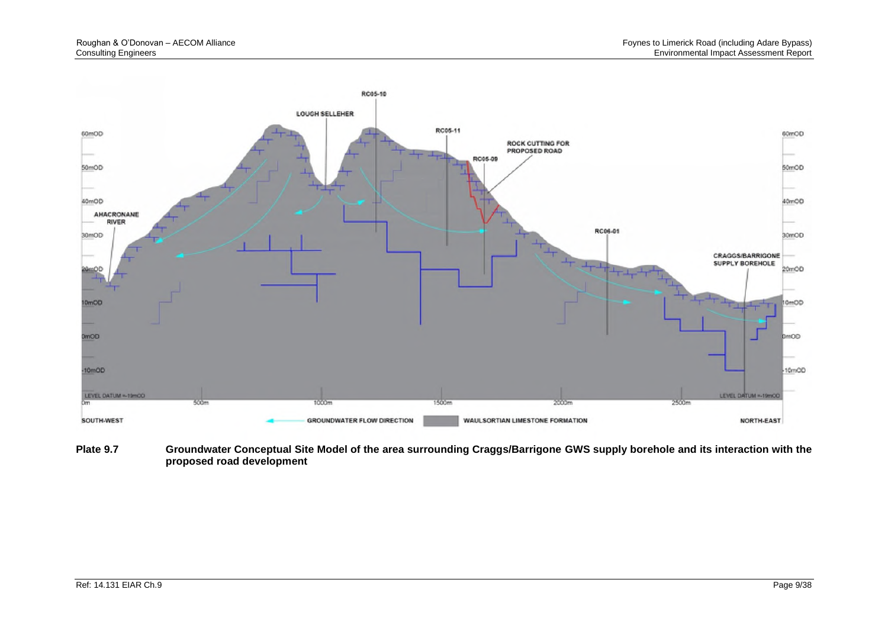

**Plate 9.7 Groundwater Conceptual Site Model of the area surrounding Craggs/Barrigone GWS supply borehole and its interaction with the proposed road development**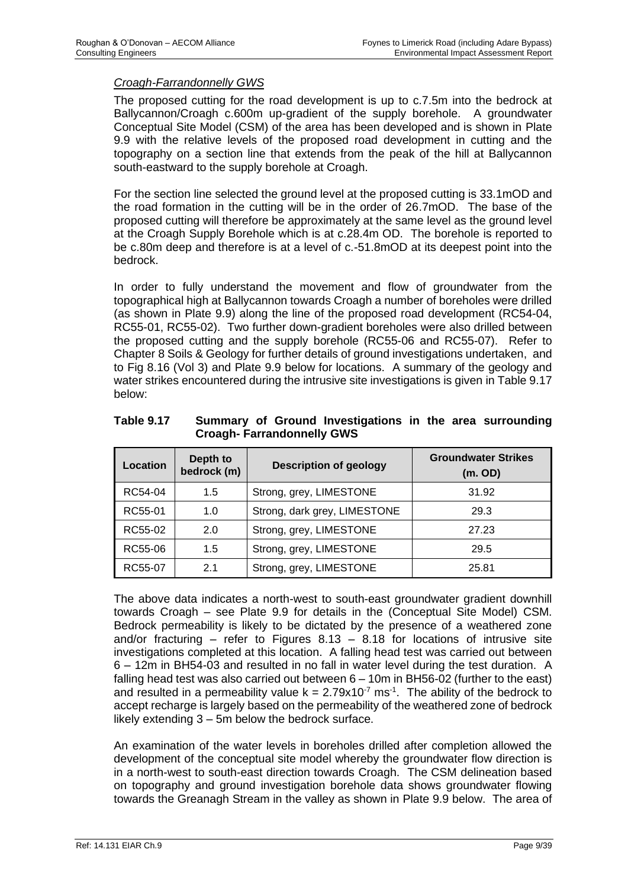#### *Croagh-Farrandonnelly GWS*

The proposed cutting for the road development is up to c.7.5m into the bedrock at Ballycannon/Croagh c.600m up-gradient of the supply borehole. A groundwater Conceptual Site Model (CSM) of the area has been developed and is shown in Plate 9.9 with the relative levels of the proposed road development in cutting and the topography on a section line that extends from the peak of the hill at Ballycannon south-eastward to the supply borehole at Croagh.

For the section line selected the ground level at the proposed cutting is 33.1mOD and the road formation in the cutting will be in the order of 26.7mOD. The base of the proposed cutting will therefore be approximately at the same level as the ground level at the Croagh Supply Borehole which is at c.28.4m OD. The borehole is reported to be c.80m deep and therefore is at a level of c.-51.8mOD at its deepest point into the bedrock.

In order to fully understand the movement and flow of groundwater from the topographical high at Ballycannon towards Croagh a number of boreholes were drilled (as shown in Plate 9.9) along the line of the proposed road development (RC54-04, RC55-01, RC55-02). Two further down-gradient boreholes were also drilled between the proposed cutting and the supply borehole (RC55-06 and RC55-07). Refer to Chapter 8 Soils & Geology for further details of ground investigations undertaken, and to Fig 8.16 (Vol 3) and Plate 9.9 below for locations. A summary of the geology and water strikes encountered during the intrusive site investigations is given in Table 9.17 below:

| Location | Depth to<br>bedrock (m) | <b>Description of geology</b> | <b>Groundwater Strikes</b><br>(m. OD) |
|----------|-------------------------|-------------------------------|---------------------------------------|
| RC54-04  | 1.5                     | Strong, grey, LIMESTONE       | 31.92                                 |
| RC55-01  | 1.0                     | Strong, dark grey, LIMESTONE  | 29.3                                  |
| RC55-02  | 2.0                     | Strong, grey, LIMESTONE       | 27.23                                 |
| RC55-06  | 1.5                     | Strong, grey, LIMESTONE       | 29.5                                  |
| RC55-07  | 2.1                     | Strong, grey, LIMESTONE       | 25.81                                 |

**Table 9.17 Summary of Ground Investigations in the area surrounding Croagh- Farrandonnelly GWS**

The above data indicates a north-west to south-east groundwater gradient downhill towards Croagh – see Plate 9.9 for details in the (Conceptual Site Model) CSM. Bedrock permeability is likely to be dictated by the presence of a weathered zone and/or fracturing – refer to Figures  $8.13 - 8.18$  for locations of intrusive site investigations completed at this location. A falling head test was carried out between 6 – 12m in BH54-03 and resulted in no fall in water level during the test duration. A falling head test was also carried out between 6 – 10m in BH56-02 (further to the east) and resulted in a permeability value  $k = 2.79 \times 10^{-7}$  ms<sup>-1</sup>. The ability of the bedrock to accept recharge is largely based on the permeability of the weathered zone of bedrock likely extending 3 – 5m below the bedrock surface.

An examination of the water levels in boreholes drilled after completion allowed the development of the conceptual site model whereby the groundwater flow direction is in a north-west to south-east direction towards Croagh. The CSM delineation based on topography and ground investigation borehole data shows groundwater flowing towards the Greanagh Stream in the valley as shown in Plate 9.9 below. The area of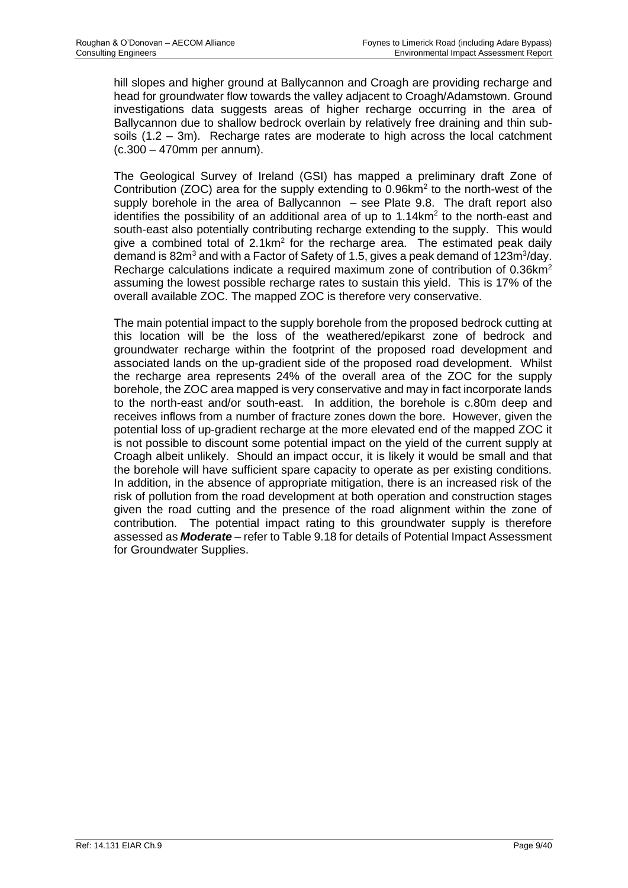hill slopes and higher ground at Ballycannon and Croagh are providing recharge and head for groundwater flow towards the valley adjacent to Croagh/Adamstown. Ground investigations data suggests areas of higher recharge occurring in the area of Ballycannon due to shallow bedrock overlain by relatively free draining and thin subsoils  $(1.2 - 3m)$ . Recharge rates are moderate to high across the local catchment (c.300 – 470mm per annum).

The Geological Survey of Ireland (GSI) has mapped a preliminary draft Zone of Contribution (ZOC) area for the supply extending to  $0.96$ km<sup>2</sup> to the north-west of the supply borehole in the area of Ballycannon – see Plate 9.8. The draft report also identifies the possibility of an additional area of up to  $1.14 \text{km}^2$  to the north-east and south-east also potentially contributing recharge extending to the supply. This would give a combined total of  $2.1 \text{km}^2$  for the recharge area. The estimated peak daily demand is 82m<sup>3</sup> and with a Factor of Safety of 1.5, gives a peak demand of 123m<sup>3</sup>/day. Recharge calculations indicate a required maximum zone of contribution of 0.36km<sup>2</sup> assuming the lowest possible recharge rates to sustain this yield. This is 17% of the overall available ZOC. The mapped ZOC is therefore very conservative.

The main potential impact to the supply borehole from the proposed bedrock cutting at this location will be the loss of the weathered/epikarst zone of bedrock and groundwater recharge within the footprint of the proposed road development and associated lands on the up-gradient side of the proposed road development. Whilst the recharge area represents 24% of the overall area of the ZOC for the supply borehole, the ZOC area mapped is very conservative and may in fact incorporate lands to the north-east and/or south-east. In addition, the borehole is c.80m deep and receives inflows from a number of fracture zones down the bore. However, given the potential loss of up-gradient recharge at the more elevated end of the mapped ZOC it is not possible to discount some potential impact on the yield of the current supply at Croagh albeit unlikely. Should an impact occur, it is likely it would be small and that the borehole will have sufficient spare capacity to operate as per existing conditions. In addition, in the absence of appropriate mitigation, there is an increased risk of the risk of pollution from the road development at both operation and construction stages given the road cutting and the presence of the road alignment within the zone of contribution. The potential impact rating to this groundwater supply is therefore assessed as *Moderate –* refer to Table 9.18 for details of Potential Impact Assessment for Groundwater Supplies.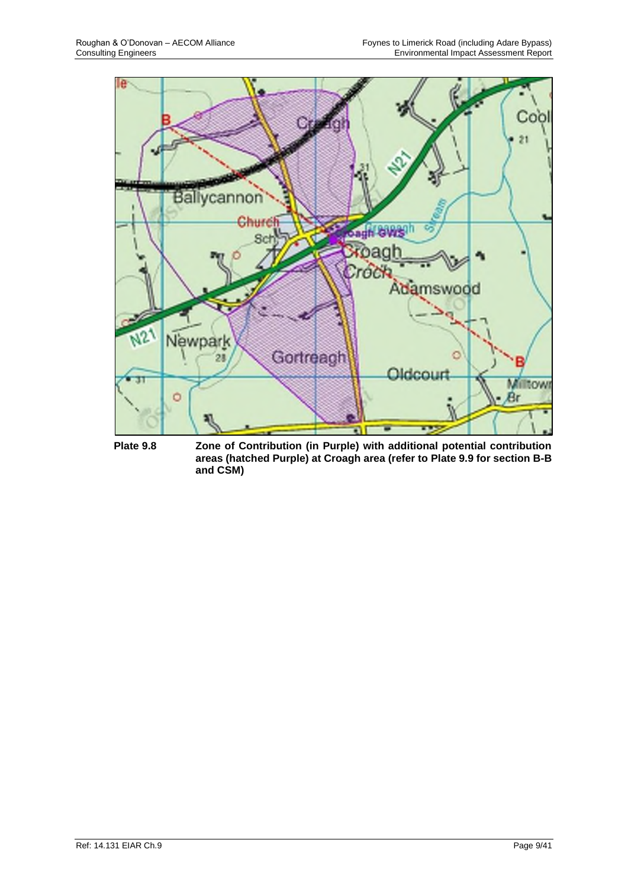

**Plate 9.8 Zone of Contribution (in Purple) with additional potential contribution areas (hatched Purple) at Croagh area (refer to Plate 9.9 for section B-B and CSM)**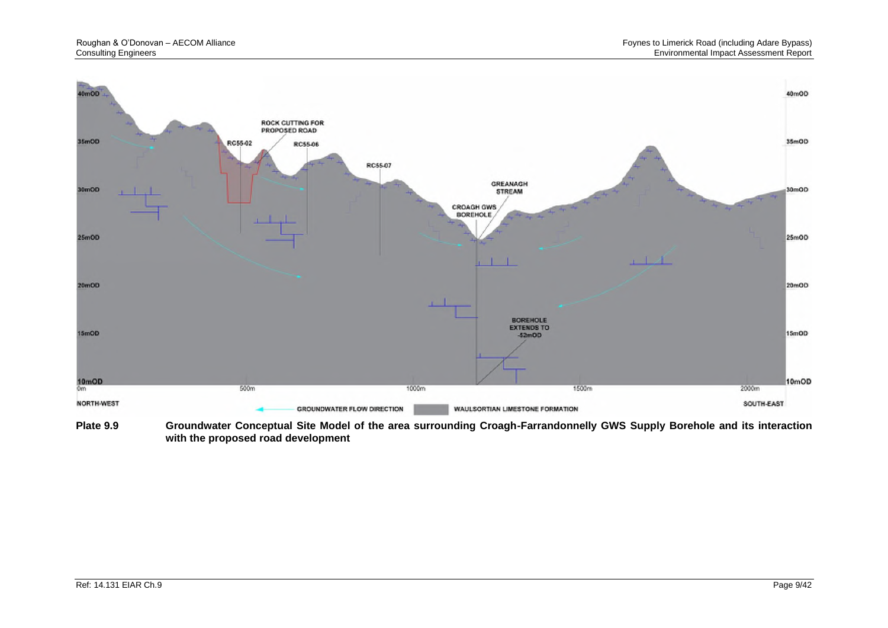

**Plate 9.9 Groundwater Conceptual Site Model of the area surrounding Croagh-Farrandonnelly GWS Supply Borehole and its interaction with the proposed road development**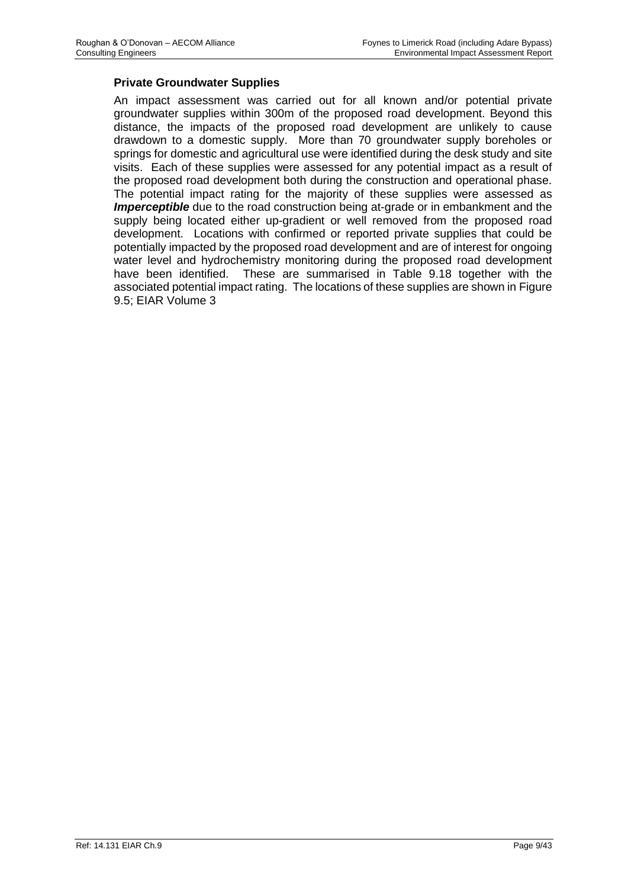#### **Private Groundwater Supplies**

An impact assessment was carried out for all known and/or potential private groundwater supplies within 300m of the proposed road development. Beyond this distance, the impacts of the proposed road development are unlikely to cause drawdown to a domestic supply. More than 70 groundwater supply boreholes or springs for domestic and agricultural use were identified during the desk study and site visits. Each of these supplies were assessed for any potential impact as a result of the proposed road development both during the construction and operational phase. The potential impact rating for the majority of these supplies were assessed as *Imperceptible* due to the road construction being at-grade or in embankment and the supply being located either up-gradient or well removed from the proposed road development. Locations with confirmed or reported private supplies that could be potentially impacted by the proposed road development and are of interest for ongoing water level and hydrochemistry monitoring during the proposed road development have been identified. These are summarised in Table 9.18 together with the associated potential impact rating. The locations of these supplies are shown in Figure 9.5; EIAR Volume 3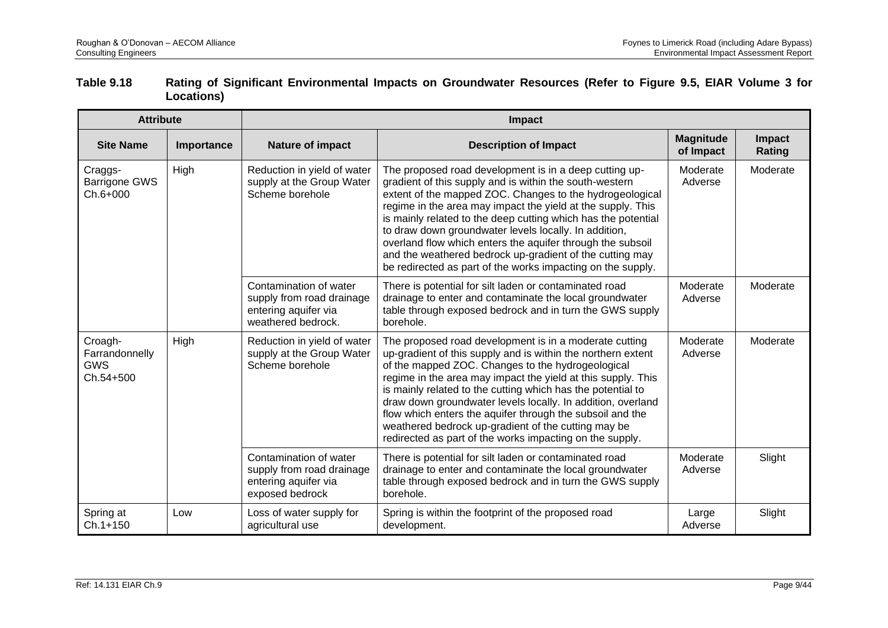| Table 9.18 | Rating of Significant Environmental Impacts on Groundwater Resources (Refer to Figure 9.5, EIAR Volume 3 for |
|------------|--------------------------------------------------------------------------------------------------------------|
|            | <b>Locations</b> )                                                                                           |

| <b>Attribute</b>                                     |            | Impact                                                                                            |                                                                                                                                                                                                                                                                                                                                                                                                                                                                                                                                                                 |                               |                  |  |
|------------------------------------------------------|------------|---------------------------------------------------------------------------------------------------|-----------------------------------------------------------------------------------------------------------------------------------------------------------------------------------------------------------------------------------------------------------------------------------------------------------------------------------------------------------------------------------------------------------------------------------------------------------------------------------------------------------------------------------------------------------------|-------------------------------|------------------|--|
| <b>Site Name</b>                                     | Importance | Nature of impact                                                                                  | <b>Description of Impact</b>                                                                                                                                                                                                                                                                                                                                                                                                                                                                                                                                    | <b>Magnitude</b><br>of Impact | Impact<br>Rating |  |
| High<br>Craggs-<br><b>Barrigone GWS</b><br>Ch.6+000  |            | Reduction in yield of water<br>supply at the Group Water<br>Scheme borehole                       | The proposed road development is in a deep cutting up-<br>gradient of this supply and is within the south-western<br>extent of the mapped ZOC. Changes to the hydrogeological<br>regime in the area may impact the yield at the supply. This<br>is mainly related to the deep cutting which has the potential<br>to draw down groundwater levels locally. In addition,<br>overland flow which enters the aquifer through the subsoil<br>and the weathered bedrock up-gradient of the cutting may<br>be redirected as part of the works impacting on the supply. | Moderate<br>Adverse           | Moderate         |  |
|                                                      |            | Contamination of water<br>supply from road drainage<br>entering aquifer via<br>weathered bedrock. | There is potential for silt laden or contaminated road<br>drainage to enter and contaminate the local groundwater<br>table through exposed bedrock and in turn the GWS supply<br>borehole.                                                                                                                                                                                                                                                                                                                                                                      | Moderate<br>Adverse           | Moderate         |  |
| Croagh-<br>Farrandonnelly<br><b>GWS</b><br>Ch.54+500 | High       | Reduction in yield of water<br>supply at the Group Water<br>Scheme borehole                       | The proposed road development is in a moderate cutting<br>up-gradient of this supply and is within the northern extent<br>of the mapped ZOC. Changes to the hydrogeological<br>regime in the area may impact the yield at this supply. This<br>is mainly related to the cutting which has the potential to<br>draw down groundwater levels locally. In addition, overland<br>flow which enters the aquifer through the subsoil and the<br>weathered bedrock up-gradient of the cutting may be<br>redirected as part of the works impacting on the supply.       | Moderate<br>Adverse           | Moderate         |  |
|                                                      |            | Contamination of water<br>supply from road drainage<br>entering aquifer via<br>exposed bedrock    | There is potential for silt laden or contaminated road<br>drainage to enter and contaminate the local groundwater<br>table through exposed bedrock and in turn the GWS supply<br>borehole.                                                                                                                                                                                                                                                                                                                                                                      | Moderate<br>Adverse           | Slight           |  |
| Spring at<br>$Ch.1+150$                              | Low        | Loss of water supply for<br>agricultural use                                                      | Spring is within the footprint of the proposed road<br>development.                                                                                                                                                                                                                                                                                                                                                                                                                                                                                             | Large<br>Adverse              | Slight           |  |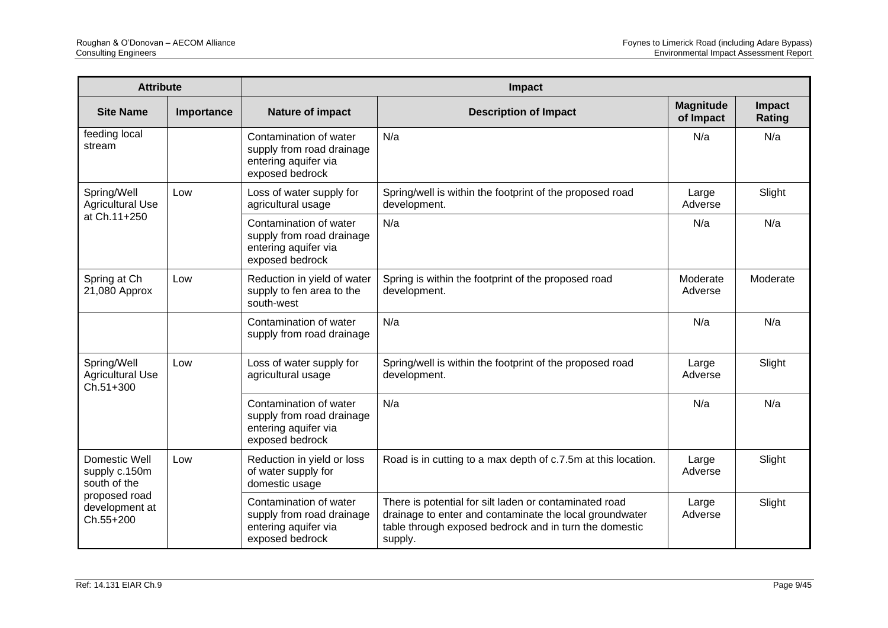| <b>Attribute</b>                                                                               |            | Impact                                                                                         |                                                                                                                                                                                        |                               |                         |  |
|------------------------------------------------------------------------------------------------|------------|------------------------------------------------------------------------------------------------|----------------------------------------------------------------------------------------------------------------------------------------------------------------------------------------|-------------------------------|-------------------------|--|
| <b>Site Name</b>                                                                               | Importance | Nature of impact                                                                               | <b>Description of Impact</b>                                                                                                                                                           | <b>Magnitude</b><br>of Impact | Impact<br><b>Rating</b> |  |
| feeding local<br>stream                                                                        |            | Contamination of water<br>supply from road drainage<br>entering aquifer via<br>exposed bedrock | N/a                                                                                                                                                                                    | N/a                           | N/a                     |  |
| Spring/Well<br><b>Agricultural Use</b>                                                         | Low        | Loss of water supply for<br>agricultural usage                                                 | Spring/well is within the footprint of the proposed road<br>development.                                                                                                               | Large<br>Adverse              | Slight                  |  |
| at Ch.11+250                                                                                   |            | Contamination of water<br>supply from road drainage<br>entering aquifer via<br>exposed bedrock | N/a                                                                                                                                                                                    | N/a                           | N/a                     |  |
| Spring at Ch<br>21,080 Approx                                                                  | Low        | Reduction in yield of water<br>supply to fen area to the<br>south-west                         | Spring is within the footprint of the proposed road<br>development.                                                                                                                    | Moderate<br>Adverse           | Moderate                |  |
|                                                                                                |            | Contamination of water<br>supply from road drainage                                            | N/a                                                                                                                                                                                    | N/a                           | N/a                     |  |
| Spring/Well<br><b>Agricultural Use</b><br>Ch.51+300                                            | Low        | Loss of water supply for<br>agricultural usage                                                 | Spring/well is within the footprint of the proposed road<br>development.                                                                                                               | Large<br>Adverse              | Slight                  |  |
|                                                                                                |            | Contamination of water<br>supply from road drainage<br>entering aquifer via<br>exposed bedrock | N/a                                                                                                                                                                                    | N/a                           | N/a                     |  |
| Domestic Well<br>supply c.150m<br>south of the<br>proposed road<br>development at<br>Ch.55+200 | Low        | Reduction in yield or loss<br>of water supply for<br>domestic usage                            | Road is in cutting to a max depth of c.7.5m at this location.                                                                                                                          | Large<br>Adverse              | Slight                  |  |
|                                                                                                |            | Contamination of water<br>supply from road drainage<br>entering aquifer via<br>exposed bedrock | There is potential for silt laden or contaminated road<br>drainage to enter and contaminate the local groundwater<br>table through exposed bedrock and in turn the domestic<br>supply. | Large<br>Adverse              | Slight                  |  |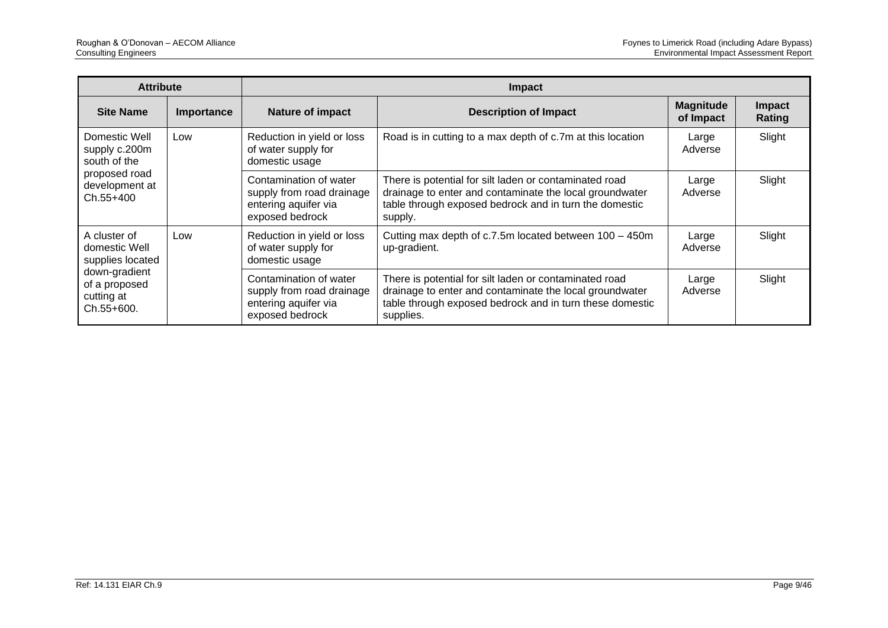| <b>Attribute</b>                                           |            | <b>Impact</b>                                                                                  |                                                                                                                                                                                            |                               |                         |  |
|------------------------------------------------------------|------------|------------------------------------------------------------------------------------------------|--------------------------------------------------------------------------------------------------------------------------------------------------------------------------------------------|-------------------------------|-------------------------|--|
| <b>Site Name</b>                                           | Importance | <b>Nature of impact</b>                                                                        | <b>Description of Impact</b>                                                                                                                                                               | <b>Magnitude</b><br>of Impact | <b>Impact</b><br>Rating |  |
| Domestic Well<br>supply c.200m<br>south of the             | Low        | Reduction in yield or loss<br>of water supply for<br>domestic usage                            | Road is in cutting to a max depth of c.7m at this location                                                                                                                                 | Large<br>Adverse              | Slight                  |  |
| proposed road<br>development at<br>$Ch.55+400$             |            | Contamination of water<br>supply from road drainage<br>entering aquifer via<br>exposed bedrock | There is potential for silt laden or contaminated road<br>drainage to enter and contaminate the local groundwater<br>table through exposed bedrock and in turn the domestic<br>supply.     | Large<br>Adverse              | Slight                  |  |
| A cluster of<br>domestic Well<br>supplies located          | Low        | Reduction in yield or loss<br>of water supply for<br>domestic usage                            | Cutting max depth of c.7.5m located between 100 - 450m<br>up-gradient.                                                                                                                     | Large<br>Adverse              | Slight                  |  |
| down-gradient<br>of a proposed<br>cutting at<br>Ch.55+600. |            | Contamination of water<br>supply from road drainage<br>entering aquifer via<br>exposed bedrock | There is potential for silt laden or contaminated road<br>drainage to enter and contaminate the local groundwater<br>table through exposed bedrock and in turn these domestic<br>supplies. | Large<br>Adverse              | Slight                  |  |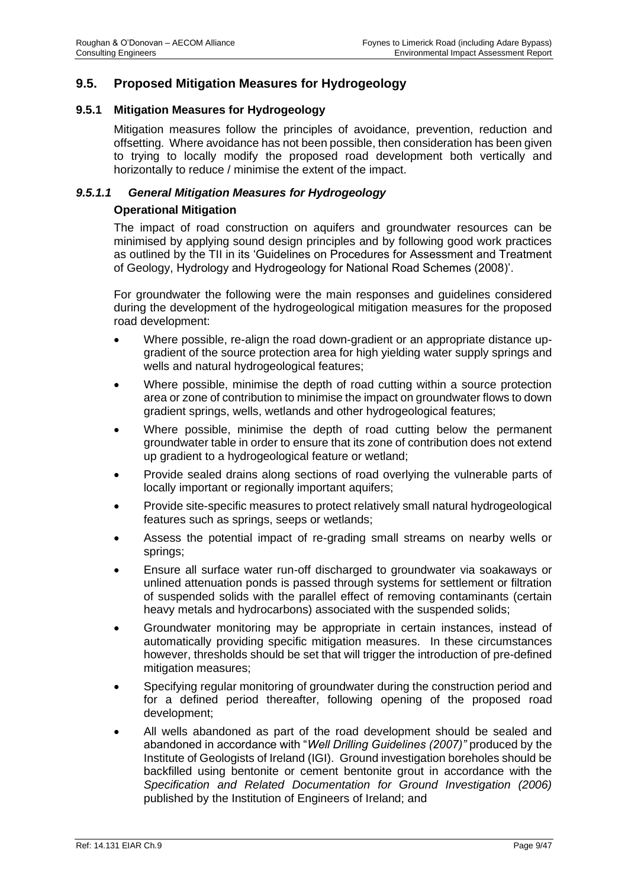# **9.5. Proposed Mitigation Measures for Hydrogeology**

#### **9.5.1 Mitigation Measures for Hydrogeology**

Mitigation measures follow the principles of avoidance, prevention, reduction and offsetting. Where avoidance has not been possible, then consideration has been given to trying to locally modify the proposed road development both vertically and horizontally to reduce / minimise the extent of the impact.

#### *9.5.1.1 General Mitigation Measures for Hydrogeology*

#### **Operational Mitigation**

The impact of road construction on aquifers and groundwater resources can be minimised by applying sound design principles and by following good work practices as outlined by the TII in its 'Guidelines on Procedures for Assessment and Treatment of Geology, Hydrology and Hydrogeology for National Road Schemes (2008)'.

For groundwater the following were the main responses and guidelines considered during the development of the hydrogeological mitigation measures for the proposed road development:

- Where possible, re-align the road down-gradient or an appropriate distance upgradient of the source protection area for high yielding water supply springs and wells and natural hydrogeological features;
- Where possible, minimise the depth of road cutting within a source protection area or zone of contribution to minimise the impact on groundwater flows to down gradient springs, wells, wetlands and other hydrogeological features;
- Where possible, minimise the depth of road cutting below the permanent groundwater table in order to ensure that its zone of contribution does not extend up gradient to a hydrogeological feature or wetland;
- Provide sealed drains along sections of road overlying the vulnerable parts of locally important or regionally important aquifers;
- Provide site-specific measures to protect relatively small natural hydrogeological features such as springs, seeps or wetlands;
- Assess the potential impact of re-grading small streams on nearby wells or springs;
- Ensure all surface water run-off discharged to groundwater via soakaways or unlined attenuation ponds is passed through systems for settlement or filtration of suspended solids with the parallel effect of removing contaminants (certain heavy metals and hydrocarbons) associated with the suspended solids;
- Groundwater monitoring may be appropriate in certain instances, instead of automatically providing specific mitigation measures. In these circumstances however, thresholds should be set that will trigger the introduction of pre-defined mitigation measures;
- Specifying regular monitoring of groundwater during the construction period and for a defined period thereafter, following opening of the proposed road development;
- All wells abandoned as part of the road development should be sealed and abandoned in accordance with "*Well Drilling Guidelines (2007)"* produced by the Institute of Geologists of Ireland (IGI). Ground investigation boreholes should be backfilled using bentonite or cement bentonite grout in accordance with the *Specification and Related Documentation for Ground Investigation (2006)*  published by the Institution of Engineers of Ireland; and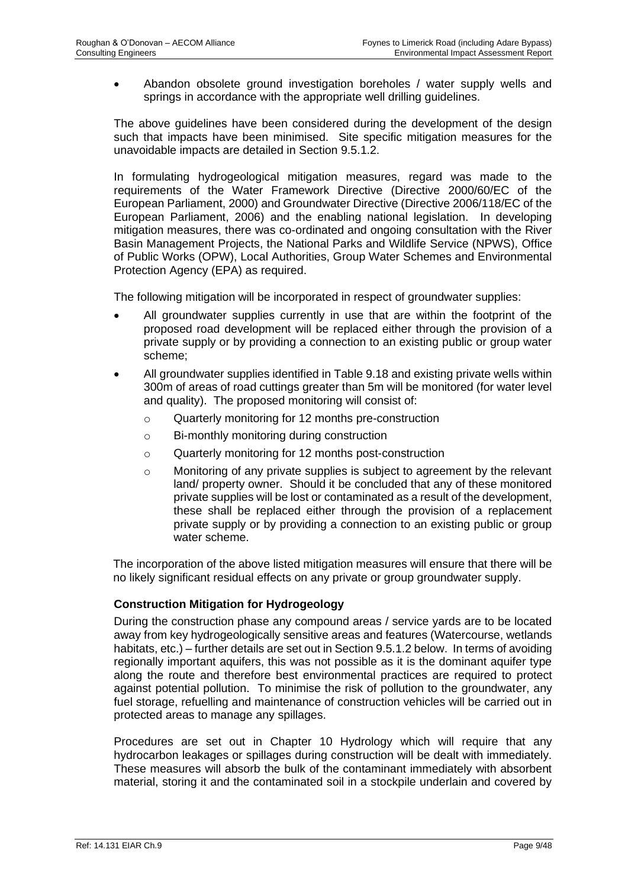• Abandon obsolete ground investigation boreholes / water supply wells and springs in accordance with the appropriate well drilling guidelines.

The above guidelines have been considered during the development of the design such that impacts have been minimised. Site specific mitigation measures for the unavoidable impacts are detailed in Section 9.5.1.2.

In formulating hydrogeological mitigation measures, regard was made to the requirements of the Water Framework Directive (Directive 2000/60/EC of the European Parliament, 2000) and Groundwater Directive (Directive 2006/118/EC of the European Parliament, 2006) and the enabling national legislation. In developing mitigation measures, there was co-ordinated and ongoing consultation with the River Basin Management Projects, the National Parks and Wildlife Service (NPWS), Office of Public Works (OPW), Local Authorities, Group Water Schemes and Environmental Protection Agency (EPA) as required.

The following mitigation will be incorporated in respect of groundwater supplies:

- All groundwater supplies currently in use that are within the footprint of the proposed road development will be replaced either through the provision of a private supply or by providing a connection to an existing public or group water scheme;
- All groundwater supplies identified in Table 9.18 and existing private wells within 300m of areas of road cuttings greater than 5m will be monitored (for water level and quality). The proposed monitoring will consist of:
	- o Quarterly monitoring for 12 months pre-construction
	- o Bi-monthly monitoring during construction
	- o Quarterly monitoring for 12 months post-construction
	- o Monitoring of any private supplies is subject to agreement by the relevant land/ property owner. Should it be concluded that any of these monitored private supplies will be lost or contaminated as a result of the development, these shall be replaced either through the provision of a replacement private supply or by providing a connection to an existing public or group water scheme.

The incorporation of the above listed mitigation measures will ensure that there will be no likely significant residual effects on any private or group groundwater supply.

#### **Construction Mitigation for Hydrogeology**

During the construction phase any compound areas / service yards are to be located away from key hydrogeologically sensitive areas and features (Watercourse, wetlands habitats, etc.) – further details are set out in Section 9.5.1.2 below. In terms of avoiding regionally important aquifers, this was not possible as it is the dominant aquifer type along the route and therefore best environmental practices are required to protect against potential pollution. To minimise the risk of pollution to the groundwater, any fuel storage, refuelling and maintenance of construction vehicles will be carried out in protected areas to manage any spillages.

Procedures are set out in Chapter 10 Hydrology which will require that any hydrocarbon leakages or spillages during construction will be dealt with immediately. These measures will absorb the bulk of the contaminant immediately with absorbent material, storing it and the contaminated soil in a stockpile underlain and covered by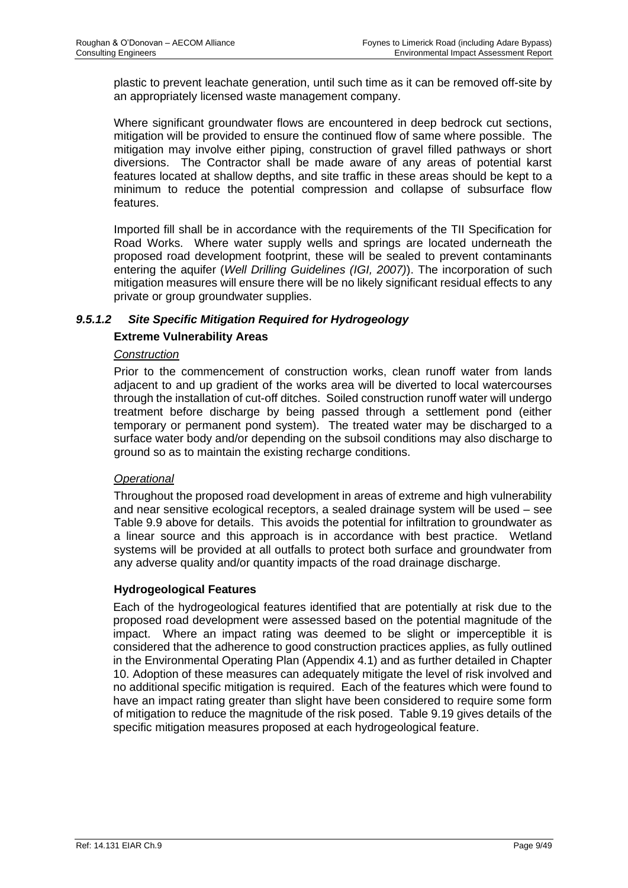plastic to prevent leachate generation, until such time as it can be removed off-site by an appropriately licensed waste management company.

Where significant groundwater flows are encountered in deep bedrock cut sections, mitigation will be provided to ensure the continued flow of same where possible. The mitigation may involve either piping, construction of gravel filled pathways or short diversions. The Contractor shall be made aware of any areas of potential karst features located at shallow depths, and site traffic in these areas should be kept to a minimum to reduce the potential compression and collapse of subsurface flow features.

Imported fill shall be in accordance with the requirements of the TII Specification for Road Works. Where water supply wells and springs are located underneath the proposed road development footprint, these will be sealed to prevent contaminants entering the aquifer (*Well Drilling Guidelines (IGI, 2007)*). The incorporation of such mitigation measures will ensure there will be no likely significant residual effects to any private or group groundwater supplies.

# *9.5.1.2 Site Specific Mitigation Required for Hydrogeology*

# **Extreme Vulnerability Areas**

#### *Construction*

Prior to the commencement of construction works, clean runoff water from lands adjacent to and up gradient of the works area will be diverted to local watercourses through the installation of cut-off ditches. Soiled construction runoff water will undergo treatment before discharge by being passed through a settlement pond (either temporary or permanent pond system). The treated water may be discharged to a surface water body and/or depending on the subsoil conditions may also discharge to ground so as to maintain the existing recharge conditions.

#### *Operational*

Throughout the proposed road development in areas of extreme and high vulnerability and near sensitive ecological receptors, a sealed drainage system will be used – see Table 9.9 above for details. This avoids the potential for infiltration to groundwater as a linear source and this approach is in accordance with best practice. Wetland systems will be provided at all outfalls to protect both surface and groundwater from any adverse quality and/or quantity impacts of the road drainage discharge.

#### **Hydrogeological Features**

Each of the hydrogeological features identified that are potentially at risk due to the proposed road development were assessed based on the potential magnitude of the impact. Where an impact rating was deemed to be slight or imperceptible it is considered that the adherence to good construction practices applies, as fully outlined in the Environmental Operating Plan (Appendix 4.1) and as further detailed in Chapter 10. Adoption of these measures can adequately mitigate the level of risk involved and no additional specific mitigation is required. Each of the features which were found to have an impact rating greater than slight have been considered to require some form of mitigation to reduce the magnitude of the risk posed. Table 9.19 gives details of the specific mitigation measures proposed at each hydrogeological feature.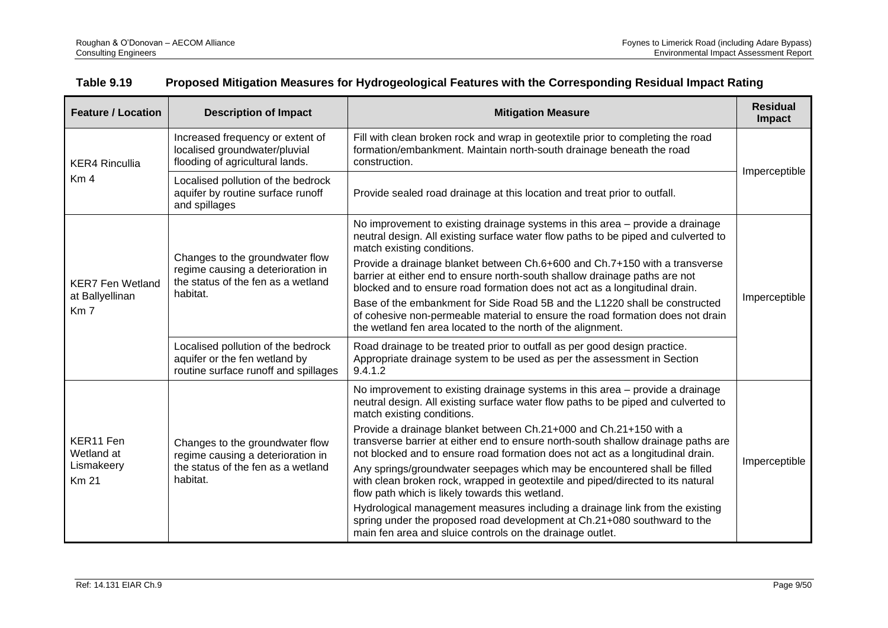| <b>Feature / Location</b>                                     | <b>Description of Impact</b>                                                                                           | <b>Mitigation Measure</b>                                                                                                                                                                                                                                                                                                                                                                                                                                                                                                                                                                                                                                                                                                                                                                                                                                                                 | <b>Residual</b><br>Impact |
|---------------------------------------------------------------|------------------------------------------------------------------------------------------------------------------------|-------------------------------------------------------------------------------------------------------------------------------------------------------------------------------------------------------------------------------------------------------------------------------------------------------------------------------------------------------------------------------------------------------------------------------------------------------------------------------------------------------------------------------------------------------------------------------------------------------------------------------------------------------------------------------------------------------------------------------------------------------------------------------------------------------------------------------------------------------------------------------------------|---------------------------|
| <b>KER4 Rincullia</b>                                         | Increased frequency or extent of<br>localised groundwater/pluvial<br>flooding of agricultural lands.                   | Fill with clean broken rock and wrap in geotextile prior to completing the road<br>formation/embankment. Maintain north-south drainage beneath the road<br>construction.                                                                                                                                                                                                                                                                                                                                                                                                                                                                                                                                                                                                                                                                                                                  |                           |
| Km <sub>4</sub>                                               | Localised pollution of the bedrock<br>aquifer by routine surface runoff<br>and spillages                               | Provide sealed road drainage at this location and treat prior to outfall.                                                                                                                                                                                                                                                                                                                                                                                                                                                                                                                                                                                                                                                                                                                                                                                                                 | Imperceptible             |
| <b>KER7 Fen Wetland</b><br>at Ballyellinan<br>Km <sub>7</sub> | Changes to the groundwater flow<br>regime causing a deterioration in<br>the status of the fen as a wetland<br>habitat. | No improvement to existing drainage systems in this area – provide a drainage<br>neutral design. All existing surface water flow paths to be piped and culverted to<br>match existing conditions.<br>Provide a drainage blanket between Ch.6+600 and Ch.7+150 with a transverse<br>barrier at either end to ensure north-south shallow drainage paths are not<br>blocked and to ensure road formation does not act as a longitudinal drain.<br>Base of the embankment for Side Road 5B and the L1220 shall be constructed<br>of cohesive non-permeable material to ensure the road formation does not drain<br>the wetland fen area located to the north of the alignment.                                                                                                                                                                                                                | Imperceptible             |
|                                                               | Localised pollution of the bedrock<br>aquifer or the fen wetland by<br>routine surface runoff and spillages            | Road drainage to be treated prior to outfall as per good design practice.<br>Appropriate drainage system to be used as per the assessment in Section<br>9.4.1.2                                                                                                                                                                                                                                                                                                                                                                                                                                                                                                                                                                                                                                                                                                                           |                           |
| KER11 Fen<br>Wetland at<br>Lismakeery<br><b>Km 21</b>         | Changes to the groundwater flow<br>regime causing a deterioration in<br>the status of the fen as a wetland<br>habitat. | No improvement to existing drainage systems in this area – provide a drainage<br>neutral design. All existing surface water flow paths to be piped and culverted to<br>match existing conditions.<br>Provide a drainage blanket between Ch.21+000 and Ch.21+150 with a<br>transverse barrier at either end to ensure north-south shallow drainage paths are<br>not blocked and to ensure road formation does not act as a longitudinal drain.<br>Any springs/groundwater seepages which may be encountered shall be filled<br>with clean broken rock, wrapped in geotextile and piped/directed to its natural<br>flow path which is likely towards this wetland.<br>Hydrological management measures including a drainage link from the existing<br>spring under the proposed road development at Ch.21+080 southward to the<br>main fen area and sluice controls on the drainage outlet. | Imperceptible             |

# **Table 9.19 Proposed Mitigation Measures for Hydrogeological Features with the Corresponding Residual Impact Rating**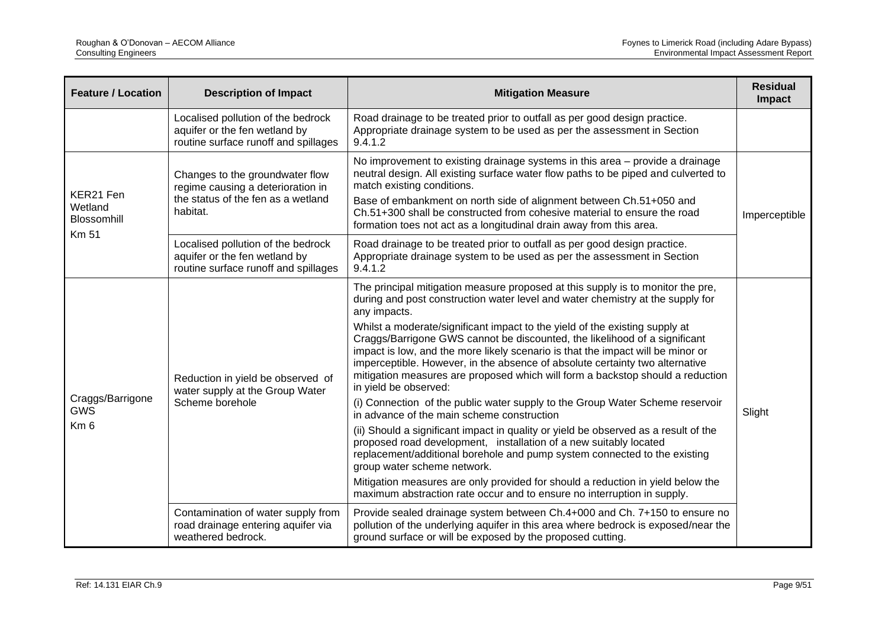| <b>Feature / Location</b>                         | <b>Description of Impact</b>                                                                                                                                                                                                                                                                                                                                                                                                                                                                                                                          | <b>Mitigation Measure</b>                                                                                                                                                                                                                                                                                                                                                                                                                                                                                                                                                                                                                                                                                                                                                                                                                                                                                                                                                                                                                                                                                                                                                                         | <b>Residual</b><br>Impact |  |
|---------------------------------------------------|-------------------------------------------------------------------------------------------------------------------------------------------------------------------------------------------------------------------------------------------------------------------------------------------------------------------------------------------------------------------------------------------------------------------------------------------------------------------------------------------------------------------------------------------------------|---------------------------------------------------------------------------------------------------------------------------------------------------------------------------------------------------------------------------------------------------------------------------------------------------------------------------------------------------------------------------------------------------------------------------------------------------------------------------------------------------------------------------------------------------------------------------------------------------------------------------------------------------------------------------------------------------------------------------------------------------------------------------------------------------------------------------------------------------------------------------------------------------------------------------------------------------------------------------------------------------------------------------------------------------------------------------------------------------------------------------------------------------------------------------------------------------|---------------------------|--|
|                                                   | Localised pollution of the bedrock<br>aquifer or the fen wetland by<br>routine surface runoff and spillages                                                                                                                                                                                                                                                                                                                                                                                                                                           | Road drainage to be treated prior to outfall as per good design practice.<br>Appropriate drainage system to be used as per the assessment in Section<br>9.4.1.2                                                                                                                                                                                                                                                                                                                                                                                                                                                                                                                                                                                                                                                                                                                                                                                                                                                                                                                                                                                                                                   |                           |  |
| KER21 Fen<br>Wetland<br>Blossomhill               | No improvement to existing drainage systems in this area – provide a drainage<br>neutral design. All existing surface water flow paths to be piped and culverted to<br>Changes to the groundwater flow<br>match existing conditions.<br>regime causing a deterioration in<br>the status of the fen as a wetland<br>Base of embankment on north side of alignment between Ch.51+050 and<br>habitat.<br>Ch.51+300 shall be constructed from cohesive material to ensure the road<br>formation toes not act as a longitudinal drain away from this area. |                                                                                                                                                                                                                                                                                                                                                                                                                                                                                                                                                                                                                                                                                                                                                                                                                                                                                                                                                                                                                                                                                                                                                                                                   | Imperceptible             |  |
| <b>Km 51</b>                                      | Localised pollution of the bedrock<br>aquifer or the fen wetland by<br>routine surface runoff and spillages                                                                                                                                                                                                                                                                                                                                                                                                                                           | Road drainage to be treated prior to outfall as per good design practice.<br>Appropriate drainage system to be used as per the assessment in Section<br>9.4.1.2                                                                                                                                                                                                                                                                                                                                                                                                                                                                                                                                                                                                                                                                                                                                                                                                                                                                                                                                                                                                                                   |                           |  |
| Craggs/Barrigone<br><b>GWS</b><br>Km <sub>6</sub> | Reduction in yield be observed of<br>water supply at the Group Water<br>Scheme borehole                                                                                                                                                                                                                                                                                                                                                                                                                                                               | The principal mitigation measure proposed at this supply is to monitor the pre,<br>during and post construction water level and water chemistry at the supply for<br>any impacts.<br>Whilst a moderate/significant impact to the yield of the existing supply at<br>Craggs/Barrigone GWS cannot be discounted, the likelihood of a significant<br>impact is low, and the more likely scenario is that the impact will be minor or<br>imperceptible. However, in the absence of absolute certainty two alternative<br>mitigation measures are proposed which will form a backstop should a reduction<br>in yield be observed:<br>(i) Connection of the public water supply to the Group Water Scheme reservoir<br>in advance of the main scheme construction<br>(ii) Should a significant impact in quality or yield be observed as a result of the<br>proposed road development, installation of a new suitably located<br>replacement/additional borehole and pump system connected to the existing<br>group water scheme network.<br>Mitigation measures are only provided for should a reduction in yield below the<br>maximum abstraction rate occur and to ensure no interruption in supply. | Slight                    |  |
|                                                   | Contamination of water supply from<br>road drainage entering aquifer via<br>weathered bedrock.                                                                                                                                                                                                                                                                                                                                                                                                                                                        | Provide sealed drainage system between Ch.4+000 and Ch. 7+150 to ensure no<br>pollution of the underlying aquifer in this area where bedrock is exposed/near the<br>ground surface or will be exposed by the proposed cutting.                                                                                                                                                                                                                                                                                                                                                                                                                                                                                                                                                                                                                                                                                                                                                                                                                                                                                                                                                                    |                           |  |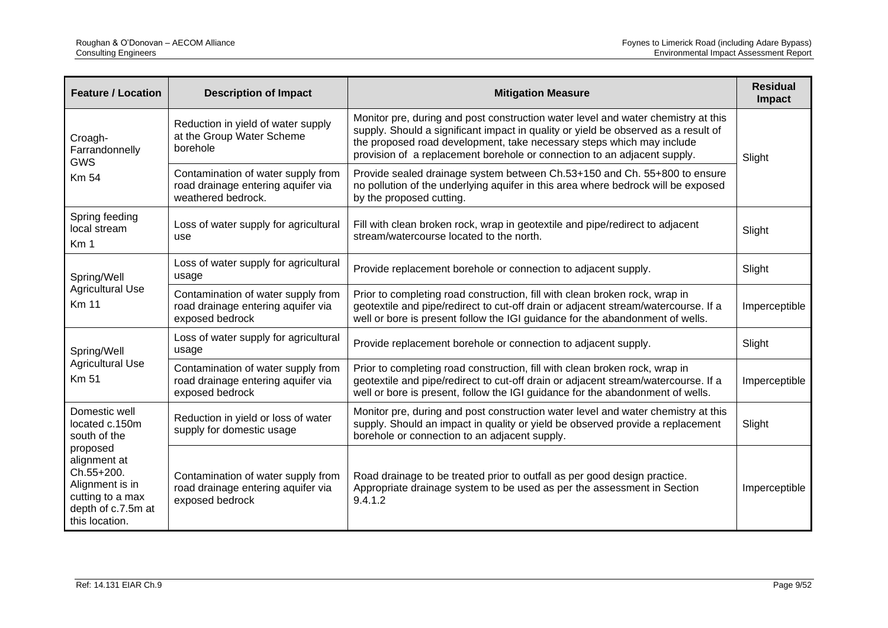| <b>Feature / Location</b>                                                                                             | <b>Description of Impact</b>                                                                                                                                                                                                                                                                                                                                                                                | <b>Mitigation Measure</b>                                                                                                                                                                                                                           | <b>Residual</b><br>Impact |
|-----------------------------------------------------------------------------------------------------------------------|-------------------------------------------------------------------------------------------------------------------------------------------------------------------------------------------------------------------------------------------------------------------------------------------------------------------------------------------------------------------------------------------------------------|-----------------------------------------------------------------------------------------------------------------------------------------------------------------------------------------------------------------------------------------------------|---------------------------|
| Croagh-<br>Farrandonnelly<br><b>GWS</b><br><b>Km 54</b>                                                               | Monitor pre, during and post construction water level and water chemistry at this<br>Reduction in yield of water supply<br>supply. Should a significant impact in quality or yield be observed as a result of<br>at the Group Water Scheme<br>the proposed road development, take necessary steps which may include<br>borehole<br>provision of a replacement borehole or connection to an adjacent supply. |                                                                                                                                                                                                                                                     | Slight                    |
|                                                                                                                       | Contamination of water supply from<br>road drainage entering aquifer via<br>weathered bedrock.                                                                                                                                                                                                                                                                                                              | Provide sealed drainage system between Ch.53+150 and Ch. 55+800 to ensure<br>no pollution of the underlying aquifer in this area where bedrock will be exposed<br>by the proposed cutting.                                                          |                           |
| Spring feeding<br>local stream<br>Km <sub>1</sub>                                                                     | Loss of water supply for agricultural<br>use                                                                                                                                                                                                                                                                                                                                                                | Fill with clean broken rock, wrap in geotextile and pipe/redirect to adjacent<br>stream/watercourse located to the north.                                                                                                                           | Slight                    |
| Spring/Well                                                                                                           | Loss of water supply for agricultural<br>usage                                                                                                                                                                                                                                                                                                                                                              | Provide replacement borehole or connection to adjacent supply.                                                                                                                                                                                      | Slight                    |
| <b>Agricultural Use</b><br><b>Km 11</b>                                                                               | Contamination of water supply from<br>road drainage entering aquifer via<br>exposed bedrock                                                                                                                                                                                                                                                                                                                 | Prior to completing road construction, fill with clean broken rock, wrap in<br>geotextile and pipe/redirect to cut-off drain or adjacent stream/watercourse. If a<br>well or bore is present follow the IGI guidance for the abandonment of wells.  |                           |
| Spring/Well                                                                                                           | Loss of water supply for agricultural<br>usage                                                                                                                                                                                                                                                                                                                                                              | Provide replacement borehole or connection to adjacent supply.                                                                                                                                                                                      | Slight                    |
| <b>Agricultural Use</b><br><b>Km 51</b>                                                                               | Contamination of water supply from<br>road drainage entering aquifer via<br>exposed bedrock                                                                                                                                                                                                                                                                                                                 | Prior to completing road construction, fill with clean broken rock, wrap in<br>geotextile and pipe/redirect to cut-off drain or adjacent stream/watercourse. If a<br>well or bore is present, follow the IGI guidance for the abandonment of wells. | Imperceptible             |
| Domestic well<br>located c.150m<br>south of the                                                                       | Reduction in yield or loss of water<br>supply for domestic usage                                                                                                                                                                                                                                                                                                                                            | Monitor pre, during and post construction water level and water chemistry at this<br>supply. Should an impact in quality or yield be observed provide a replacement<br>borehole or connection to an adjacent supply.                                | Slight                    |
| proposed<br>alignment at<br>Ch.55+200.<br>Alignment is in<br>cutting to a max<br>depth of c.7.5m at<br>this location. | Contamination of water supply from<br>road drainage entering aquifer via<br>exposed bedrock                                                                                                                                                                                                                                                                                                                 | Road drainage to be treated prior to outfall as per good design practice.<br>Appropriate drainage system to be used as per the assessment in Section<br>9.4.1.2                                                                                     | Imperceptible             |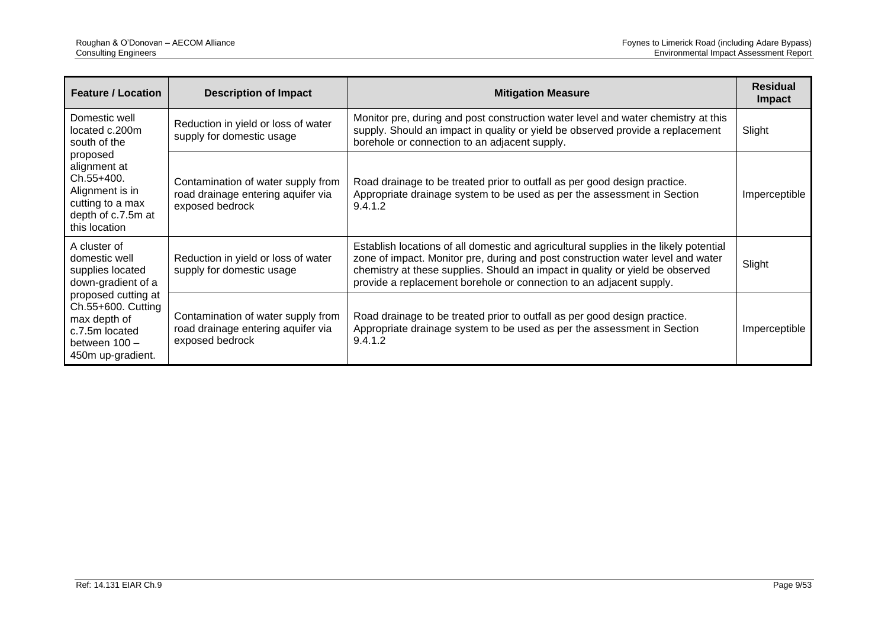| <b>Feature / Location</b>                                                                                                                                                                    | <b>Description of Impact</b>                                                                | <b>Mitigation Measure</b>                                                                                                                                                                                                                                                                                                        | <b>Residual</b><br><b>Impact</b> |
|----------------------------------------------------------------------------------------------------------------------------------------------------------------------------------------------|---------------------------------------------------------------------------------------------|----------------------------------------------------------------------------------------------------------------------------------------------------------------------------------------------------------------------------------------------------------------------------------------------------------------------------------|----------------------------------|
| Domestic well<br>located c.200m<br>south of the                                                                                                                                              | Reduction in yield or loss of water<br>supply for domestic usage                            | Monitor pre, during and post construction water level and water chemistry at this<br>supply. Should an impact in quality or yield be observed provide a replacement<br>borehole or connection to an adjacent supply.                                                                                                             | Slight                           |
| proposed<br>alignment at<br>$Ch.55+400.$<br>Alignment is in<br>cutting to a max<br>depth of c.7.5m at<br>this location                                                                       | Contamination of water supply from<br>road drainage entering aquifer via<br>exposed bedrock | Road drainage to be treated prior to outfall as per good design practice.<br>Appropriate drainage system to be used as per the assessment in Section<br>9.4.1.2                                                                                                                                                                  | Imperceptible                    |
| A cluster of<br>domestic well<br>supplies located<br>down-gradient of a<br>proposed cutting at<br>Ch.55+600. Cutting<br>max depth of<br>c.7.5m located<br>between 100 -<br>450m up-gradient. | Reduction in yield or loss of water<br>supply for domestic usage                            | Establish locations of all domestic and agricultural supplies in the likely potential<br>zone of impact. Monitor pre, during and post construction water level and water<br>chemistry at these supplies. Should an impact in quality or yield be observed<br>provide a replacement borehole or connection to an adjacent supply. | Slight                           |
|                                                                                                                                                                                              | Contamination of water supply from<br>road drainage entering aquifer via<br>exposed bedrock | Road drainage to be treated prior to outfall as per good design practice.<br>Appropriate drainage system to be used as per the assessment in Section<br>9.4.1.2                                                                                                                                                                  | Imperceptible                    |